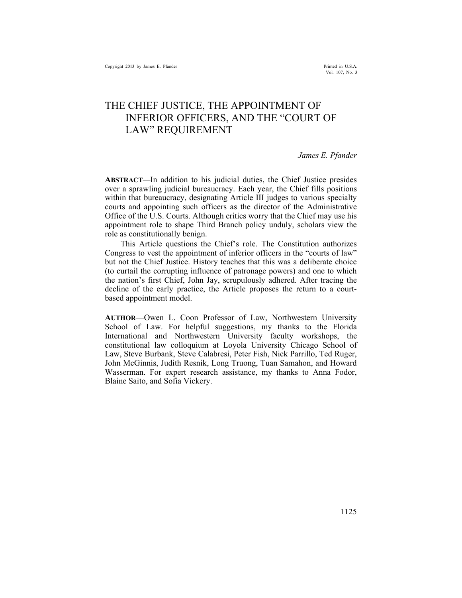# THE CHIEF JUSTICE, THE APPOINTMENT OF INFERIOR OFFICERS, AND THE "COURT OF LAW" REQUIREMENT

*James E. Pfander* 

**ABSTRACT***—*In addition to his judicial duties, the Chief Justice presides over a sprawling judicial bureaucracy. Each year, the Chief fills positions within that bureaucracy, designating Article III judges to various specialty courts and appointing such officers as the director of the Administrative Office of the U.S. Courts. Although critics worry that the Chief may use his appointment role to shape Third Branch policy unduly, scholars view the role as constitutionally benign.

This Article questions the Chief's role. The Constitution authorizes Congress to vest the appointment of inferior officers in the "courts of law" but not the Chief Justice. History teaches that this was a deliberate choice (to curtail the corrupting influence of patronage powers) and one to which the nation's first Chief, John Jay, scrupulously adhered. After tracing the decline of the early practice, the Article proposes the return to a courtbased appointment model.

**AUTHOR**—Owen L. Coon Professor of Law, Northwestern University School of Law. For helpful suggestions, my thanks to the Florida International and Northwestern University faculty workshops, the constitutional law colloquium at Loyola University Chicago School of Law, Steve Burbank, Steve Calabresi, Peter Fish, Nick Parrillo, Ted Ruger, John McGinnis, Judith Resnik, Long Truong, Tuan Samahon, and Howard Wasserman. For expert research assistance, my thanks to Anna Fodor, Blaine Saito, and Sofia Vickery.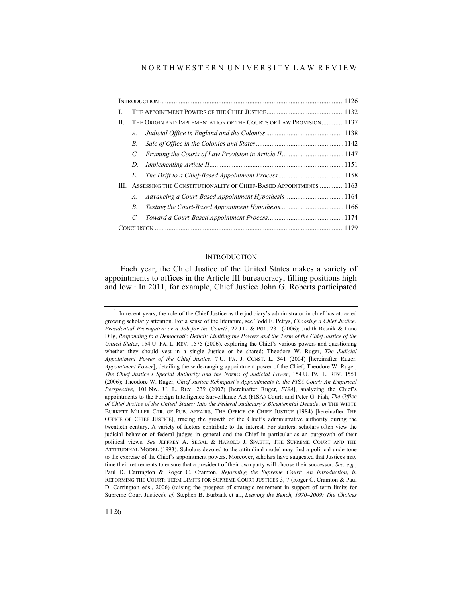#### N O R T H W E S T E R N U N I V E R S I T Y L A W R E V I E W

| L   |                                                                   |                                                                   |  |  |  |
|-----|-------------------------------------------------------------------|-------------------------------------------------------------------|--|--|--|
| П.  | THE ORIGIN AND IMPLEMENTATION OF THE COURTS OF LAW PROVISION 1137 |                                                                   |  |  |  |
|     | A.                                                                |                                                                   |  |  |  |
|     | В.                                                                |                                                                   |  |  |  |
|     | C.                                                                |                                                                   |  |  |  |
|     | D.                                                                |                                                                   |  |  |  |
|     | E.                                                                |                                                                   |  |  |  |
| HL. |                                                                   | ASSESSING THE CONSTITUTIONALITY OF CHIEF-BASED APPOINTMENTS  1163 |  |  |  |
|     | $A_{\cdot}$                                                       | Advancing a Court-Based Appointment Hypothesis  1164              |  |  |  |
|     | B.                                                                |                                                                   |  |  |  |
|     | $\overline{C}$                                                    |                                                                   |  |  |  |
|     |                                                                   |                                                                   |  |  |  |

#### **INTRODUCTION**

Each year, the Chief Justice of the United States makes a variety of appointments to offices in the Article III bureaucracy, filling positions high and low.1 In 2011, for example, Chief Justice John G. Roberts participated

 $<sup>1</sup>$  In recent years, the role of the Chief Justice as the judiciary's administrator in chief has attracted</sup> growing scholarly attention. For a sense of the literature, see Todd E. Pettys, *Choosing a Chief Justice: Presidential Prerogative or a Job for the Court?*, 22 J.L. & POL. 231 (2006); Judith Resnik & Lane Dilg, *Responding to a Democratic Deficit: Limiting the Powers and the Term of the Chief Justice of the United States*, 154 U. PA. L. REV. 1575 (2006), exploring the Chief's various powers and questioning whether they should vest in a single Justice or be shared; Theodore W. Ruger, *The Judicial Appointment Power of the Chief Justice*, 7 U. PA. J. CONST. L. 341 (2004) [hereinafter Ruger, *Appointment Power*], detailing the wide-ranging appointment power of the Chief; Theodore W. Ruger, *The Chief Justice's Special Authority and the Norms of Judicial Power*, 154 U. PA. L. REV. 1551 (2006); Theodore W. Ruger, *Chief Justice Rehnquist's Appointments to the FISA Court: An Empirical Perspective*, 101 NW. U. L. REV. 239 (2007) [hereinafter Ruger, *FISA*], analyzing the Chief's appointments to the Foreign Intelligence Surveillance Act (FISA) Court; and Peter G. Fish, *The Office of Chief Justice of the United States: Into the Federal Judiciary's Bicentennial Decade*, *in* THE WHITE BURKETT MILLER CTR. OF PUB. AFFAIRS, THE OFFICE OF CHIEF JUSTICE (1984) [hereinafter THE OFFICE OF CHIEF JUSTICE], tracing the growth of the Chief's administrative authority during the twentieth century. A variety of factors contribute to the interest. For starters, scholars often view the judicial behavior of federal judges in general and the Chief in particular as an outgrowth of their political views. *See* JEFFREY A. SEGAL & HAROLD J. SPAETH, THE SUPREME COURT AND THE ATTITUDINAL MODEL (1993). Scholars devoted to the attitudinal model may find a political undertone to the exercise of the Chief's appointment powers. Moreover, scholars have suggested that Justices may time their retirements to ensure that a president of their own party will choose their successor. *See, e.g.*, Paul D. Carrington & Roger C. Cramton, *Reforming the Supreme Court: An Introduction*, *in* REFORMING THE COURT: TERM LIMITS FOR SUPREME COURT JUSTICES 3, 7 (Roger C. Cramton & Paul D. Carrington eds., 2006) (raising the prospect of strategic retirement in support of term limits for Supreme Court Justices); *cf.* Stephen B. Burbank et al., *Leaving the Bench, 1970–2009: The Choices*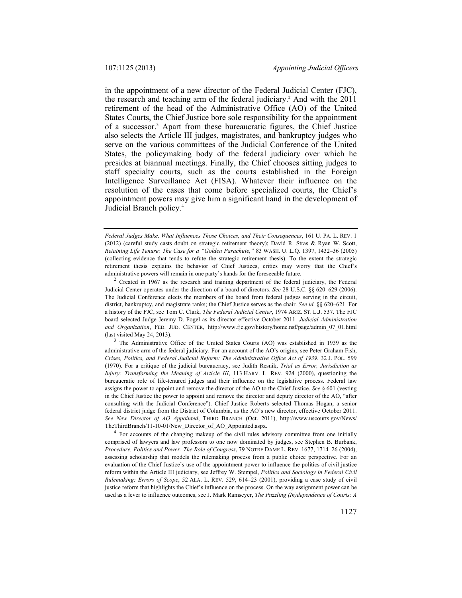in the appointment of a new director of the Federal Judicial Center (FJC), the research and teaching arm of the federal judiciary.<sup>2</sup> And with the 2011 retirement of the head of the Administrative Office (AO) of the United States Courts, the Chief Justice bore sole responsibility for the appointment of a successor.3 Apart from these bureaucratic figures, the Chief Justice also selects the Article III judges, magistrates, and bankruptcy judges who serve on the various committees of the Judicial Conference of the United States, the policymaking body of the federal judiciary over which he presides at biannual meetings. Finally, the Chief chooses sitting judges to staff specialty courts, such as the courts established in the Foreign Intelligence Surveillance Act (FISA). Whatever their influence on the resolution of the cases that come before specialized courts, the Chief's appointment powers may give him a significant hand in the development of Judicial Branch policy.4

administrative arm of the federal judiciary. For an account of the AO's origins, see Peter Graham Fish, *Crises, Politics, and Federal Judicial Reform: The Administrative Office Act of 1939*, 32 J. POL. 599 (1970). For a critique of the judicial bureaucracy, see Judith Resnik, *Trial as Error, Jurisdiction as Injury: Transforming the Meaning of Article III*, 113 HARV. L. REV. 924 (2000), questioning the bureaucratic role of life-tenured judges and their influence on the legislative process. Federal law assigns the power to appoint and remove the director of the AO to the Chief Justice. *See* § 601 (vesting in the Chief Justice the power to appoint and remove the director and deputy director of the AO, "after consulting with the Judicial Conference"). Chief Justice Roberts selected Thomas Hogan, a senior federal district judge from the District of Columbia, as the AO's new director, effective October 2011. *See New Director of AO Appointed*, THIRD BRANCH (Oct. 2011), http://www.uscourts.gov/News/

TheThirdBranch/11-10-01/New\_Director\_of\_AO\_Appointed.aspx. 4 For accounts of the changing makeup of the civil rules advisory committee from one initially comprised of lawyers and law professors to one now dominated by judges, see Stephen B. Burbank, *Procedure, Politics and Power: The Role of Congress*, 79 NOTRE DAME L. REV. 1677, 1714–26 (2004), assessing scholarship that models the rulemaking process from a public choice perspective. For an evaluation of the Chief Justice's use of the appointment power to influence the politics of civil justice reform within the Article III judiciary, see Jeffrey W. Stempel, *Politics and Sociology in Federal Civil Rulemaking: Errors of Scope*, 52 ALA. L. REV. 529, 614–23 (2001), providing a case study of civil justice reform that highlights the Chief's influence on the process. On the way assignment power can be used as a lever to influence outcomes, see J. Mark Ramseyer, *The Puzzling (In)dependence of Courts: A* 

*Federal Judges Make, What Influences Those Choices, and Their Consequences*, 161 U. PA. L. REV. 1 (2012) (careful study casts doubt on strategic retirement theory); David R. Stras & Ryan W. Scott, *Retaining Life Tenure: The Case for a "Golden Parachute*,*"* 83 WASH. U. L.Q. 1397, 1432–36 (2005) (collecting evidence that tends to refute the strategic retirement thesis). To the extent the strategic retirement thesis explains the behavior of Chief Justices, critics may worry that the Chief's administrative powers will remain in one party's hands for the foreseeable future.<br><sup>2</sup> Created in 1967 as the research and training department of the federal judiciary, the Federal

Judicial Center operates under the direction of a board of directors. *See* 28 U.S.C. §§ 620–629 (2006). The Judicial Conference elects the members of the board from federal judges serving in the circuit, district, bankruptcy, and magistrate ranks; the Chief Justice serves as the chair. *See id.* §§ 620–621. For a history of the FJC, see Tom C. Clark, *The Federal Judicial Center*, 1974 ARIZ. ST. L.J. 537. The FJC board selected Judge Jeremy D. Fogel as its director effective October 2011. *Judicial Administration and Organization*, FED. JUD. CENTER, http://www.fjc.gov/history/home.nsf/page/admin\_07\_01.html (last visited May 24, 2013).  $3^3$  The Administrative Office of the United States Courts (AO) was established in 1939 as the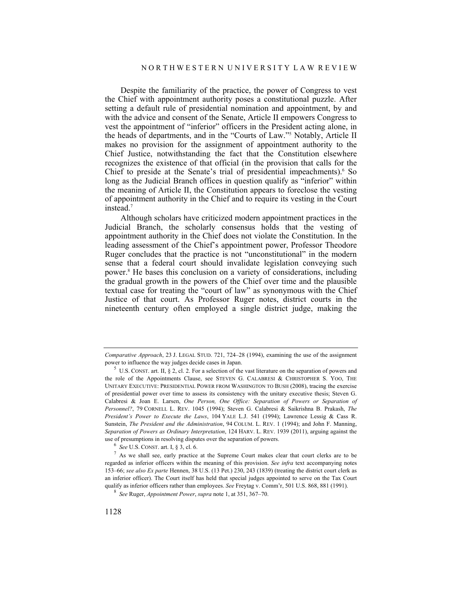Despite the familiarity of the practice, the power of Congress to vest the Chief with appointment authority poses a constitutional puzzle. After setting a default rule of presidential nomination and appointment, by and with the advice and consent of the Senate, Article II empowers Congress to vest the appointment of "inferior" officers in the President acting alone, in the heads of departments, and in the "Courts of Law."5 Notably, Article II makes no provision for the assignment of appointment authority to the Chief Justice, notwithstanding the fact that the Constitution elsewhere recognizes the existence of that official (in the provision that calls for the Chief to preside at the Senate's trial of presidential impeachments).<sup>6</sup> So long as the Judicial Branch offices in question qualify as "inferior" within the meaning of Article II, the Constitution appears to foreclose the vesting of appointment authority in the Chief and to require its vesting in the Court instead.7

Although scholars have criticized modern appointment practices in the Judicial Branch, the scholarly consensus holds that the vesting of appointment authority in the Chief does not violate the Constitution. In the leading assessment of the Chief's appointment power, Professor Theodore Ruger concludes that the practice is not "unconstitutional" in the modern sense that a federal court should invalidate legislation conveying such power.8 He bases this conclusion on a variety of considerations, including the gradual growth in the powers of the Chief over time and the plausible textual case for treating the "court of law" as synonymous with the Chief Justice of that court. As Professor Ruger notes, district courts in the nineteenth century often employed a single district judge, making the

*Comparative Approach*, 23 J. LEGAL STUD. 721, 724–28 (1994), examining the use of the assignment

power to influence the way judges decide cases in Japan.<br><sup>5</sup> U.S. CONST. art. II, § 2, cl. 2. For a selection of the vast literature on the separation of powers and the role of the Appointments Clause, see STEVEN G. CALABRESI & CHRISTOPHER S. YOO, THE UNITARY EXECUTIVE: PRESIDENTIAL POWER FROM WASHINGTON TO BUSH (2008), tracing the exercise of presidential power over time to assess its consistency with the unitary executive thesis; Steven G. Calabresi & Joan E. Larsen, *One Person, One Office: Separation of Powers or Separation of Personnel?*, 79 CORNELL L. REV. 1045 (1994); Steven G. Calabresi & Saikrishna B. Prakash, *The President's Power to Execute the Laws*, 104 YALE L.J. 541 (1994); Lawrence Lessig & Cass R. Sunstein, *The President and the Administration*, 94 COLUM. L. REV. 1 (1994); and John F. Manning, *Separation of Powers as Ordinary Interpretation*, 124 HARV. L. REV. 1939 (2011), arguing against the

use of presumptions in resolving disputes over the separation of powers. 6 *See* U.S. CONST. art. I, § 3, cl. 6. 7 As we shall see, early practice at the Supreme Court makes clear that court clerks are to be regarded as inferior officers within the meaning of this provision. *See infra* text accompanying notes 153–66; *see also Ex parte* Hennen, 38 U.S. (13 Pet.) 230, 243 (1839) (treating the district court clerk as an inferior officer). The Court itself has held that special judges appointed to serve on the Tax Court qualify as inferior officers rather than employees. *See* Freytag v. Comm'r, 501 U.S. 868, 881 (1991). 8 *See* Ruger, *Appointment Power*, *supra* note 1, at 351, 367–70.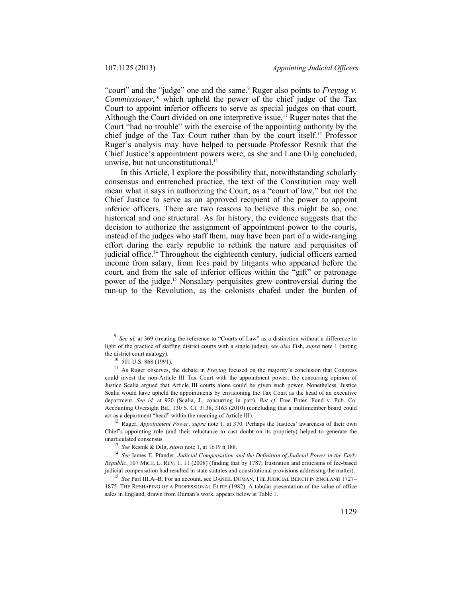"court" and the "judge" one and the same.<sup>9</sup> Ruger also points to *Freytag v*. *Commissioner*, 10 which upheld the power of the chief judge of the Tax Court to appoint inferior officers to serve as special judges on that court. Although the Court divided on one interpretive issue,  $11$  Ruger notes that the Court "had no trouble" with the exercise of the appointing authority by the chief judge of the Tax Court rather than by the court itself.12 Professor Ruger's analysis may have helped to persuade Professor Resnik that the Chief Justice's appointment powers were, as she and Lane Dilg concluded, unwise, but not unconstitutional.<sup>13</sup>

In this Article, I explore the possibility that, notwithstanding scholarly consensus and entrenched practice, the text of the Constitution may well mean what it says in authorizing the Court, as a "court of law," but not the Chief Justice to serve as an approved recipient of the power to appoint inferior officers. There are two reasons to believe this might be so, one historical and one structural. As for history, the evidence suggests that the decision to authorize the assignment of appointment power to the courts, instead of the judges who staff them, may have been part of a wide-ranging effort during the early republic to rethink the nature and perquisites of judicial office.14 Throughout the eighteenth century, judicial officers earned income from salary, from fees paid by litigants who appeared before the court, and from the sale of inferior offices within the "gift" or patronage power of the judge.15 Nonsalary perquisites grew controversial during the run-up to the Revolution, as the colonists chafed under the burden of

<sup>9</sup> *See id.* at 369 (treating the reference to "Courts of Law" as a distinction without a difference in light of the practice of staffing district courts with a single judge); *see also* Fish, *supra* note 1 (noting the district court analogy). 10 501 U.S. 868 (1991). 11 As Ruger observes, the debate in *Freytag* focused on the majority's conclusion that Congress

could invest the non-Article III Tax Court with the appointment power; the concurring opinion of Justice Scalia argued that Article III courts alone could be given such power. Nonetheless, Justice Scalia would have upheld the appointments by envisioning the Tax Court as the head of an executive department. *See id.* at 920 (Scalia, J., concurring in part). *But cf.* Free Enter. Fund v. Pub. Co. Accounting Oversight Bd., 130 S. Ct. 3138, 3163 (2010) (concluding that a multimember board could

<sup>&</sup>lt;sup>12</sup> Ruger, *Appointment Power*, *supra* note 1, at 370. Perhaps the Justices' awareness of their own Chief's appointing role (and their reluctance to cast doubt on its propriety) helped to generate the unarticulated consensus.<br><sup>13</sup> *See* Resnik & Dilg, *supra* note 1, at 1619 n.188.<br><sup>14</sup> *See* James E. Pfander, *Judicial Compensation and the Definition of Judicial Power in the Early* 

*Republic*, 107 MICH. L. REV. 1, 11 (2008) (finding that by 1787, frustration and criticisms of fee-based judicial compensation had resulted in state statutes and constitutional provisions addressing the matter). 15 *See* Part III.A–B. For an account, see DANIEL DUMAN, THE JUDICIAL BENCH IN ENGLAND 1727–

<sup>1875:</sup> THE RESHAPING OF A PROFESSIONAL ELITE (1982). A tabular presentation of the value of office sales in England, drawn from Duman's work, appears below at Table 1.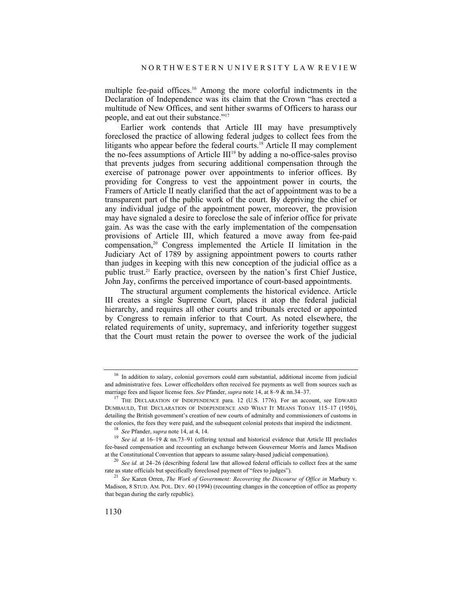multiple fee-paid offices.<sup>16</sup> Among the more colorful indictments in the Declaration of Independence was its claim that the Crown "has erected a multitude of New Offices, and sent hither swarms of Officers to harass our people, and eat out their substance."17

Earlier work contends that Article III may have presumptively foreclosed the practice of allowing federal judges to collect fees from the litigants who appear before the federal courts.<sup>18</sup> Article II may complement the no-fees assumptions of Article  $III<sup>19</sup>$  by adding a no-office-sales proviso that prevents judges from securing additional compensation through the exercise of patronage power over appointments to inferior offices. By providing for Congress to vest the appointment power in courts, the Framers of Article II neatly clarified that the act of appointment was to be a transparent part of the public work of the court. By depriving the chief or any individual judge of the appointment power, moreover, the provision may have signaled a desire to foreclose the sale of inferior office for private gain. As was the case with the early implementation of the compensation provisions of Article III, which featured a move away from fee-paid compensation,<sup>20</sup> Congress implemented the Article II limitation in the Judiciary Act of 1789 by assigning appointment powers to courts rather than judges in keeping with this new conception of the judicial office as a public trust.21 Early practice, overseen by the nation's first Chief Justice, John Jay, confirms the perceived importance of court-based appointments.

The structural argument complements the historical evidence. Article III creates a single Supreme Court, places it atop the federal judicial hierarchy, and requires all other courts and tribunals erected or appointed by Congress to remain inferior to that Court. As noted elsewhere, the related requirements of unity, supremacy, and inferiority together suggest that the Court must retain the power to oversee the work of the judicial

<sup>&</sup>lt;sup>16</sup> In addition to salary, colonial governors could earn substantial, additional income from judicial and administrative fees. Lower officeholders often received fee payments as well from sources such as marriage fees and liquor license fees. *See* Pfander, *supra* note 14, at 8–9 & nn.34–37.<br><sup>17</sup> THE DECLARATION OF INDEPENDENCE para. 12 (U.S. 1776). For an account, see EDWARD

DUMBAULD, THE DECLARATION OF INDEPENDENCE AND WHAT IT MEANS TODAY 115–17 (1950), detailing the British government's creation of new courts of admiralty and commissioners of customs in the colonies, the fees they were paid, and the subsequent colonial protests that inspired the indictment.<br><sup>18</sup> See Pfander, *supra* note 14, at 4, 14.<br><sup>19</sup> See id. at 16–19 & nn.73–91 (offering textual and historical evid

fee-based compensation and recounting an exchange between Gouverneur Morris and James Madison at the Constitutional Convention that appears to assume salary-based judicial compensation). 20 *See id.* at 24–26 (describing federal law that allowed federal officials to collect fees at the same

rate as state officials but specifically foreclosed payment of "fees to judges"). 21 *See* Karen Orren, *The Work of Government: Recovering the Discourse of Office in* Marbury v.

Madison, 8 STUD. AM. POL. DEV. 60 (1994) (recounting changes in the conception of office as property that began during the early republic).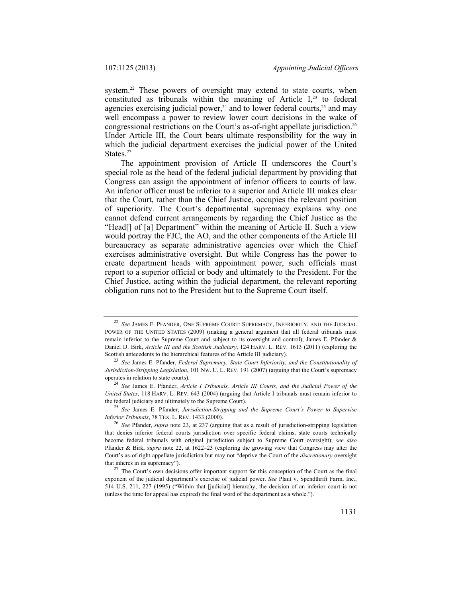system.<sup>22</sup> These powers of oversight may extend to state courts, when constituted as tribunals within the meaning of Article  $I<sub>1</sub><sup>23</sup>$  to federal agencies exercising judicial power,<sup>24</sup> and to lower federal courts,<sup>25</sup> and may well encompass a power to review lower court decisions in the wake of congressional restrictions on the Court's as-of-right appellate jurisdiction.26 Under Article III, the Court bears ultimate responsibility for the way in which the judicial department exercises the judicial power of the United States.<sup>27</sup>

The appointment provision of Article II underscores the Court's special role as the head of the federal judicial department by providing that Congress can assign the appointment of inferior officers to courts of law. An inferior officer must be inferior to a superior and Article III makes clear that the Court, rather than the Chief Justice, occupies the relevant position of superiority. The Court's departmental supremacy explains why one cannot defend current arrangements by regarding the Chief Justice as the "Head[] of [a] Department" within the meaning of Article II. Such a view would portray the FJC, the AO, and the other components of the Article III bureaucracy as separate administrative agencies over which the Chief exercises administrative oversight. But while Congress has the power to create department heads with appointment power, such officials must report to a superior official or body and ultimately to the President. For the Chief Justice, acting within the judicial department, the relevant reporting obligation runs not to the President but to the Supreme Court itself.

<sup>22</sup> *See* JAMES E. PFANDER, ONE SUPREME COURT: SUPREMACY, INFERIORITY, AND THE JUDICIAL POWER OF THE UNITED STATES (2009) (making a general argument that all federal tribunals must remain inferior to the Supreme Court and subject to its oversight and control); James E. Pfander & Daniel D. Birk, *Article III and the Scottish Judiciary*, 124 HARV. L. REV. 1613 (2011) (exploring the Scottish antecedents to the hierarchical features of the Article III judiciary). 23 *See* James E. Pfander, *Federal Supremacy, State Court Inferiority, and the Constitutionality of* 

*Jurisdiction-Stripping Legislation*, 101 Nw. U. L. REV. 191 (2007) (arguing that the Court's supremacy operates in relation to state courts).

<sup>&</sup>lt;sup>24</sup> See James E. Pfander, Article I Tribunals, Article III Courts, and the Judicial Power of the *United States*, 118 HARV. L. REV. 643 (2004) (arguing that Article I tribunals must remain inferior to

the federal judiciary and ultimately to the Supreme Court). 25 *See* James E. Pfander, *Jurisdiction-Stripping and the Supreme Court's Power to Supervise* 

<sup>&</sup>lt;sup>26</sup> See Pfander, *supra* note 23, at 237 (arguing that as a result of jurisdiction-stripping legislation that denies inferior federal courts jurisdiction over specific federal claims, state courts technically become federal tribunals with original jurisdiction subject to Supreme Court oversight); *see also* Pfander & Birk, *supra* note 22, at 1622–23 (exploring the growing view that Congress may alter the Court's as-of-right appellate jurisdiction but may not "deprive the Court of the *discretionary* oversight that inheres in its supremacy").<br><sup>27</sup> The Court's own decisions offer important support for this conception of the Court as the final

exponent of the judicial department's exercise of judicial power. *See* Plaut v. Spendthrift Farm, Inc., 514 U.S. 211, 227 (1995) ("Within that [judicial] hierarchy, the decision of an inferior court is not (unless the time for appeal has expired) the final word of the department as a whole.").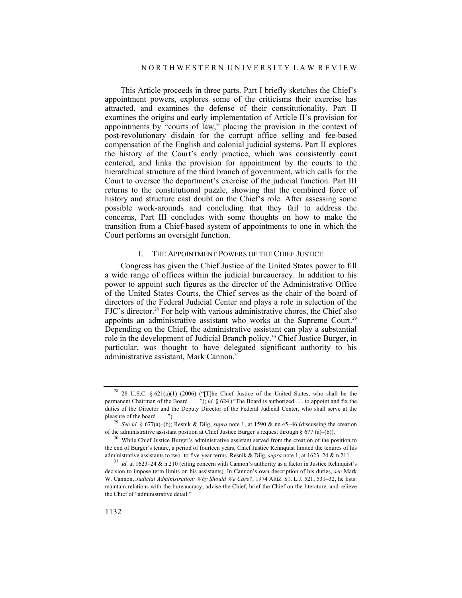This Article proceeds in three parts. Part I briefly sketches the Chief's appointment powers, explores some of the criticisms their exercise has attracted, and examines the defense of their constitutionality. Part II examines the origins and early implementation of Article II's provision for appointments by "courts of law," placing the provision in the context of post-revolutionary disdain for the corrupt office selling and fee-based compensation of the English and colonial judicial systems. Part II explores the history of the Court's early practice, which was consistently court centered, and links the provision for appointment by the courts to the hierarchical structure of the third branch of government, which calls for the Court to oversee the department's exercise of the judicial function. Part III returns to the constitutional puzzle, showing that the combined force of history and structure cast doubt on the Chief's role. After assessing some possible work-arounds and concluding that they fail to address the concerns, Part III concludes with some thoughts on how to make the transition from a Chief-based system of appointments to one in which the Court performs an oversight function.

# I. THE APPOINTMENT POWERS OF THE CHIEF JUSTICE

Congress has given the Chief Justice of the United States power to fill a wide range of offices within the judicial bureaucracy. In addition to his power to appoint such figures as the director of the Administrative Office of the United States Courts, the Chief serves as the chair of the board of directors of the Federal Judicial Center and plays a role in selection of the FJC's director.<sup>28</sup> For help with various administrative chores, the Chief also appoints an administrative assistant who works at the Supreme Court.<sup>29</sup> Depending on the Chief, the administrative assistant can play a substantial role in the development of Judicial Branch policy.30 Chief Justice Burger, in particular, was thought to have delegated significant authority to his administrative assistant, Mark Cannon.<sup>31</sup>

<sup>28</sup> 28 U.S.C. § 621(a)(1) (2006) ("[T]he Chief Justice of the United States, who shall be the permanent Chairman of the Board . . . ."); *id.* § 624 ("The Board is authorized . . . to appoint and fix the duties of the Director and the Deputy Director of the Federal Judicial Center, who shall serve at the pleasure of the board . . . ."). 29 *See id.* § 677(a)–(b); Resnik & Dilg, *supra* note 1, at 1590 & nn.45–46 (discussing the creation

of the administrative assistant position at Chief Justice Burger's request through § 677 (a)–(b)).<br><sup>30</sup> While Chief Justice Burger's administrative assistant served from the creation of the position to

the end of Burger's tenure, a period of fourteen years, Chief Justice Rehnquist limited the tenures of his

administrative assistants to two- to five-year terms. Resnik & Dilg, *supra* note 1, at 1623–24 & n.211.<br><sup>31</sup> *Id.* at 1623–24 & n.210 (citing concern with Cannon's authority as a factor in Justice Rehnquist's decision to impose term limits on his assistants). In Cannon's own description of his duties, *see* Mark W. Cannon, *Judicial Administration: Why Should We Care?*, 1974 ARIZ. ST. L.J. 521, 531–32, he lists: maintain relations with the bureaucracy, advise the Chief, brief the Chief on the literature, and relieve the Chief of "administrative detail."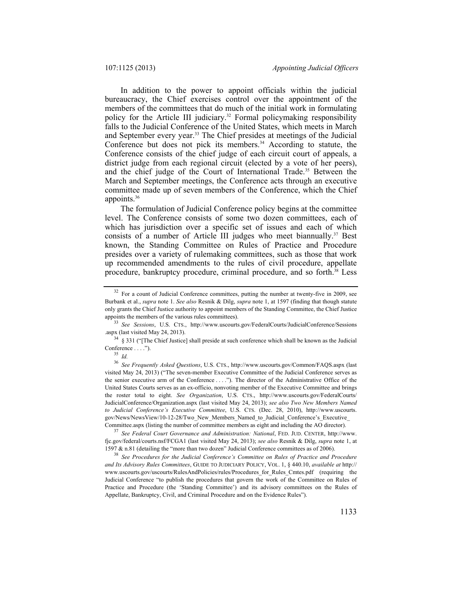In addition to the power to appoint officials within the judicial bureaucracy, the Chief exercises control over the appointment of the members of the committees that do much of the initial work in formulating policy for the Article III judiciary.<sup>32</sup> Formal policymaking responsibility falls to the Judicial Conference of the United States, which meets in March and September every year.<sup>33</sup> The Chief presides at meetings of the Judicial Conference but does not pick its members.<sup>34</sup> According to statute, the Conference consists of the chief judge of each circuit court of appeals, a district judge from each regional circuit (elected by a vote of her peers), and the chief judge of the Court of International Trade.<sup>35</sup> Between the March and September meetings, the Conference acts through an executive committee made up of seven members of the Conference, which the Chief appoints.36

The formulation of Judicial Conference policy begins at the committee level. The Conference consists of some two dozen committees, each of which has jurisdiction over a specific set of issues and each of which consists of a number of Article III judges who meet biannually.<sup>37</sup> Best known, the Standing Committee on Rules of Practice and Procedure presides over a variety of rulemaking committees, such as those that work up recommended amendments to the rules of civil procedure, appellate procedure, bankruptcy procedure, criminal procedure, and so forth.<sup>38</sup> Less

<sup>&</sup>lt;sup>32</sup> For a count of Judicial Conference committees, putting the number at twenty-five in 2009, see Burbank et al., *supra* note 1. *See also* Resnik & Dilg, *supra* note 1, at 1597 (finding that though statute only grants the Chief Justice authority to appoint members of the Standing Committee, the Chief Justice

appoints the members of the various rules committees).<br><sup>33</sup> *See Sessions*, U.S. CTS., http://www.uscourts.gov/FederalCourts/JudicialConference/Sessions .aspx (last visited May 24, 2013).

 $34$  § 331 ("[The Chief Justice] shall preside at such conference which shall be known as the Judicial Conference . . . ."). 35 *Id.*

<sup>36</sup> *See Frequently Asked Questions*, U.S. CTS., http://www.uscourts.gov/Common/FAQS.aspx (last visited May 24, 2013) ("The seven-member Executive Committee of the Judicial Conference serves as the senior executive arm of the Conference . . . ."). The director of the Administrative Office of the United States Courts serves as an ex-officio, nonvoting member of the Executive Committee and brings the roster total to eight. *See Organization*, U.S. CTS., http://www.uscourts.gov/FederalCourts/ JudicialConference/Organization.aspx (last visited May 24, 2013); *see also Two New Members Named to Judicial Conference's Executive Committee*, U.S. CTS. (Dec. 28, 2010), http://www.uscourts. gov/News/NewsView/10-12-28/Two\_New\_Members\_Named\_to\_Judicial\_Conference's\_Executive\_

Committee.aspx (listing the number of committee members as eight and including the AO director). 37 *See Federal Court Governance and Administration: National*, FED. JUD. CENTER, http://www. fjc.gov/federal/courts.nsf/FCGA1 (last visited May 24, 2013); *see also* Resnik & Dilg, *supra* note 1, at 1597 & n.81 (detailing the "more than two dozen" Judicial Conference committees as of 2006). 38 *See Procedures for the Judicial Conference's Committee on Rules of Practice and Procedure* 

*and Its Advisory Rules Committees*, GUIDE TO JUDICIARY POLICY, VOL. 1, § 440.10, *available at* http:// www.uscourts.gov/uscourts/RulesAndPolicies/rules/Procedures\_for\_Rules\_Cmtes.pdf (requiring the Judicial Conference "to publish the procedures that govern the work of the Committee on Rules of Practice and Procedure (the 'Standing Committee') and its advisory committees on the Rules of Appellate, Bankruptcy, Civil, and Criminal Procedure and on the Evidence Rules").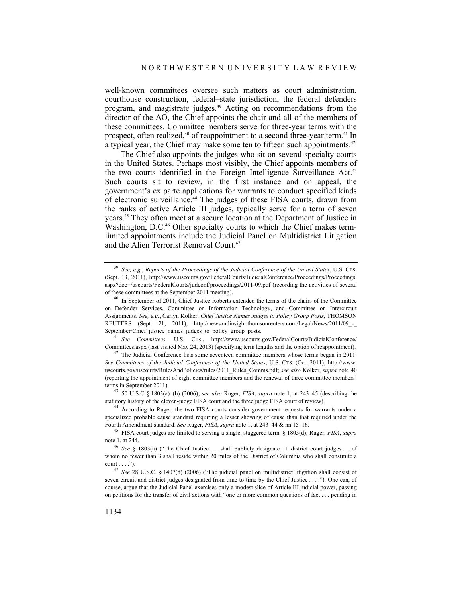well-known committees oversee such matters as court administration, courthouse construction, federal–state jurisdiction, the federal defenders program, and magistrate judges.<sup>39</sup> Acting on recommendations from the director of the AO, the Chief appoints the chair and all of the members of these committees. Committee members serve for three-year terms with the prospect, often realized,<sup>40</sup> of reappointment to a second three-year term.<sup>41</sup> In a typical year, the Chief may make some ten to fifteen such appointments.<sup>42</sup>

The Chief also appoints the judges who sit on several specialty courts in the United States. Perhaps most visibly, the Chief appoints members of the two courts identified in the Foreign Intelligence Surveillance Act.<sup>43</sup> Such courts sit to review, in the first instance and on appeal, the government's ex parte applications for warrants to conduct specified kinds of electronic surveillance.44 The judges of these FISA courts, drawn from the ranks of active Article III judges, typically serve for a term of seven years.45 They often meet at a secure location at the Department of Justice in Washington, D.C.<sup>46</sup> Other specialty courts to which the Chief makes termlimited appointments include the Judicial Panel on Multidistrict Litigation and the Alien Terrorist Removal Court.<sup>47</sup>

statutory history of the eleven-judge FISA court and the three judge FISA court of review). 44 According to Ruger, the two FISA courts consider government requests for warrants under a

<sup>39</sup> *See, e.g.*, *Reports of the Proceedings of the Judicial Conference of the United States*, U.S. CTS. (Sept. 13, 2011), http://www.uscourts.gov/FederalCourts/JudicialConference/Proceedings/Proceedings. aspx?doc=/uscourts/FederalCourts/judconf/proceedings/2011-09.pdf (recording the activities of several of these committees at the September 2011 meeting). 40 In September of 2011, Chief Justice Roberts extended the terms of the chairs of the Committee

on Defender Services, Committee on Information Technology, and Committee on Intercircuit Assignments. *See, e.g.*, Carlyn Kolker, *Chief Justice Names Judges to Policy Group Posts*, THOMSON REUTERS (Sept. 21, 2011), http://newsandinsight.thomsonreuters.com/Legal/News/2011/09\_\_ September/Chief justice\_names\_judges\_to\_policy\_group\_posts.

<sup>41</sup> See Committees, U.S. CTS., http://www.uscourts.gov/FederalCourts/JudicialConference/ Committees.aspx (last visited May 24, 2013) (specifying term lengths and the option of reappointment). 42 The Judicial Conference lists some seventeen committee members whose terms began in 2011.

*See Committees of the Judicial Conference of the United States*, U.S. CTS. (Oct. 2011), http://www. uscourts.gov/uscourts/RulesAndPolicies/rules/2011\_Rules\_Comms.pdf; *see also* Kolker, *supra* note 40 (reporting the appointment of eight committee members and the renewal of three committee members' terms in September 2011). 43 50 U.S.C § 1803(a)–(b) (2006); *see also* Ruger, *FISA*, *supra* note 1, at 243–45 (describing the

specialized probable cause standard requiring a lesser showing of cause than that required under the Fourth Amendment standard. See Ruger, FISA, supra note 1, at 243-44 & nn.15-16.

<sup>&</sup>lt;sup>45</sup> FISA court judges are limited to serving a single, staggered term. § 1803(d); Ruger, *FISA*, *supra* note 1, at 244.<br><sup>46</sup> *See* § 1803(a) ("The Chief Justice ... shall publicly designate 11 district court judges ... of

whom no fewer than 3 shall reside within 20 miles of the District of Columbia who shall constitute a court . . . ."). 47 *See* 28 U.S.C. § 1407(d) (2006) ("The judicial panel on multidistrict litigation shall consist of

seven circuit and district judges designated from time to time by the Chief Justice . . . ."). One can, of course, argue that the Judicial Panel exercises only a modest slice of Article III judicial power, passing on petitions for the transfer of civil actions with "one or more common questions of fact . . . pending in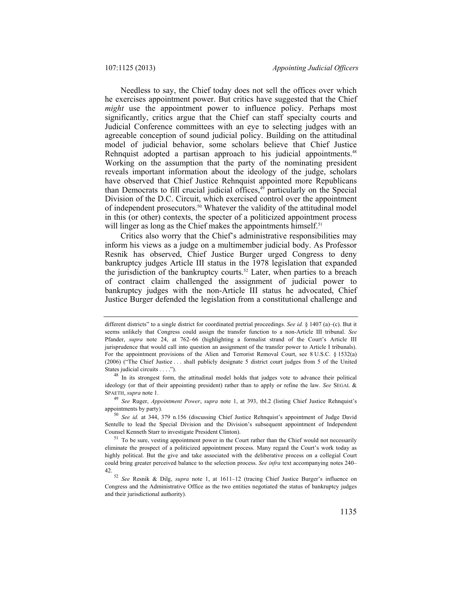Needless to say, the Chief today does not sell the offices over which he exercises appointment power. But critics have suggested that the Chief *might* use the appointment power to influence policy. Perhaps most significantly, critics argue that the Chief can staff specialty courts and Judicial Conference committees with an eye to selecting judges with an agreeable conception of sound judicial policy. Building on the attitudinal model of judicial behavior, some scholars believe that Chief Justice Rehnquist adopted a partisan approach to his judicial appointments.<sup>48</sup> Working on the assumption that the party of the nominating president reveals important information about the ideology of the judge, scholars have observed that Chief Justice Rehnquist appointed more Republicans than Democrats to fill crucial judicial offices,<sup>49</sup> particularly on the Special Division of the D.C. Circuit, which exercised control over the appointment of independent prosecutors.<sup>50</sup> Whatever the validity of the attitudinal model in this (or other) contexts, the specter of a politicized appointment process will linger as long as the Chief makes the appointments himself.<sup>51</sup>

Critics also worry that the Chief's administrative responsibilities may inform his views as a judge on a multimember judicial body. As Professor Resnik has observed, Chief Justice Burger urged Congress to deny bankruptcy judges Article III status in the 1978 legislation that expanded the jurisdiction of the bankruptcy courts.<sup>52</sup> Later, when parties to a breach of contract claim challenged the assignment of judicial power to bankruptcy judges with the non-Article III status he advocated, Chief Justice Burger defended the legislation from a constitutional challenge and

different districts" to a single district for coordinated pretrial proceedings. *See id.* § 1407 (a)–(c). But it seems unlikely that Congress could assign the transfer function to a non-Article III tribunal. *See* Pfander, *supra* note 24, at 762–66 (highlighting a formalist strand of the Court's Article III jurisprudence that would call into question an assignment of the transfer power to Article I tribunals). For the appointment provisions of the Alien and Terrorist Removal Court, see 8 U.S.C. § 1532(a) (2006) ("The Chief Justice . . . shall publicly designate 5 district court judges from 5 of the United States judicial circuits . . . .").  $48 \text{ In its strongest form, the attitudinal model holds that judges vote to advance their political.}$ 

ideology (or that of their appointing president) rather than to apply or refine the law. *See* SEGAL & SPAETH, *supra* note 1. 49 *See* Ruger, *Appointment Power*, *supra* note 1, at 393, tbl.2 (listing Chief Justice Rehnquist's

appointments by party). 50 *See id.* at 344, 379 n.156 (discussing Chief Justice Rehnquist's appointment of Judge David

Sentelle to lead the Special Division and the Division's subsequent appointment of Independent Counsel Kenneth Starr to investigate President Clinton). 51 To be sure, vesting appointment power in the Court rather than the Chief would not necessarily

eliminate the prospect of a politicized appointment process. Many regard the Court's work today as highly political. But the give and take associated with the deliberative process on a collegial Court could bring greater perceived balance to the selection process. *See infra* text accompanying notes 240–

<sup>42. 52</sup> *See* Resnik & Dilg, *supra* note 1, at 1611–12 (tracing Chief Justice Burger's influence on Congress and the Administrative Office as the two entities negotiated the status of bankruptcy judges and their jurisdictional authority).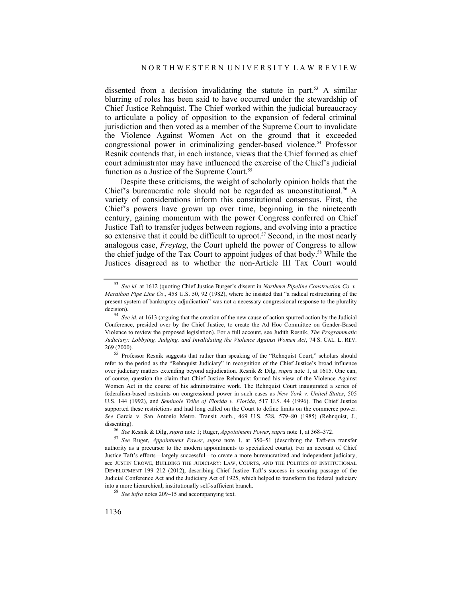dissented from a decision invalidating the statute in part.<sup>53</sup> A similar blurring of roles has been said to have occurred under the stewardship of Chief Justice Rehnquist. The Chief worked within the judicial bureaucracy to articulate a policy of opposition to the expansion of federal criminal jurisdiction and then voted as a member of the Supreme Court to invalidate the Violence Against Women Act on the ground that it exceeded congressional power in criminalizing gender-based violence.<sup>54</sup> Professor Resnik contends that, in each instance, views that the Chief formed as chief court administrator may have influenced the exercise of the Chief's judicial function as a Justice of the Supreme Court.<sup>55</sup>

Despite these criticisms, the weight of scholarly opinion holds that the Chief's bureaucratic role should not be regarded as unconstitutional.<sup>56</sup> A variety of considerations inform this constitutional consensus. First, the Chief's powers have grown up over time, beginning in the nineteenth century, gaining momentum with the power Congress conferred on Chief Justice Taft to transfer judges between regions, and evolving into a practice so extensive that it could be difficult to uproot.<sup>57</sup> Second, in the most nearly analogous case, *Freytag*, the Court upheld the power of Congress to allow the chief judge of the Tax Court to appoint judges of that body.58 While the Justices disagreed as to whether the non-Article III Tax Court would

<sup>53</sup> *See id.* at 1612 (quoting Chief Justice Burger's dissent in *Northern Pipeline Construction Co. v. Marathon Pipe Line Co.*, 458 U.S. 50, 92 (1982), where he insisted that "a radical restructuring of the present system of bankruptcy adjudication" was not a necessary congressional response to the plurality decision).<br><sup>54</sup> *See id.* at 1613 (arguing that the creation of the new cause of action spurred action by the Judicial

Conference, presided over by the Chief Justice, to create the Ad Hoc Committee on Gender-Based Violence to review the proposed legislation). For a full account, see Judith Resnik, *The Programmatic Judiciary: Lobbying, Judging, and Invalidating the Violence Against Women Act*, 74 S. CAL. L. REV. 269 (2000). 55 Professor Resnik suggests that rather than speaking of the "Rehnquist Court," scholars should

refer to the period as the "Rehnquist Judiciary" in recognition of the Chief Justice's broad influence over judiciary matters extending beyond adjudication. Resnik & Dilg, *supra* note 1, at 1615. One can, of course, question the claim that Chief Justice Rehnquist formed his view of the Violence Against Women Act in the course of his administrative work. The Rehnquist Court inaugurated a series of federalism-based restraints on congressional power in such cases as *New York v. United States*, 505 U.S. 144 (1992), and *Seminole Tribe of Florida v. Florida*, 517 U.S. 44 (1996). The Chief Justice supported these restrictions and had long called on the Court to define limits on the commerce power. *See* Garcia v. San Antonio Metro. Transit Auth., 469 U.S. 528, 579–80 (1985) (Rehnquist, J., dissenting).<br>
<sup>56</sup> See Resnik & Dilg, supra note 1; Ruger, *Appointment Power*, supra note 1, at 368–372.<br>
<sup>57</sup> See Ruger, *Appointment Power*, supra note 1, at 350–51 (describing the Taft-era transfer

authority as a precursor to the modern appointments to specialized courts). For an account of Chief Justice Taft's efforts—largely successful—to create a more bureaucratized and independent judiciary, see JUSTIN CROWE, BUILDING THE JUDICIARY: LAW, COURTS, AND THE POLITICS OF INSTITUTIONAL DEVELOPMENT 199–212 (2012), describing Chief Justice Taft's success in securing passage of the Judicial Conference Act and the Judiciary Act of 1925, which helped to transform the federal judiciary into a more hierarchical, institutionally self-sufficient branch. 58 *See infra* notes 209–15 and accompanying text.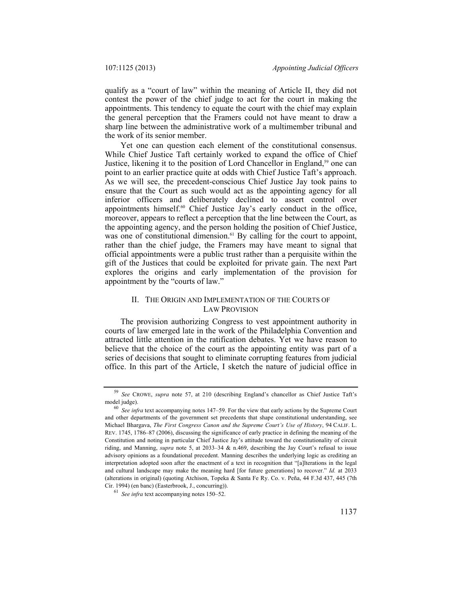qualify as a "court of law" within the meaning of Article II, they did not contest the power of the chief judge to act for the court in making the appointments. This tendency to equate the court with the chief may explain the general perception that the Framers could not have meant to draw a sharp line between the administrative work of a multimember tribunal and the work of its senior member.

Yet one can question each element of the constitutional consensus. While Chief Justice Taft certainly worked to expand the office of Chief Justice, likening it to the position of Lord Chancellor in England,<sup>59</sup> one can point to an earlier practice quite at odds with Chief Justice Taft's approach. As we will see, the precedent-conscious Chief Justice Jay took pains to ensure that the Court as such would act as the appointing agency for all inferior officers and deliberately declined to assert control over appointments himself.<sup>60</sup> Chief Justice Jay's early conduct in the office, moreover, appears to reflect a perception that the line between the Court, as the appointing agency, and the person holding the position of Chief Justice, was one of constitutional dimension.<sup>61</sup> By calling for the court to appoint, rather than the chief judge, the Framers may have meant to signal that official appointments were a public trust rather than a perquisite within the gift of the Justices that could be exploited for private gain. The next Part explores the origins and early implementation of the provision for appointment by the "courts of law."

# II. THE ORIGIN AND IMPLEMENTATION OF THE COURTS OF LAW PROVISION

The provision authorizing Congress to vest appointment authority in courts of law emerged late in the work of the Philadelphia Convention and attracted little attention in the ratification debates. Yet we have reason to believe that the choice of the court as the appointing entity was part of a series of decisions that sought to eliminate corrupting features from judicial office. In this part of the Article, I sketch the nature of judicial office in

<sup>59</sup> *See* CROWE, *supra* note 57, at 210 (describing England's chancellor as Chief Justice Taft's

<sup>&</sup>lt;sup>60</sup> See infra text accompanying notes 147–59. For the view that early actions by the Supreme Court and other departments of the government set precedents that shape constitutional understanding, see Michael Bhargava, *The First Congress Canon and the Supreme Court's Use of History*, 94 CALIF. L. REV. 1745, 1786–87 (2006), discussing the significance of early practice in defining the meaning of the Constitution and noting in particular Chief Justice Jay's attitude toward the constitutionality of circuit riding, and Manning, *supra* note 5, at 2033–34 & n.469, describing the Jay Court's refusal to issue advisory opinions as a foundational precedent. Manning describes the underlying logic as crediting an interpretation adopted soon after the enactment of a text in recognition that "[a]lterations in the legal and cultural landscape may make the meaning hard [for future generations] to recover." *Id.* at 2033 (alterations in original) (quoting Atchison, Topeka & Santa Fe Ry. Co. v. Peña, 44 F.3d 437, 445 (7th Cir. 1994) (en banc) (Easterbrook, J., concurring)). 61 *See infra* text accompanying notes 150–52.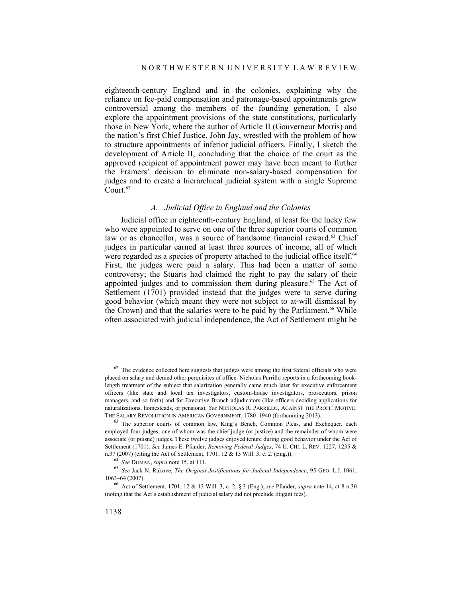eighteenth-century England and in the colonies, explaining why the reliance on fee-paid compensation and patronage-based appointments grew controversial among the members of the founding generation. I also explore the appointment provisions of the state constitutions, particularly those in New York, where the author of Article II (Gouverneur Morris) and the nation's first Chief Justice, John Jay, wrestled with the problem of how to structure appointments of inferior judicial officers. Finally, I sketch the development of Article II, concluding that the choice of the court as the approved recipient of appointment power may have been meant to further the Framers' decision to eliminate non-salary-based compensation for judges and to create a hierarchical judicial system with a single Supreme Court. $62$ 

# *A. Judicial Office in England and the Colonies*

Judicial office in eighteenth-century England, at least for the lucky few who were appointed to serve on one of the three superior courts of common law or as chancellor, was a source of handsome financial reward.<sup>63</sup> Chief judges in particular earned at least three sources of income, all of which were regarded as a species of property attached to the judicial office itself.<sup>64</sup> First, the judges were paid a salary. This had been a matter of some controversy; the Stuarts had claimed the right to pay the salary of their appointed judges and to commission them during pleasure.<sup>65</sup> The Act of Settlement (1701) provided instead that the judges were to serve during good behavior (which meant they were not subject to at-will dismissal by the Crown) and that the salaries were to be paid by the Parliament.<sup>66</sup> While often associated with judicial independence, the Act of Settlement might be

 $62$  The evidence collected here suggests that judges were among the first federal officials who were placed on salary and denied other perquisites of office. Nicholas Parrillo reports in a forthcoming booklength treatment of the subject that salarization generally came much later for executive enforcement officers (like state and local tax investigators, custom-house investigators, prosecutors, prison managers, and so forth) and for Executive Branch adjudicators (like officers deciding applications for naturalizations, homesteads, or pensions). *See* NICHOLAS R. PARRILLO, AGAINST THE PROFIT MOTIVE:<br>THE SALARY REVOLUTION IN AMERICAN GOVERNMENT, 1780–1940 (forthcoming 2013).

 $63$  The superior courts of common law, King's Bench, Common Pleas, and Exchequer, each employed four judges, one of whom was the chief judge (or justice) and the remainder of whom were associate (or puisne) judges. These twelve judges enjoyed tenure during good behavior under the Act of Settlement (1701). *See* James E. Pfander, *Removing Federal Judges*, 74 U. CHI. L. REV. 1227, 1235 &

n.37 (2007) (citing the Act of Settlement, 1701, 12 & 13 Will. 3, c. 2. (Eng.)).<br><sup>64</sup> See DUMAN, supra note 15, at 111.<br><sup>65</sup> See Jack N. Rakove, *The Original Justifications for Judicial Independence*, 95 GEO. L.J. 1061, 1063–64 (2007). 66 Act of Settlement, 1701, 12 & 13 Will. 3, c. 2, § 3 (Eng.); *see* Pfander, *supra* note 14, at 8 n.30

<sup>(</sup>noting that the Act's establishment of judicial salary did not preclude litigant fees).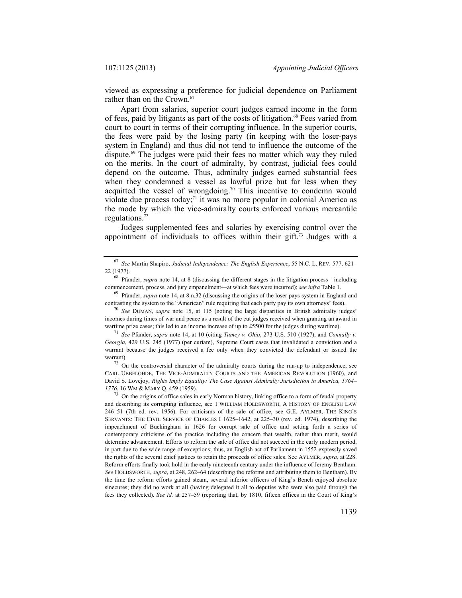viewed as expressing a preference for judicial dependence on Parliament rather than on the Crown.<sup>67</sup>

Apart from salaries, superior court judges earned income in the form of fees, paid by litigants as part of the costs of litigation.<sup>68</sup> Fees varied from court to court in terms of their corrupting influence. In the superior courts, the fees were paid by the losing party (in keeping with the loser-pays system in England) and thus did not tend to influence the outcome of the dispute.69 The judges were paid their fees no matter which way they ruled on the merits. In the court of admiralty, by contrast, judicial fees could depend on the outcome. Thus, admiralty judges earned substantial fees when they condemned a vessel as lawful prize but far less when they acquitted the vessel of wrongdoing.<sup>70</sup> This incentive to condemn would violate due process today;<sup>71</sup> it was no more popular in colonial America as the mode by which the vice-admiralty courts enforced various mercantile regulations.72

Judges supplemented fees and salaries by exercising control over the appointment of individuals to offices within their gift.<sup>73</sup> Judges with a

contrasting the system to the "American" rule requiring that each party pay its own attorneys' fees). 70 *See* DUMAN, *supra* note 15, at 115 (noting the large disparities in British admiralty judges'

incomes during times of war and peace as a result of the cut judges received when granting an award in wartime prize cases; this led to an income increase of up to £5500 for the judges during wartime).<br><sup>71</sup> *See* Pfander, *supra* note 14, at 10 (citing *Tumey v. Ohio*, 273 U.S. 510 (1927), and *Connally v.* 

*Georgia*, 429 U.S. 245 (1977) (per curiam), Supreme Court cases that invalidated a conviction and a warrant because the judges received a fee only when they convicted the defendant or issued the warrant).<br><sup>72</sup> On the controversial character of the admiralty courts during the run-up to independence, see

CARL UBBELOHDE, THE VICE-ADMIRALTY COURTS AND THE AMERICAN REVOLUTION (1960), and David S. Lovejoy, *Rights Imply Equality: The Case Against Admiralty Jurisdiction in America, 1764– 1776*, 16 WM & MARY Q. 459 (1959).<br><sup>73</sup> On the origins of office sales in early Norman history, linking office to a form of feudal property

and describing its corrupting influence, see 1 WILLIAM HOLDSWORTH, A HISTORY OF ENGLISH LAW 246–51 (7th ed. rev. 1956). For criticisms of the sale of office, see G.E. AYLMER, THE KING'S SERVANTS: THE CIVIL SERVICE OF CHARLES I 1625–1642, at 225–30 (rev. ed. 1974), describing the impeachment of Buckingham in 1626 for corrupt sale of office and setting forth a series of contemporary criticisms of the practice including the concern that wealth, rather than merit, would determine advancement. Efforts to reform the sale of office did not succeed in the early modern period, in part due to the wide range of exceptions; thus, an English act of Parliament in 1552 expressly saved the rights of the several chief justices to retain the proceeds of office sales. See AYLMER, *supra*, at 228. Reform efforts finally took hold in the early nineteenth century under the influence of Jeremy Bentham. *See* HOLDSWORTH, *supra*, at 248, 262–64 (describing the reforms and attributing them to Bentham). By the time the reform efforts gained steam, several inferior officers of King's Bench enjoyed absolute sinecures; they did no work at all (having delegated it all to deputies who were also paid through the fees they collected). *See id.* at 257–59 (reporting that, by 1810, fifteen offices in the Court of King's

<sup>67</sup> *See* Martin Shapiro, *Judicial Independence: The English Experience*, 55 N.C. L. REV. 577, 621– 22 (1977). 68 Pfander, *supra* note 14, at 8 (discussing the different stages in the litigation process—including

commencement, process, and jury empanelment—at which fees were incurred); *see infra* Table 1.<br><sup>69</sup> Pfander, *supra* note 14, at 8 n.32 (discussing the origins of the loser pays system in England and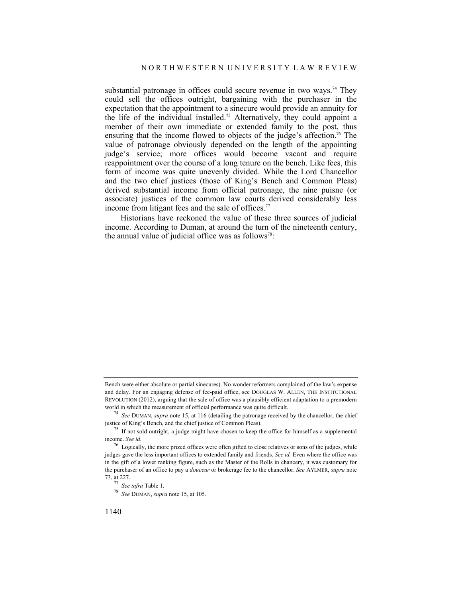substantial patronage in offices could secure revenue in two ways.<sup>74</sup> They could sell the offices outright, bargaining with the purchaser in the expectation that the appointment to a sinecure would provide an annuity for the life of the individual installed.<sup>75</sup> Alternatively, they could appoint a member of their own immediate or extended family to the post, thus ensuring that the income flowed to objects of the judge's affection.<sup>76</sup> The value of patronage obviously depended on the length of the appointing judge's service; more offices would become vacant and require reappointment over the course of a long tenure on the bench. Like fees, this form of income was quite unevenly divided. While the Lord Chancellor and the two chief justices (those of King's Bench and Common Pleas) derived substantial income from official patronage, the nine puisne (or associate) justices of the common law courts derived considerably less income from litigant fees and the sale of offices.<sup>77</sup>

Historians have reckoned the value of these three sources of judicial income. According to Duman, at around the turn of the nineteenth century, the annual value of judicial office was as follows<sup>78</sup>:

Bench were either absolute or partial sinecures). No wonder reformers complained of the law's expense and delay. For an engaging defense of fee-paid office, see DOUGLAS W. ALLEN, THE INSTITUTIONAL REVOLUTION (2012), arguing that the sale of office was a plausibly efficient adaptation to a premodern

world in which the measurement of official performance was quite difficult.<br><sup>74</sup> *See* DUMAN, *supra* note 15, at 116 (detailing the patronage received by the chancellor, the chief justice of King's Bench, and the chief ju

 $^{75}$  If not sold outright, a judge might have chosen to keep the office for himself as a supplemental income. *See id.*

<sup>&</sup>lt;sup>76</sup> Logically, the more prized offices were often gifted to close relatives or sons of the judges, while judges gave the less important offices to extended family and friends. *See id.* Even where the office was in the gift of a lower ranking figure, such as the Master of the Rolls in chancery, it was customary for the purchaser of an office to pay a *douceur* or brokerage fee to the chancellor. *See* AYLMER, *supra* note

<sup>73,</sup> at 227. 77 *See infra* Table 1. 78 *See* DUMAN, *supra* note 15, at 105.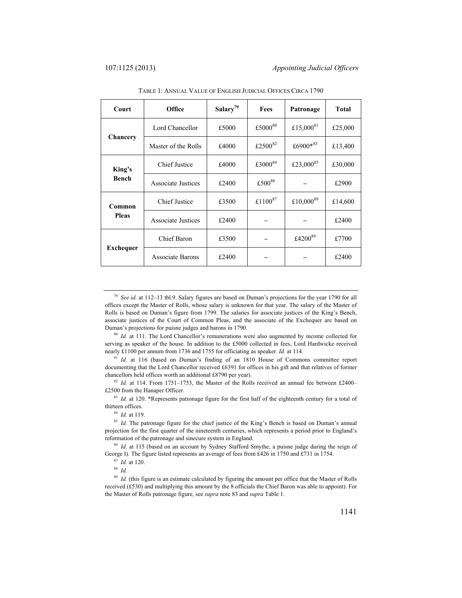| Court            | Office                    | Salary <sup>79</sup> | Fees                | Patronage    | <b>Total</b> |
|------------------|---------------------------|----------------------|---------------------|--------------|--------------|
|                  | Lord Chancellor           | £5000                | £5000 $80$          | £15,000 $81$ | £25,000      |
| Chancery         | Master of the Rolls       | £4000                | £2500 $82$          | £6900*83     | £13,400      |
| King's           | Chief Justice             | £4000                | £3000 <sup>84</sup> | £23,000 $85$ | £30,000      |
| Bench            | <b>Associate Justices</b> | £2400                | £500 <sup>86</sup>  |              | £2900        |
| Common           | Chief Justice             | £3500                | £1100 <sup>87</sup> | £10,000 $88$ | £14,600      |
| <b>Pleas</b>     | Associate Justices        | £2400                |                     |              | £2400        |
|                  | Chief Baron               | £3500                |                     | £420089      | £7700        |
| <b>Exchequer</b> | <b>Associate Barons</b>   | £2400                |                     |              | £2400        |

TABLE 1: ANNUAL VALUE OF ENGLISH JUDICIAL OFFICES CIRCA 1790

serving as speaker of the house. In addition to the £5000 collected in fees, Lord Hardwicke received nearly £1100 per annum from 1736 and 1755 for officiating as speaker. *Id.* at 114.<br><sup>81</sup> *Id.* at 116 (based on Duman's finding of an 1810 House of Commons committee report

documenting that the Lord Chancellor received £6391 for offices in his gift and that relatives of former

chancellors held offices worth an additional £8790 per year).<br><sup>82</sup> *Id.* at 114. From 1751–1753, the Master of the Rolls received an annual fee between £2400–<br>£2500 from the Hanaper Officer.

<sup>83</sup> Id. at 120. \*Represents patronage figure for the first half of the eighteenth century for a total of thirteen offices.<br><sup>84</sup> *Id.* at 119.<br><sup>85</sup> *Id.* The patronage figure for the chief justice of the King's Bench is based on Duman's annual

projection for the first quarter of the nineteenth centuries, which represents a period prior to England's reformation of the patronage and sinecure system in England. 86 *Id.* at 115 (based on an account by Sydney Stafford Smythe, a puisne judge during the reign of

George I). The figure listed represents an average of fees from £426 in 1750 and £731 in 1754.<br><sup>87</sup> *Id.* at 120.<br><sup>88</sup> *Id* 

<sup>89</sup> *Id.* (this figure is an estimate calculated by figuring the amount per office that the Master of Rolls received (£530) and multiplying this amount by the 8 officials the Chief Baron was able to appoint). For the Master of Rolls patronage figure, see *supra* note 83 and *supra* Table 1.

<sup>79</sup> *See id.* at 112–13 tbl.9. Salary figures are based on Duman's projections for the year 1790 for all offices except the Master of Rolls, whose salary is unknown for that year. The salary of the Master of Rolls is based on Duman's figure from 1799. The salaries for associate justices of the King's Bench, associate justices of the Court of Common Pleas, and the associate of the Exchequer are based on Duman's projections for puisne judges and barons in 1790. 80 *Id.* at 111. The Lord Chancellor's remunerations were also augmented by income collected for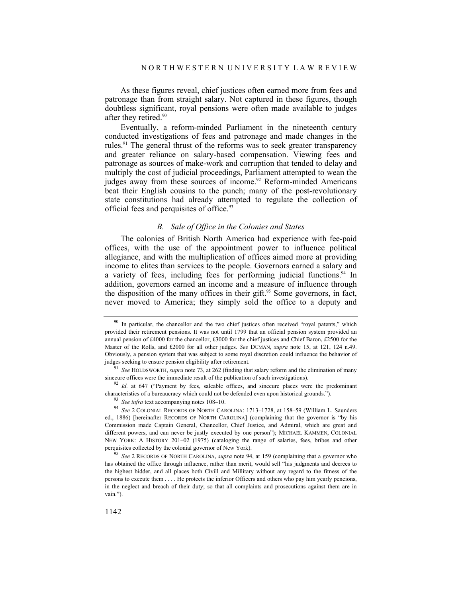As these figures reveal, chief justices often earned more from fees and patronage than from straight salary. Not captured in these figures, though doubtless significant, royal pensions were often made available to judges after they retired.<sup>90</sup>

Eventually, a reform-minded Parliament in the nineteenth century conducted investigations of fees and patronage and made changes in the rules.<sup>91</sup> The general thrust of the reforms was to seek greater transparency and greater reliance on salary-based compensation. Viewing fees and patronage as sources of make-work and corruption that tended to delay and multiply the cost of judicial proceedings, Parliament attempted to wean the judges away from these sources of income.<sup>92</sup> Reform-minded Americans beat their English cousins to the punch; many of the post-revolutionary state constitutions had already attempted to regulate the collection of official fees and perquisites of office.<sup>93</sup>

### *B. Sale of Office in the Colonies and States*

The colonies of British North America had experience with fee-paid offices, with the use of the appointment power to influence political allegiance, and with the multiplication of offices aimed more at providing income to elites than services to the people. Governors earned a salary and a variety of fees, including fees for performing judicial functions.<sup>94</sup> In addition, governors earned an income and a measure of influence through the disposition of the many offices in their gift.<sup>95</sup> Some governors, in fact, never moved to America; they simply sold the office to a deputy and

<sup>92</sup> *Id.* at 647 ("Payment by fees, saleable offices, and sinecure places were the predominant characteristics of a bureaucracy which could not be defended even upon historical grounds.").

<sup>&</sup>lt;sup>90</sup> In particular, the chancellor and the two chief justices often received "royal patents," which provided their retirement pensions. It was not until 1799 that an official pension system provided an annual pension of £4000 for the chancellor, £3000 for the chief justices and Chief Baron, £2500 for the Master of the Rolls, and £2000 for all other judges. *See* DUMAN, *supra* note 15, at 121, 124 n.49. Obviously, a pension system that was subject to some royal discretion could influence the behavior of

judges seeking to ensure pension eligibility after retirement.<br><sup>91</sup> *See* HOLDSWORTH, *supra* note 73, at 262 (finding that salary reform and the elimination of many sinecure offices were the immediate result of the public

<sup>&</sup>lt;sup>93</sup> See infra text accompanying notes 108–10.<br><sup>94</sup> See 2 COLONIAL RECORDS OF NORTH CAROLINA: 1713–1728, at 158–59 (William L. Saunders ed., 1886) [hereinafter RECORDS OF NORTH CAROLINA] (complaining that the governor is "by his Commission made Captain General, Chancellor, Chief Justice, and Admiral, which are great and different powers, and can never be justly executed by one person"); MICHAEL KAMMEN, COLONIAL NEW YORK: A HISTORY 201–02 (1975) (cataloging the range of salaries, fees, bribes and other perquisites collected by the colonial governor of New York). 95 *See* 2 RECORDS OF NORTH CAROLINA, *supra* note 94, at 159 (complaining that a governor who

has obtained the office through influence, rather than merit, would sell "his judgments and decrees to the highest bidder, and all places both Civill and Millitary without any regard to the fitness of the persons to execute them . . . . He protects the inferior Officers and others who pay him yearly pencions, in the neglect and breach of their duty; so that all complaints and prosecutions against them are in vain.").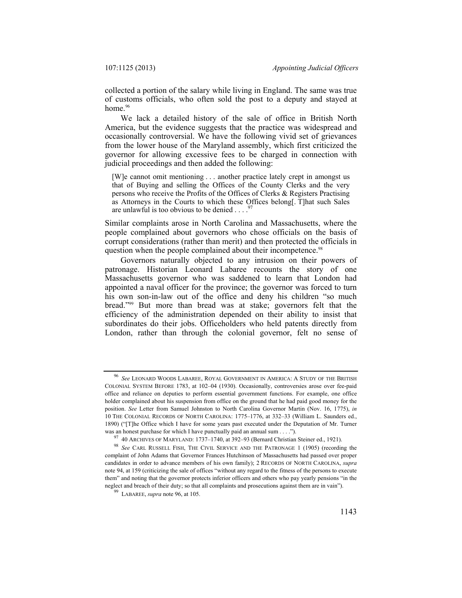collected a portion of the salary while living in England. The same was true of customs officials, who often sold the post to a deputy and stayed at home.<sup>96</sup>

We lack a detailed history of the sale of office in British North America, but the evidence suggests that the practice was widespread and occasionally controversial. We have the following vivid set of grievances from the lower house of the Maryland assembly, which first criticized the governor for allowing excessive fees to be charged in connection with judicial proceedings and then added the following:

[W]e cannot omit mentioning . . . another practice lately crept in amongst us that of Buying and selling the Offices of the County Clerks and the very persons who receive the Profits of the Offices of Clerks & Registers Practising as Attorneys in the Courts to which these Offices belong[. T]hat such Sales are unlawful is too obvious to be denied  $\ldots$ .

Similar complaints arose in North Carolina and Massachusetts, where the people complained about governors who chose officials on the basis of corrupt considerations (rather than merit) and then protected the officials in question when the people complained about their incompetence.<sup>98</sup>

Governors naturally objected to any intrusion on their powers of patronage. Historian Leonard Labaree recounts the story of one Massachusetts governor who was saddened to learn that London had appointed a naval officer for the province; the governor was forced to turn his own son-in-law out of the office and deny his children "so much bread."99 But more than bread was at stake; governors felt that the efficiency of the administration depended on their ability to insist that subordinates do their jobs. Officeholders who held patents directly from London, rather than through the colonial governor, felt no sense of

<sup>96</sup> *See* LEONARD WOODS LABAREE, ROYAL GOVERNMENT IN AMERICA: A STUDY OF THE BRITISH COLONIAL SYSTEM BEFORE 1783, at 102–04 (1930). Occasionally, controversies arose over fee-paid office and reliance on deputies to perform essential government functions. For example, one office holder complained about his suspension from office on the ground that he had paid good money for the position. *See* Letter from Samuel Johnston to North Carolina Governor Martin (Nov. 16, 1775), *in* 10 THE COLONIAL RECORDS OF NORTH CAROLINA: 1775–1776, at 332–33 (William L. Saunders ed., 1890) ("[T]he Office which I have for some years past executed under the Deputation of Mr. Turner was an honest purchase for which I have punctually paid an annual sum . . . .").

<sup>&</sup>lt;sup>97</sup> 40 ARCHIVES OF MARYLAND: 1737–1740, at 392–93 (Bernard Christian Steiner ed., 1921).<br><sup>98</sup> *See* CARL RUSSELL FISH, THE CIVIL SERVICE AND THE PATRONAGE 1 (1905) (recording the complaint of John Adams that Governor Frances Hutchinson of Massachusetts had passed over proper candidates in order to advance members of his own family); 2 RECORDS OF NORTH CAROLINA, *supra* note 94, at 159 (criticizing the sale of offices "without any regard to the fitness of the persons to execute them" and noting that the governor protects inferior officers and others who pay yearly pensions "in the neglect and breach of their duty; so that all complaints and prosecutions against them are in vain"). 99 LABAREE, *supra* note 96, at 105.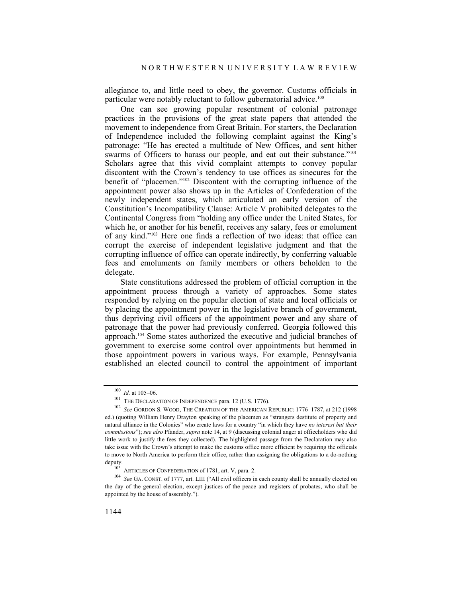allegiance to, and little need to obey, the governor. Customs officials in particular were notably reluctant to follow gubernatorial advice.<sup>100</sup>

One can see growing popular resentment of colonial patronage practices in the provisions of the great state papers that attended the movement to independence from Great Britain. For starters, the Declaration of Independence included the following complaint against the King's patronage: "He has erected a multitude of New Offices, and sent hither swarms of Officers to harass our people, and eat out their substance."<sup>101</sup> Scholars agree that this vivid complaint attempts to convey popular discontent with the Crown's tendency to use offices as sinecures for the benefit of "placemen."102 Discontent with the corrupting influence of the appointment power also shows up in the Articles of Confederation of the newly independent states, which articulated an early version of the Constitution's Incompatibility Clause: Article V prohibited delegates to the Continental Congress from "holding any office under the United States, for which he, or another for his benefit, receives any salary, fees or emolument of any kind."103 Here one finds a reflection of two ideas: that office can corrupt the exercise of independent legislative judgment and that the corrupting influence of office can operate indirectly, by conferring valuable fees and emoluments on family members or others beholden to the delegate.

State constitutions addressed the problem of official corruption in the appointment process through a variety of approaches. Some states responded by relying on the popular election of state and local officials or by placing the appointment power in the legislative branch of government, thus depriving civil officers of the appointment power and any share of patronage that the power had previously conferred. Georgia followed this approach.104 Some states authorized the executive and judicial branches of government to exercise some control over appointments but hemmed in those appointment powers in various ways. For example, Pennsylvania established an elected council to control the appointment of important

<sup>&</sup>lt;sup>100</sup> *Id.* at 105–06.<br><sup>101</sup> THE DECLARATION OF INDEPENDENCE para. 12 (U.S. 1776).<br><sup>102</sup> *See* GORDON S. WOOD, THE CREATION OF THE AMERICAN REPUBLIC: 1776–1787, at 212 (1998 ed.) (quoting William Henry Drayton speaking of the placemen as "strangers destitute of property and natural alliance in the Colonies" who create laws for a country "in which they have *no interest but their commissions*"); *see also* Pfander, *supra* note 14, at 9 (discussing colonial anger at officeholders who did little work to justify the fees they collected). The highlighted passage from the Declaration may also take issue with the Crown's attempt to make the customs office more efficient by requiring the officials to move to North America to perform their office, rather than assigning the obligations to a do-nothing

deputy.<br><sup>103</sup> ARTICLES OF CONFEDERATION of 1781, art. V, para. 2.<br><sup>104</sup> *See* GA. CONST. of 1777, art. LIII ("All civil officers in each county shall be annually elected on the day of the general election, except justices of the peace and registers of probates, who shall be appointed by the house of assembly.").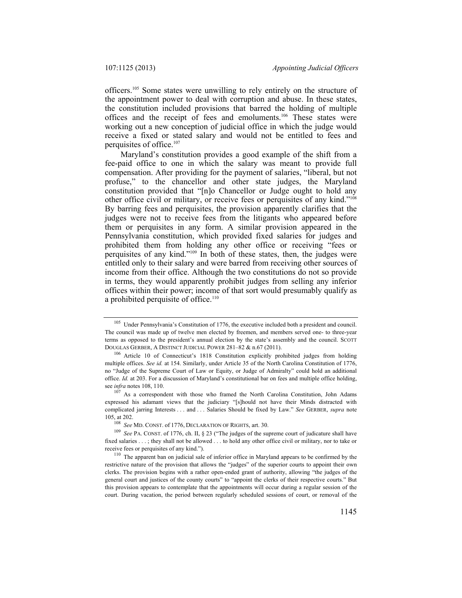officers.105 Some states were unwilling to rely entirely on the structure of the appointment power to deal with corruption and abuse. In these states, the constitution included provisions that barred the holding of multiple offices and the receipt of fees and emoluments.106 These states were working out a new conception of judicial office in which the judge would receive a fixed or stated salary and would not be entitled to fees and perquisites of office.107

Maryland's constitution provides a good example of the shift from a fee-paid office to one in which the salary was meant to provide full compensation. After providing for the payment of salaries, "liberal, but not profuse," to the chancellor and other state judges, the Maryland constitution provided that "[n]o Chancellor or Judge ought to hold any other office civil or military, or receive fees or perquisites of any kind."108 By barring fees and perquisites, the provision apparently clarifies that the judges were not to receive fees from the litigants who appeared before them or perquisites in any form. A similar provision appeared in the Pennsylvania constitution, which provided fixed salaries for judges and prohibited them from holding any other office or receiving "fees or perquisites of any kind."109 In both of these states, then, the judges were entitled only to their salary and were barred from receiving other sources of income from their office. Although the two constitutions do not so provide in terms, they would apparently prohibit judges from selling any inferior offices within their power; income of that sort would presumably qualify as a prohibited perquisite of office.<sup>110</sup>

<sup>&</sup>lt;sup>105</sup> Under Pennsylvania's Constitution of 1776, the executive included both a president and council. The council was made up of twelve men elected by freemen, and members served one- to three-year terms as opposed to the president's annual election by the state's assembly and the council. SCOTT DOUGLAS GERBER, A DISTINCT JUDICIAL POWER 281–82 & n.67 (2011). 106 Article 10 of Connecticut's 1818 Constitution explicitly prohibited judges from holding

multiple offices. *See id.* at 154. Similarly, under Article 35 of the North Carolina Constitution of 1776, no "Judge of the Supreme Court of Law or Equity, or Judge of Admiralty" could hold an additional office. *Id.* at 203. For a discussion of Maryland's constitutional bar on fees and multiple office holding, see *infra* notes 108, 110.

<sup>&</sup>lt;sup>107</sup> As a correspondent with those who framed the North Carolina Constitution, John Adams expressed his adamant views that the judiciary "[s]hould not have their Minds distracted with complicated jarring Interests . . . and . . . Salaries Should be fixed by Law." *See* GERBER, *supra* note

<sup>105,</sup> at 202. 108 *See* MD. CONST. of 1776, DECLARATION OF RIGHTS, art. 30. 109 *See* PA. CONST. of 1776, ch. II, § 23 ("The judges of the supreme court of judicature shall have fixed salaries . . . ; they shall not be allowed . . . to hold any other office civil or military, nor to take or receive fees or perquisites of any kind.").<br><sup>110</sup> The apparent ban on judicial sale of inferior office in Maryland appears to be confirmed by the

restrictive nature of the provision that allows the "judges" of the superior courts to appoint their own clerks. The provision begins with a rather open-ended grant of authority, allowing "the judges of the general court and justices of the county courts" to "appoint the clerks of their respective courts." But this provision appears to contemplate that the appointments will occur during a regular session of the court. During vacation, the period between regularly scheduled sessions of court, or removal of the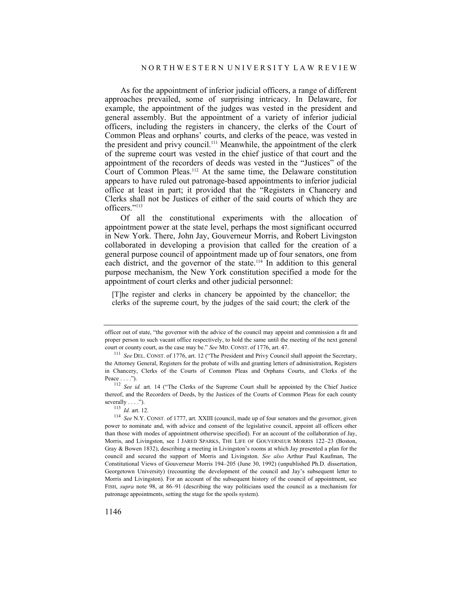As for the appointment of inferior judicial officers, a range of different approaches prevailed, some of surprising intricacy. In Delaware, for example, the appointment of the judges was vested in the president and general assembly. But the appointment of a variety of inferior judicial officers, including the registers in chancery, the clerks of the Court of Common Pleas and orphans' courts, and clerks of the peace, was vested in the president and privy council.111 Meanwhile, the appointment of the clerk of the supreme court was vested in the chief justice of that court and the appointment of the recorders of deeds was vested in the "Justices" of the Court of Common Pleas.112 At the same time, the Delaware constitution appears to have ruled out patronage-based appointments to inferior judicial office at least in part; it provided that the "Registers in Chancery and Clerks shall not be Justices of either of the said courts of which they are officers."113

Of all the constitutional experiments with the allocation of appointment power at the state level, perhaps the most significant occurred in New York. There, John Jay, Gouverneur Morris, and Robert Livingston collaborated in developing a provision that called for the creation of a general purpose council of appointment made up of four senators, one from each district, and the governor of the state.<sup>114</sup> In addition to this general purpose mechanism, the New York constitution specified a mode for the appointment of court clerks and other judicial personnel:

[T]he register and clerks in chancery be appointed by the chancellor; the clerks of the supreme court, by the judges of the said court; the clerk of the

officer out of state, "the governor with the advice of the council may appoint and commission a fit and proper person to such vacant office respectively, to hold the same until the meeting of the next general court or county court, as the case may be." *See MD.* CONST. of 1776, art. 47.<br><sup>111</sup> *See DEL.* CONST. of 1776, art. 12 ("The President and Privy Council shall appoint the Secretary,

the Attorney General, Registers for the probate of wills and granting letters of administration, Registers in Chancery, Clerks of the Courts of Common Pleas and Orphans Courts, and Clerks of the

Peace . . . .").<br><sup>112</sup> *See id.* art. 14 ("The Clerks of the Supreme Court shall be appointed by the Chief Justice thereof, and the Recorders of Deeds, by the Justices of the Courts of Common Pleas for each county

severally . . . .").<br><sup>113</sup> *Id.* art. 12.<br><sup>114</sup> *See* N.Y. CONST. of 1777, art. XXIII (council, made up of four senators and the governor, given power to nominate and, with advice and consent of the legislative council, appoint all officers other than those with modes of appointment otherwise specified). For an account of the collaboration of Jay, Morris, and Livingston, see 1 JARED SPARKS, THE LIFE OF GOUVERNEUR MORRIS 122–23 (Boston, Gray & Bowen 1832), describing a meeting in Livingston's rooms at which Jay presented a plan for the council and secured the support of Morris and Livingston. *See also* Arthur Paul Kaufman, The Constitutional Views of Gouverneur Morris 194–205 (June 30, 1992) (unpublished Ph.D. dissertation, Georgetown University) (recounting the development of the council and Jay's subsequent letter to Morris and Livingston). For an account of the subsequent history of the council of appointment, see FISH, *supra* note 98, at 86–91 (describing the way politicians used the council as a mechanism for patronage appointments, setting the stage for the spoils system).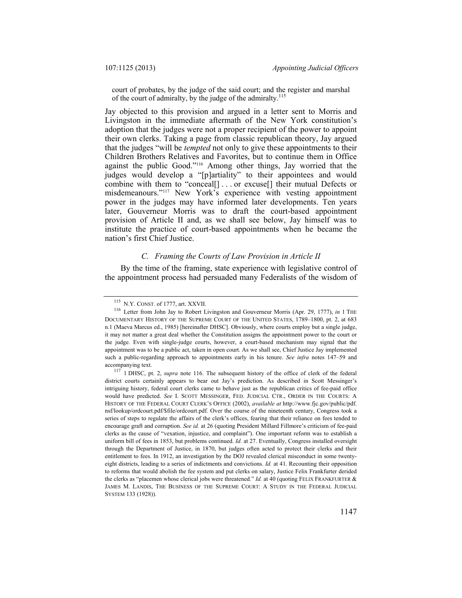court of probates, by the judge of the said court; and the register and marshal of the court of admiralty, by the judge of the admiralty.<sup>115</sup>

Jay objected to this provision and argued in a letter sent to Morris and Livingston in the immediate aftermath of the New York constitution's adoption that the judges were not a proper recipient of the power to appoint their own clerks. Taking a page from classic republican theory, Jay argued that the judges "will be *tempted* not only to give these appointments to their Children Brothers Relatives and Favorites, but to continue them in Office against the public Good."116 Among other things, Jay worried that the judges would develop a "[p]artiality" to their appointees and would combine with them to "conceal[] . . . or excuse[] their mutual Defects or misdemeanours."117 New York's experience with vesting appointment power in the judges may have informed later developments. Ten years later, Gouverneur Morris was to draft the court-based appointment provision of Article II and, as we shall see below, Jay himself was to institute the practice of court-based appointments when he became the nation's first Chief Justice.

## *C. Framing the Courts of Law Provision in Article II*

By the time of the framing, state experience with legislative control of the appointment process had persuaded many Federalists of the wisdom of

<sup>115</sup> N.Y. CONST. of 1777, art. XXVII. 116 Letter from John Jay to Robert Livingston and Gouverneur Morris (Apr. 29, 1777), *in* 1 THE DOCUMENTARY HISTORY OF THE SUPREME COURT OF THE UNITED STATES, 1789–1800, pt. 2, at 683 n.1 (Maeva Marcus ed., 1985) [hereinafter DHSC]. Obviously, where courts employ but a single judge, it may not matter a great deal whether the Constitution assigns the appointment power to the court or the judge. Even with single-judge courts, however, a court-based mechanism may signal that the appointment was to be a public act, taken in open court. As we shall see, Chief Justice Jay implemented such a public-regarding approach to appointments early in his tenure. *See infra* notes 147–59 and

accompanying text. 117 1 DHSC, pt. 2, *supra* note 116. The subsequent history of the office of clerk of the federal district courts certainly appears to bear out Jay's prediction. As described in Scott Messinger's intriguing history, federal court clerks came to behave just as the republican critics of fee-paid office would have predicted. *See* I. SCOTT MESSINGER, FED. JUDICIAL CTR., ORDER IN THE COURTS: A HISTORY OF THE FEDERAL COURT CLERK'S OFFICE (2002), *available at* http://www.fjc.gov/public/pdf. nsf/lookup/ordcourt.pdf/\$file/ordcourt.pdf. Over the course of the nineteenth century, Congress took a series of steps to regulate the affairs of the clerk's offices, fearing that their reliance on fees tended to encourage graft and corruption. *See id.* at 26 (quoting President Millard Fillmore's criticism of fee-paid clerks as the cause of "vexation, injustice, and complaint"). One important reform was to establish a uniform bill of fees in 1853, but problems continued. *Id.* at 27. Eventually, Congress installed oversight through the Department of Justice, in 1870, but judges often acted to protect their clerks and their entitlement to fees. In 1912, an investigation by the DOJ revealed clerical misconduct in some twentyeight districts, leading to a series of indictments and convictions. *Id.* at 41. Recounting their opposition to reforms that would abolish the fee system and put clerks on salary, Justice Felix Frankfurter derided the clerks as "placemen whose clerical jobs were threatened." *Id.* at 40 (quoting FELIX FRANKFURTER & JAMES M. LANDIS, THE BUSINESS OF THE SUPREME COURT: A STUDY IN THE FEDERAL JUDICIAL SYSTEM 133 (1928)).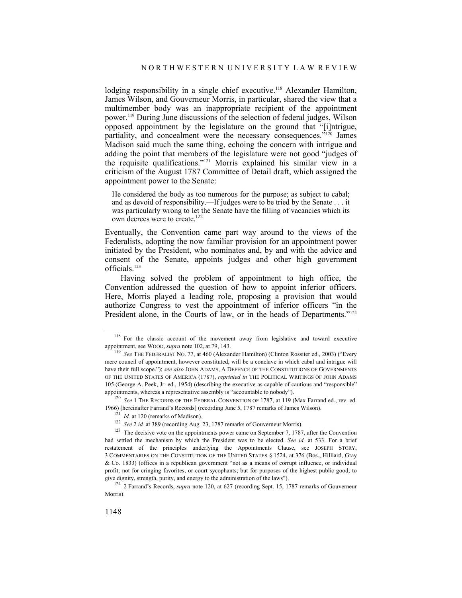lodging responsibility in a single chief executive.<sup>118</sup> Alexander Hamilton, James Wilson, and Gouverneur Morris, in particular, shared the view that a multimember body was an inappropriate recipient of the appointment power.119 During June discussions of the selection of federal judges, Wilson opposed appointment by the legislature on the ground that "[i]ntrigue, partiality, and concealment were the necessary consequences."<sup>120</sup> James Madison said much the same thing, echoing the concern with intrigue and adding the point that members of the legislature were not good "judges of the requisite qualifications."121 Morris explained his similar view in a criticism of the August 1787 Committee of Detail draft, which assigned the appointment power to the Senate:

He considered the body as too numerous for the purpose; as subject to cabal; and as devoid of responsibility.—If judges were to be tried by the Senate . . . it was particularly wrong to let the Senate have the filling of vacancies which its own decrees were to create.<sup>122</sup>

Eventually, the Convention came part way around to the views of the Federalists, adopting the now familiar provision for an appointment power initiated by the President, who nominates and, by and with the advice and consent of the Senate, appoints judges and other high government officials.123

Having solved the problem of appointment to high office, the Convention addressed the question of how to appoint inferior officers. Here, Morris played a leading role, proposing a provision that would authorize Congress to vest the appointment of inferior officers "in the President alone, in the Courts of law, or in the heads of Departments."<sup>124</sup>

appointments, whereas a representative assembly is "accountable to nobody").<br><sup>120</sup> *See* 1 THE RECORDS OF THE FEDERAL CONVENTION OF 1787, at 119 (Max Farrand ed., rev. ed.<br>1966) [hereinafter Farrand's Records] (recording J

<sup>&</sup>lt;sup>118</sup> For the classic account of the movement away from legislative and toward executive appointment, see WOOD, *supra* note 102, at 79, 143.

<sup>&</sup>lt;sup>119</sup> *See* THE FEDERALIST NO. 77, at 460 (Alexander Hamilton) (Clinton Rossiter ed., 2003) ("Every mere council of appointment, however constituted, will be a conclave in which cabal and intrigue will have their full scope."); *see also* JOHN ADAMS, A DEFENCE OF THE CONSTITUTIONS OF GOVERNMENTS OF THE UNITED STATES OF AMERICA (1787), *reprinted in* THE POLITICAL WRITINGS OF JOHN ADAMS 105 (George A. Peek, Jr. ed., 1954) (describing the executive as capable of cautious and "responsible"

<sup>&</sup>lt;sup>121</sup> *Id.* at 120 (remarks of Madison).<br><sup>122</sup> *See* 2 *id.* at 389 (recording Aug. 23, 1787 remarks of Gouverneur Morris).<br><sup>123</sup> The decisive vote on the appointments power came on September 7, 1787, after the Convention had settled the mechanism by which the President was to be elected. *See id.* at 533. For a brief restatement of the principles underlying the Appointments Clause, see JOSEPH STORY, 3 COMMENTARIES ON THE CONSTITUTION OF THE UNITED STATES § 1524, at 376 (Bos., Hilliard, Gray & Co. 1833) (offices in a republican government "not as a means of corrupt influence, or individual profit; not for cringing favorites, or court sycophants; but for purposes of the highest public good; to give dignity, strength, purity, and energy to the administration of the laws"). 124 2 Farrand's Records, *supra* note 120, at 627 (recording Sept. 15, 1787 remarks of Gouverneur

Morris).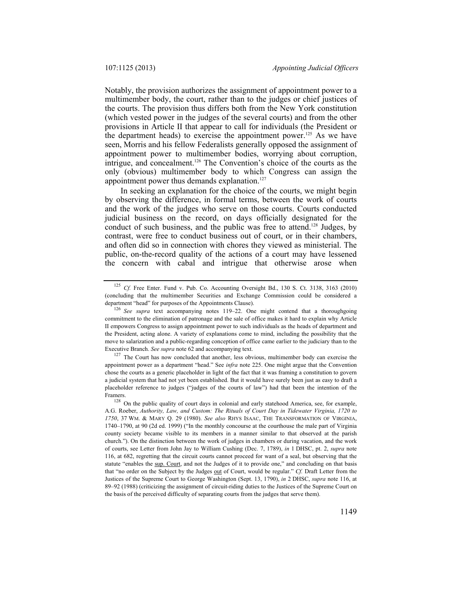Notably, the provision authorizes the assignment of appointment power to a multimember body, the court, rather than to the judges or chief justices of the courts. The provision thus differs both from the New York constitution (which vested power in the judges of the several courts) and from the other provisions in Article II that appear to call for individuals (the President or the department heads) to exercise the appointment power.<sup>125</sup> As we have seen, Morris and his fellow Federalists generally opposed the assignment of appointment power to multimember bodies, worrying about corruption, intrigue, and concealment.126 The Convention's choice of the courts as the only (obvious) multimember body to which Congress can assign the appointment power thus demands explanation. $127$ 

In seeking an explanation for the choice of the courts, we might begin by observing the difference, in formal terms, between the work of courts and the work of the judges who serve on those courts. Courts conducted judicial business on the record, on days officially designated for the conduct of such business, and the public was free to attend.<sup>128</sup> Judges, by contrast, were free to conduct business out of court, or in their chambers, and often did so in connection with chores they viewed as ministerial. The public, on-the-record quality of the actions of a court may have lessened the concern with cabal and intrigue that otherwise arose when

<sup>125</sup> *Cf.* Free Enter. Fund v. Pub. Co. Accounting Oversight Bd., 130 S. Ct. 3138, 3163 (2010) (concluding that the multimember Securities and Exchange Commission could be considered a department "head" for purposes of the Appointments Clause). 126 *See supra* text accompanying notes 119–22. One might contend that a thoroughgoing

commitment to the elimination of patronage and the sale of office makes it hard to explain why Article II empowers Congress to assign appointment power to such individuals as the heads of department and the President, acting alone. A variety of explanations come to mind, including the possibility that the move to salarization and a public-regarding conception of office came earlier to the judiciary than to the Executive Branch. *See supra* note 62 and accompanying text.<br><sup>127</sup> The Court has now concluded that another, less obvious, multimember body can exercise the

appointment power as a department "head." See *infra* note 225. One might argue that the Convention chose the courts as a generic placeholder in light of the fact that it was framing a constitution to govern a judicial system that had not yet been established. But it would have surely been just as easy to draft a placeholder reference to judges ("judges of the courts of law") had that been the intention of the Framers.<br><sup>128</sup> On the public quality of court days in colonial and early statehood America, see, for example,

A.G. Roeber, *Authority, Law, and Custom: The Rituals of Court Day in Tidewater Virginia, 1720 to 1750*, 37 WM. & MARY Q. 29 (1980). *See also* RHYS ISAAC, THE TRANSFORMATION OF VIRGINIA, 1740–1790, at 90 (2d ed. 1999) ("In the monthly concourse at the courthouse the male part of Virginia county society became visible to its members in a manner similar to that observed at the parish church."). On the distinction between the work of judges in chambers or during vacation, and the work of courts, see Letter from John Jay to William Cushing (Dec. 7, 1789), *in* 1 DHSC, pt. 2, *supra* note 116, at 682, regretting that the circuit courts cannot proceed for want of a seal, but observing that the statute "enables the sup. Court, and not the Judges of it to provide one," and concluding on that basis that "no order on the Subject by the Judges out of Court, would be regular." *Cf.* Draft Letter from the Justices of the Supreme Court to George Washington (Sept. 13, 1790), *in* 2 DHSC, *supra* note 116, at 89–92 (1988) (criticizing the assignment of circuit-riding duties to the Justices of the Supreme Court on the basis of the perceived difficulty of separating courts from the judges that serve them).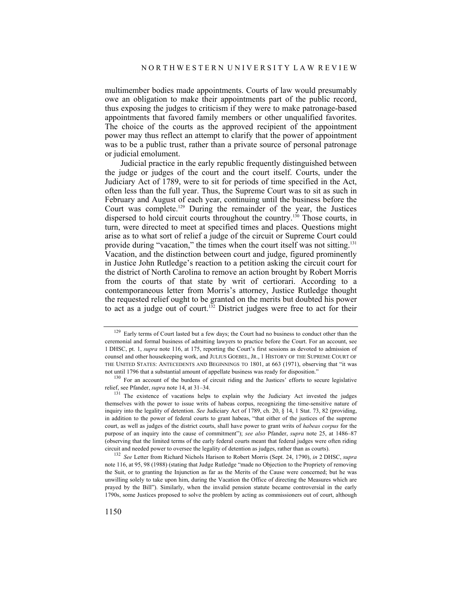multimember bodies made appointments. Courts of law would presumably owe an obligation to make their appointments part of the public record, thus exposing the judges to criticism if they were to make patronage-based appointments that favored family members or other unqualified favorites. The choice of the courts as the approved recipient of the appointment power may thus reflect an attempt to clarify that the power of appointment was to be a public trust, rather than a private source of personal patronage or judicial emolument.

Judicial practice in the early republic frequently distinguished between the judge or judges of the court and the court itself. Courts, under the Judiciary Act of 1789, were to sit for periods of time specified in the Act, often less than the full year. Thus, the Supreme Court was to sit as such in February and August of each year, continuing until the business before the Court was complete.129 During the remainder of the year, the Justices dispersed to hold circuit courts throughout the country.130 Those courts, in turn, were directed to meet at specified times and places. Questions might arise as to what sort of relief a judge of the circuit or Supreme Court could provide during "vacation," the times when the court itself was not sitting.<sup>131</sup> Vacation, and the distinction between court and judge, figured prominently in Justice John Rutledge's reaction to a petition asking the circuit court for the district of North Carolina to remove an action brought by Robert Morris from the courts of that state by writ of certiorari. According to a contemporaneous letter from Morris's attorney, Justice Rutledge thought the requested relief ought to be granted on the merits but doubted his power to act as a judge out of court.<sup>132</sup> District judges were free to act for their

<sup>&</sup>lt;sup>129</sup> Early terms of Court lasted but a few days; the Court had no business to conduct other than the ceremonial and formal business of admitting lawyers to practice before the Court. For an account, see 1 DHSC, pt. 1, *supra* note 116, at 175, reporting the Court's first sessions as devoted to admission of counsel and other housekeeping work, and JULIUS GOEBEL, JR., 1 HISTORY OF THE SUPREME COURT OF THE UNITED STATES: ANTECEDENTS AND BEGINNINGS TO 1801, at 663 (1971), observing that "it was not until 1796 that a substantial amount of appellate business was ready for disposition."<br><sup>130</sup> For an account of the burdens of circuit riding and the Justices' efforts to secure legislative

relief, see Pfander, *supra* note 14, at 31–34.<br><sup>131</sup> The existence of vacations helps to explain why the Judiciary Act invested the judges

themselves with the power to issue writs of habeas corpus, recognizing the time-sensitive nature of inquiry into the legality of detention. *See* Judiciary Act of 1789, ch. 20, § 14, 1 Stat. 73, 82 (providing, in addition to the power of federal courts to grant habeas, "that either of the justices of the supreme court, as well as judges of the district courts, shall have power to grant writs of *habeas corpus* for the purpose of an inquiry into the cause of commitment"); *see also* Pfander, *supra* note 25, at 1486–87 (observing that the limited terms of the early federal courts meant that federal judges were often riding circuit and needed power to oversee the legality of detention as judges, rather than as courts). 132 *See* Letter from Richard Nichols Harison to Robert Morris (Sept. 24, 1790), *in* 2 DHSC, *supra*

note 116, at 95, 98 (1988) (stating that Judge Rutledge "made no Objection to the Propriety of removing the Suit, or to granting the Injunction as far as the Merits of the Cause were concerned; but he was unwilling solely to take upon him, during the Vacation the Office of directing the Measures which are prayed by the Bill"). Similarly, when the invalid pension statute became controversial in the early 1790s, some Justices proposed to solve the problem by acting as commissioners out of court, although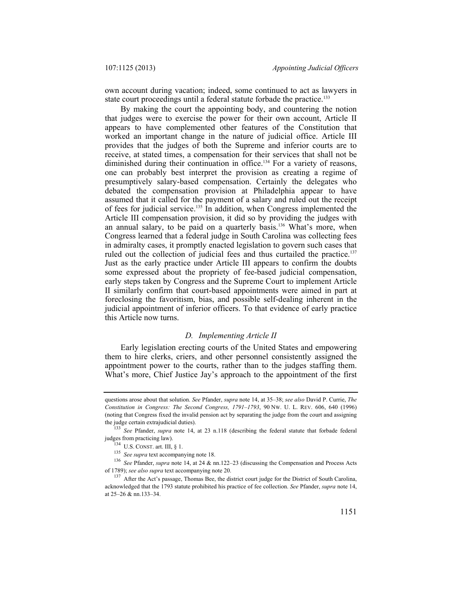own account during vacation; indeed, some continued to act as lawyers in state court proceedings until a federal statute forbade the practice.<sup>133</sup>

By making the court the appointing body, and countering the notion that judges were to exercise the power for their own account, Article II appears to have complemented other features of the Constitution that worked an important change in the nature of judicial office. Article III provides that the judges of both the Supreme and inferior courts are to receive, at stated times, a compensation for their services that shall not be diminished during their continuation in office.<sup>134</sup> For a variety of reasons, one can probably best interpret the provision as creating a regime of presumptively salary-based compensation. Certainly the delegates who debated the compensation provision at Philadelphia appear to have assumed that it called for the payment of a salary and ruled out the receipt of fees for judicial service.135 In addition, when Congress implemented the Article III compensation provision, it did so by providing the judges with an annual salary, to be paid on a quarterly basis.<sup>136</sup> What's more, when Congress learned that a federal judge in South Carolina was collecting fees in admiralty cases, it promptly enacted legislation to govern such cases that ruled out the collection of judicial fees and thus curtailed the practice.<sup>137</sup> Just as the early practice under Article III appears to confirm the doubts some expressed about the propriety of fee-based judicial compensation, early steps taken by Congress and the Supreme Court to implement Article II similarly confirm that court-based appointments were aimed in part at foreclosing the favoritism, bias, and possible self-dealing inherent in the judicial appointment of inferior officers. To that evidence of early practice this Article now turns.

## *D. Implementing Article II*

Early legislation erecting courts of the United States and empowering them to hire clerks, criers, and other personnel consistently assigned the appointment power to the courts, rather than to the judges staffing them. What's more, Chief Justice Jay's approach to the appointment of the first

questions arose about that solution. *See* Pfander, *supra* note 14, at 35–38; *see also* David P. Currie, *The Constitution in Congress: The Second Congress, 1791–1793*, 90 NW. U. L. REV. 606, 640 (1996) (noting that Congress fixed the invalid pension act by separating the judge from the court and assigning

the judge certain extrajudicial duties).<br><sup>133</sup> *See* Pfander, *supra* note 14, at 23 n.118 (describing the federal statute that forbade federal judges from practicing law).

<sup>&</sup>lt;sup>134</sup> U.S. CONST. art. III, § 1.<br><sup>135</sup> *See supra* text accompanying note 18.<br><sup>136</sup> *See* Pfander, *supra* note 14, at 24 & nn.122–23 (discussing the Compensation and Process Acts of 1789); *see also supra* text accompanying note 20.<br><sup>137</sup> After the Act's passage, Thomas Bee, the district court judge for the District of South Carolina,

acknowledged that the 1793 statute prohibited his practice of fee collection. *See* Pfander, *supra* note 14, at 25–26 & nn.133–34.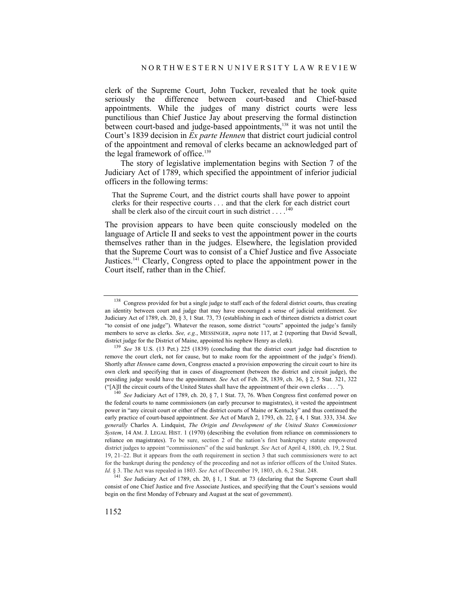clerk of the Supreme Court, John Tucker, revealed that he took quite seriously the difference between court-based and Chief-based appointments. While the judges of many district courts were less punctilious than Chief Justice Jay about preserving the formal distinction between court-based and judge-based appointments,<sup>138</sup> it was not until the Court's 1839 decision in *Ex parte Hennen* that district court judicial control of the appointment and removal of clerks became an acknowledged part of the legal framework of office.<sup>139</sup>

The story of legislative implementation begins with Section 7 of the Judiciary Act of 1789, which specified the appointment of inferior judicial officers in the following terms:

That the Supreme Court, and the district courts shall have power to appoint clerks for their respective courts . . . and that the clerk for each district court shall be clerk also of the circuit court in such district . . . .<sup>140</sup>

The provision appears to have been quite consciously modeled on the language of Article II and seeks to vest the appointment power in the courts themselves rather than in the judges. Elsewhere, the legislation provided that the Supreme Court was to consist of a Chief Justice and five Associate Justices.141 Clearly, Congress opted to place the appointment power in the Court itself, rather than in the Chief.

<sup>&</sup>lt;sup>138</sup> Congress provided for but a single judge to staff each of the federal district courts, thus creating an identity between court and judge that may have encouraged a sense of judicial entitlement. *See* Judiciary Act of 1789, ch. 20, § 3, 1 Stat. 73, 73 (establishing in each of thirteen districts a district court "to consist of one judge"). Whatever the reason, some district "courts" appointed the judge's family members to serve as clerks. *See, e.g.*, MESSINGER, *supra* note 117, at 2 (reporting that David Sewall,

district judge for the District of Maine, appointed his nephew Henry as clerk).<br><sup>139</sup> *See* 38 U.S. (13 Pet.) 225 (1839) (concluding that the district court judge had discretion to remove the court clerk, not for cause, but to make room for the appointment of the judge's friend). Shortly after *Hennen* came down, Congress enacted a provision empowering the circuit court to hire its own clerk and specifying that in cases of disagreement (between the district and circuit judge), the presiding judge would have the appointment. *See* Act of Feb. 28, 1839, ch. 36, § 2, 5 Stat. 321, 322 ("[A]ll the circuit courts of the United States shall have the appointment of their own clerks . . . ."). 140 *See* Judiciary Act of 1789, ch. 20, § 7, 1 Stat. 73, 76. When Congress first conferred power on

the federal courts to name commissioners (an early precursor to magistrates), it vested the appointment power in "any circuit court or either of the district courts of Maine or Kentucky" and thus continued the early practice of court-based appointment. *See* Act of March 2, 1793, ch. 22, § 4, 1 Stat. 333, 334. *See generally* Charles A. Lindquist, *The Origin and Development of the United States Commissioner System*, 14 AM. J. LEGAL HIST. 1 (1970) (describing the evolution from reliance on commissioners to reliance on magistrates). To be sure, section 2 of the nation's first bankruptcy statute empowered district judges to appoint "commissioners" of the said bankrupt. *See* Act of April 4, 1800, ch. 19, 2 Stat. 19, 21–22. But it appears from the oath requirement in section 3 that such commissioners were to act for the bankrupt during the pendency of the proceeding and not as inferior officers of the United States. *Id.* § 3. The Act was repealed in 1803. *See* Act of December 19, 1803, ch. 6, 2 Stat. 248.

<sup>141</sup> *See* Judiciary Act of 1789, ch. 20, § 1, 1 Stat. at 73 (declaring that the Supreme Court shall consist of one Chief Justice and five Associate Justices, and specifying that the Court's sessions would begin on the first Monday of February and August at the seat of government).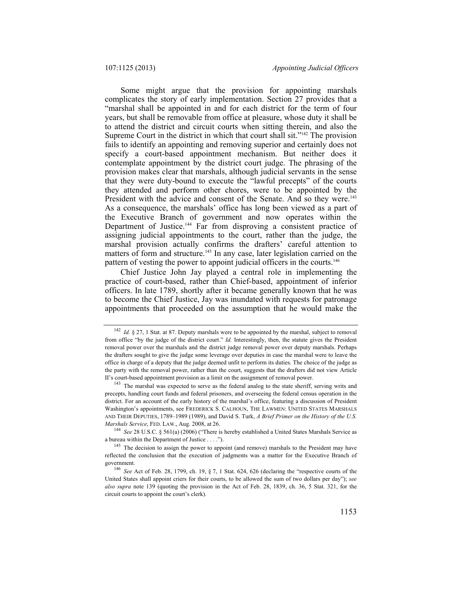Some might argue that the provision for appointing marshals complicates the story of early implementation. Section 27 provides that a "marshal shall be appointed in and for each district for the term of four years, but shall be removable from office at pleasure, whose duty it shall be to attend the district and circuit courts when sitting therein, and also the Supreme Court in the district in which that court shall sit."142 The provision fails to identify an appointing and removing superior and certainly does not specify a court-based appointment mechanism. But neither does it contemplate appointment by the district court judge. The phrasing of the provision makes clear that marshals, although judicial servants in the sense that they were duty-bound to execute the "lawful precepts" of the courts they attended and perform other chores, were to be appointed by the President with the advice and consent of the Senate. And so they were.<sup>143</sup> As a consequence, the marshals' office has long been viewed as a part of the Executive Branch of government and now operates within the Department of Justice.144 Far from disproving a consistent practice of assigning judicial appointments to the court, rather than the judge, the marshal provision actually confirms the drafters' careful attention to matters of form and structure.<sup>145</sup> In any case, later legislation carried on the pattern of vesting the power to appoint judicial officers in the courts.<sup>146</sup>

Chief Justice John Jay played a central role in implementing the practice of court-based, rather than Chief-based, appointment of inferior officers. In late 1789, shortly after it became generally known that he was to become the Chief Justice, Jay was inundated with requests for patronage appointments that proceeded on the assumption that he would make the

a bureau within the Department of Justice  $\dots$ .").<br><sup>145</sup> The decision to assign the power to appoint (and remove) marshals to the President may have

<sup>&</sup>lt;sup>142</sup> *Id.* § 27, 1 Stat. at 87. Deputy marshals were to be appointed by the marshal, subject to removal from office "by the judge of the district court." *Id.* Interestingly, then, the statute gives the President removal power over the marshals and the district judge removal power over deputy marshals. Perhaps the drafters sought to give the judge some leverage over deputies in case the marshal were to leave the office in charge of a deputy that the judge deemed unfit to perform its duties. The choice of the judge as the party with the removal power, rather than the court, suggests that the drafters did not view Article II's court-based appointment provision as a limit on the assignment of removal power.<br><sup>143</sup> The marshal was expected to serve as the federal analog to the state sheriff, serving writs and

precepts, handling court funds and federal prisoners, and overseeing the federal census operation in the district. For an account of the early history of the marshal's office, featuring a discussion of President Washington's appointments, see FREDERICK S. CALHOUN, THE LAWMEN: UNITED STATES MARSHALS AND THEIR DEPUTIES, 1789–1989 (1989), and David S. Turk, *A Brief Primer on the History of the U.S. Marshals Service*, FED. LAW., Aug. 2008, at 26. 144 *See* 28 U.S.C. § 561(a) (2006) ("There is hereby established a United States Marshals Service as

reflected the conclusion that the execution of judgments was a matter for the Executive Branch of

<sup>&</sup>lt;sup>146</sup> *See* Act of Feb. 28, 1799, ch. 19, § 7, 1 Stat. 624, 626 (declaring the "respective courts of the United States shall appoint criers for their courts, to be allowed the sum of two dollars per day"); *see also supra* note 139 (quoting the provision in the Act of Feb. 28, 1839, ch. 36, 5 Stat. 321, for the circuit courts to appoint the court's clerk).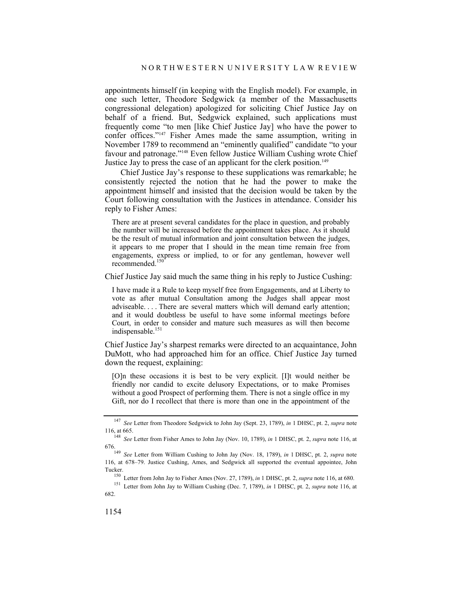appointments himself (in keeping with the English model). For example, in one such letter, Theodore Sedgwick (a member of the Massachusetts congressional delegation) apologized for soliciting Chief Justice Jay on behalf of a friend. But, Sedgwick explained, such applications must frequently come "to men [like Chief Justice Jay] who have the power to confer offices."147 Fisher Ames made the same assumption, writing in November 1789 to recommend an "eminently qualified" candidate "to your favour and patronage."148 Even fellow Justice William Cushing wrote Chief Justice Jay to press the case of an applicant for the clerk position.<sup>149</sup>

Chief Justice Jay's response to these supplications was remarkable; he consistently rejected the notion that he had the power to make the appointment himself and insisted that the decision would be taken by the Court following consultation with the Justices in attendance. Consider his reply to Fisher Ames:

There are at present several candidates for the place in question, and probably the number will be increased before the appointment takes place. As it should be the result of mutual information and joint consultation between the judges, it appears to me proper that I should in the mean time remain free from engagements, express or implied, to or for any gentleman, however well recommended.<sup>150</sup>

Chief Justice Jay said much the same thing in his reply to Justice Cushing:

I have made it a Rule to keep myself free from Engagements, and at Liberty to vote as after mutual Consultation among the Judges shall appear most adviseable. . . . There are several matters which will demand early attention; and it would doubtless be useful to have some informal meetings before Court, in order to consider and mature such measures as will then become indispensable.<sup>151</sup>

Chief Justice Jay's sharpest remarks were directed to an acquaintance, John DuMott, who had approached him for an office. Chief Justice Jay turned down the request, explaining:

[O]n these occasions it is best to be very explicit. [I]t would neither be friendly nor candid to excite delusory Expectations, or to make Promises without a good Prospect of performing them. There is not a single office in my Gift, nor do I recollect that there is more than one in the appointment of the

<sup>147</sup> *See* Letter from Theodore Sedgwick to John Jay (Sept. 23, 1789), *in* 1 DHSC, pt. 2, *supra* note 116, at 665. 148 *See* Letter from Fisher Ames to John Jay (Nov. 10, 1789), *in* 1 DHSC, pt. 2, *supra* note 116, at

<sup>676. 149</sup> *See* Letter from William Cushing to John Jay (Nov. 18, 1789), *in* 1 DHSC, pt. 2, *supra* note

<sup>116,</sup> at 678–79. Justice Cushing, Ames, and Sedgwick all supported the eventual appointee, John

Tucker.<br><sup>150</sup> Letter from John Jay to Fisher Ames (Nov. 27, 1789), *in* 1 DHSC, pt. 2, *supra* note 116, at 680.<br><sup>151</sup> Letter from John Jay to William Cushing (Dec. 7, 1789), *in* 1 DHSC, pt. 2, *supra* note 116, at 682.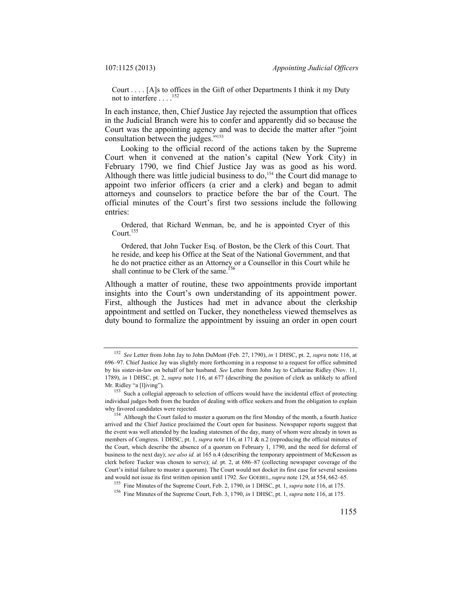Court . . . . [A]s to offices in the Gift of other Departments I think it my Duty not to interfere  $\ldots$ <sup>152</sup>

In each instance, then, Chief Justice Jay rejected the assumption that offices in the Judicial Branch were his to confer and apparently did so because the Court was the appointing agency and was to decide the matter after "joint consultation between the judges."153

Looking to the official record of the actions taken by the Supreme Court when it convened at the nation's capital (New York City) in February 1790, we find Chief Justice Jay was as good as his word. Although there was little judicial business to do,<sup>154</sup> the Court did manage to appoint two inferior officers (a crier and a clerk) and began to admit attorneys and counselors to practice before the bar of the Court. The official minutes of the Court's first two sessions include the following entries:

 Ordered, that Richard Wenman, be, and he is appointed Cryer of this Court.155

 Ordered, that John Tucker Esq. of Boston, be the Clerk of this Court. That he reside, and keep his Office at the Seat of the National Government, and that he do not practice either as an Attorney or a Counsellor in this Court while he shall continue to be Clerk of the same.<sup>156</sup>

Although a matter of routine, these two appointments provide important insights into the Court's own understanding of its appointment power. First, although the Justices had met in advance about the clerkship appointment and settled on Tucker, they nonetheless viewed themselves as duty bound to formalize the appointment by issuing an order in open court

<sup>152</sup> *See* Letter from John Jay to John DuMont (Feb. 27, 1790), *in* 1 DHSC, pt. 2, *supra* note 116, at 696–97. Chief Justice Jay was slightly more forthcoming in a response to a request for office submitted by his sister-in-law on behalf of her husband. *See* Letter from John Jay to Catharine Ridley (Nov. 11, 1789), *in* 1 DHSC, pt. 2, *supra* note 116, at 677 (describing the position of clerk as unlikely to afford Mr. Ridley "a [l]iving"). 153 Such a collegial approach to selection of officers would have the incidental effect of protecting

individual judges both from the burden of dealing with office seekers and from the obligation to explain why favored candidates were rejected.<br><sup>154</sup> Although the Court failed to muster a quorum on the first Monday of the month, a fourth Justice

arrived and the Chief Justice proclaimed the Court open for business. Newspaper reports suggest that the event was well attended by the leading statesmen of the day, many of whom were already in town as members of Congress. 1 DHSC, pt. 1, *supra* note 116, at 171 & n.2 (reproducing the official minutes of the Court, which describe the absence of a quorum on February 1, 1790, and the need for deferral of business to the next day); *see also id.* at 165 n.4 (describing the temporary appointment of McKesson as clerk before Tucker was chosen to serve); *id.* pt. 2, at 686–87 (collecting newspaper coverage of the Court's initial failure to muster a quorum). The Court would not docket its first case for several sessions and would not issue its first written opinion until 1792. See GOEBEL, supra note 129, at 554, 662–65.<br><sup>155</sup> Fine Minutes of the Supreme Court, Feb. 2, 1790, *in* 1 DHSC, pt. 1, *supra* note 116, at 175.<br><sup>156</sup> Fine Minutes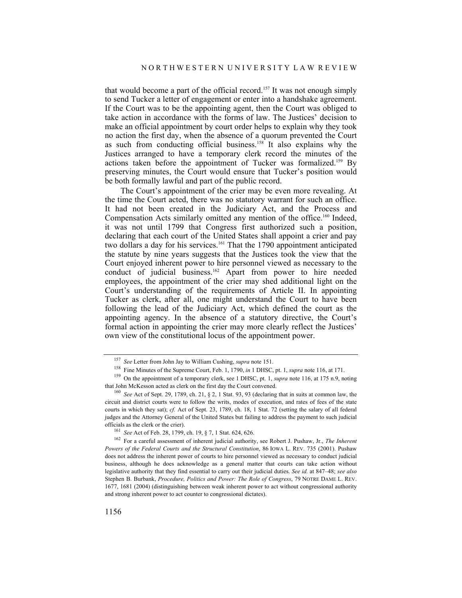that would become a part of the official record.<sup>157</sup> It was not enough simply to send Tucker a letter of engagement or enter into a handshake agreement. If the Court was to be the appointing agent, then the Court was obliged to take action in accordance with the forms of law. The Justices' decision to make an official appointment by court order helps to explain why they took no action the first day, when the absence of a quorum prevented the Court as such from conducting official business.158 It also explains why the Justices arranged to have a temporary clerk record the minutes of the actions taken before the appointment of Tucker was formalized.159 By preserving minutes, the Court would ensure that Tucker's position would be both formally lawful and part of the public record.

The Court's appointment of the crier may be even more revealing. At the time the Court acted, there was no statutory warrant for such an office. It had not been created in the Judiciary Act, and the Process and Compensation Acts similarly omitted any mention of the office.160 Indeed, it was not until 1799 that Congress first authorized such a position, declaring that each court of the United States shall appoint a crier and pay two dollars a day for his services.<sup>161</sup> That the 1790 appointment anticipated the statute by nine years suggests that the Justices took the view that the Court enjoyed inherent power to hire personnel viewed as necessary to the conduct of judicial business.<sup>162</sup> Apart from power to hire needed employees, the appointment of the crier may shed additional light on the Court's understanding of the requirements of Article II. In appointing Tucker as clerk, after all, one might understand the Court to have been following the lead of the Judiciary Act, which defined the court as the appointing agency. In the absence of a statutory directive, the Court's formal action in appointing the crier may more clearly reflect the Justices' own view of the constitutional locus of the appointment power.

<sup>&</sup>lt;sup>157</sup> See Letter from John Jay to William Cushing, *supra* note 151.<br><sup>158</sup> Fine Minutes of the Supreme Court, Feb. 1, 1790, *in* 1 DHSC, pt. 1, *supra* note 116, at 171.<br><sup>159</sup> On the appointment of a temporary clerk, see

<sup>&</sup>lt;sup>160</sup> See Act of Sept. 29, 1789, ch. 21, § 2, 1 Stat. 93, 93 (declaring that in suits at common law, the circuit and district courts were to follow the writs, modes of execution, and rates of fees of the state courts in which they sat); *cf.* Act of Sept. 23, 1789, ch. 18, 1 Stat. 72 (setting the salary of all federal judges and the Attorney General of the United States but failing to address the payment to such judicial officials as the clerk or the crier).<br><sup>161</sup> *See* Act of Feb. 28, 1799, ch. 19, § 7, 1 Stat. 624, 626.<br><sup>162</sup> For a careful assessment of inherent judicial authority, see Robert J. Pushaw, Jr., *The Inherent* 

*Powers of the Federal Courts and the Structural Constitution*, 86 IOWA L. REV. 735 (2001). Pushaw does not address the inherent power of courts to hire personnel viewed as necessary to conduct judicial business, although he does acknowledge as a general matter that courts can take action without legislative authority that they find essential to carry out their judicial duties. *See id.* at 847–48; *see also* Stephen B. Burbank, *Procedure, Politics and Power: The Role of Congress*, 79 NOTRE DAME L. REV. 1677, 1681 (2004) (distinguishing between weak inherent power to act without congressional authority and strong inherent power to act counter to congressional dictates).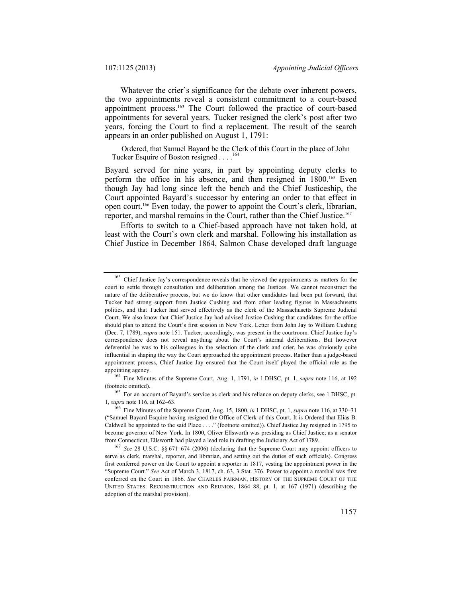Whatever the crier's significance for the debate over inherent powers, the two appointments reveal a consistent commitment to a court-based appointment process.<sup>163</sup> The Court followed the practice of court-based appointments for several years. Tucker resigned the clerk's post after two years, forcing the Court to find a replacement. The result of the search appears in an order published on August 1, 1791:

 Ordered, that Samuel Bayard be the Clerk of this Court in the place of John Tucker Esquire of Boston resigned . . . .<sup>16</sup>

Bayard served for nine years, in part by appointing deputy clerks to perform the office in his absence, and then resigned in 1800.<sup>165</sup> Even though Jay had long since left the bench and the Chief Justiceship, the Court appointed Bayard's successor by entering an order to that effect in open court.166 Even today, the power to appoint the Court's clerk, librarian, reporter, and marshal remains in the Court, rather than the Chief Justice.<sup>167</sup>

Efforts to switch to a Chief-based approach have not taken hold, at least with the Court's own clerk and marshal. Following his installation as Chief Justice in December 1864, Salmon Chase developed draft language

(footnote omitted).<br><sup>165</sup> For an account of Bayard's service as clerk and his reliance on deputy clerks, see 1 DHSC, pt.<br>1, *supra* note 116, at 162–63.

<sup>&</sup>lt;sup>163</sup> Chief Justice Jav's correspondence reveals that he viewed the appointments as matters for the court to settle through consultation and deliberation among the Justices. We cannot reconstruct the nature of the deliberative process, but we do know that other candidates had been put forward, that Tucker had strong support from Justice Cushing and from other leading figures in Massachusetts politics, and that Tucker had served effectively as the clerk of the Massachusetts Supreme Judicial Court. We also know that Chief Justice Jay had advised Justice Cushing that candidates for the office should plan to attend the Court's first session in New York. Letter from John Jay to William Cushing (Dec. 7, 1789), *supra* note 151. Tucker, accordingly, was present in the courtroom. Chief Justice Jay's correspondence does not reveal anything about the Court's internal deliberations. But however deferential he was to his colleagues in the selection of the clerk and crier, he was obviously quite influential in shaping the way the Court approached the appointment process. Rather than a judge-based appointment process, Chief Justice Jay ensured that the Court itself played the official role as the appointing agency. 164 Fine Minutes of the Supreme Court, Aug. 1, 1791, *in* 1 DHSC, pt. 1, *supra* note 116, at 192

<sup>&</sup>lt;sup>166</sup> Fine Minutes of the Supreme Court, Aug. 15, 1800, *in* 1 DHSC, pt. 1, *supra* note 116, at 330–31 ("Samuel Bayard Esquire having resigned the Office of Clerk of this Court. It is Ordered that Elias B. Caldwell be appointed to the said Place . . . ." (footnote omitted)). Chief Justice Jay resigned in 1795 to become governor of New York. In 1800, Oliver Ellsworth was presiding as Chief Justice; as a senator from Connecticut, Ellsworth had played a lead role in drafting the Judiciary Act of 1789. 167 *See* 28 U.S.C. §§ 671–674 (2006) (declaring that the Supreme Court may appoint officers to

serve as clerk, marshal, reporter, and librarian, and setting out the duties of such officials). Congress first conferred power on the Court to appoint a reporter in 1817, vesting the appointment power in the "Supreme Court." *See* Act of March 3, 1817, ch. 63, 3 Stat. 376. Power to appoint a marshal was first conferred on the Court in 1866. *See* CHARLES FAIRMAN, HISTORY OF THE SUPREME COURT OF THE UNITED STATES: RECONSTRUCTION AND REUNION, 1864–88, pt. 1, at 167 (1971) (describing the adoption of the marshal provision).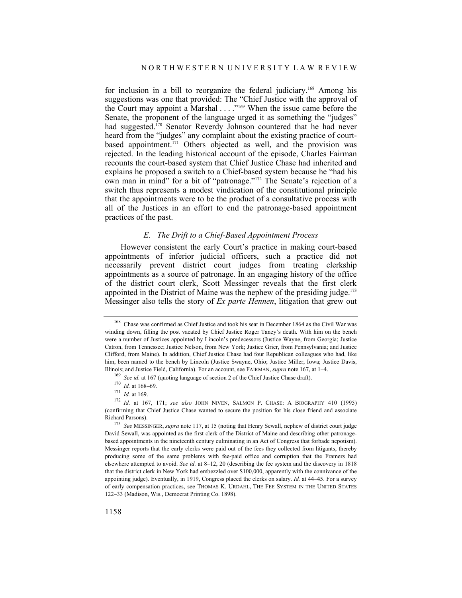for inclusion in a bill to reorganize the federal judiciary.168 Among his suggestions was one that provided: The "Chief Justice with the approval of the Court may appoint a Marshal . . . ."169 When the issue came before the Senate, the proponent of the language urged it as something the "judges" had suggested.<sup>170</sup> Senator Reverdy Johnson countered that he had never heard from the "judges" any complaint about the existing practice of courtbased appointment.<sup>171</sup> Others objected as well, and the provision was rejected. In the leading historical account of the episode, Charles Fairman recounts the court-based system that Chief Justice Chase had inherited and explains he proposed a switch to a Chief-based system because he "had his own man in mind" for a bit of "patronage."172 The Senate's rejection of a switch thus represents a modest vindication of the constitutional principle that the appointments were to be the product of a consultative process with all of the Justices in an effort to end the patronage-based appointment practices of the past.

## *E. The Drift to a Chief-Based Appointment Process*

However consistent the early Court's practice in making court-based appointments of inferior judicial officers, such a practice did not necessarily prevent district court judges from treating clerkship appointments as a source of patronage. In an engaging history of the office of the district court clerk, Scott Messinger reveals that the first clerk appointed in the District of Maine was the nephew of the presiding judge. $173$ Messinger also tells the story of *Ex parte Hennen*, litigation that grew out

<sup>168</sup> Chase was confirmed as Chief Justice and took his seat in December 1864 as the Civil War was winding down, filling the post vacated by Chief Justice Roger Taney's death. With him on the bench were a number of Justices appointed by Lincoln's predecessors (Justice Wayne, from Georgia; Justice Catron, from Tennessee; Justice Nelson, from New York; Justice Grier, from Pennsylvania; and Justice Clifford, from Maine). In addition, Chief Justice Chase had four Republican colleagues who had, like him, been named to the bench by Lincoln (Justice Swayne, Ohio; Justice Miller, Iowa; Justice Davis,

Illinois; and Justice Field, California). For an account, see FAIRMAN, *supra* note 167, at 1-4.<br><sup>169</sup> *See id.* at 167 (quoting language of section 2 of the Chief Justice Chase draft).<br><sup>170</sup> *Id.* at 168–69.<br><sup>171</sup> *Id.* (confirming that Chief Justice Chase wanted to secure the position for his close friend and associate Richard Parsons). 173 *See* MESSINGER, *supra* note 117, at 15 (noting that Henry Sewall, nephew of district court judge

David Sewall, was appointed as the first clerk of the District of Maine and describing other patronagebased appointments in the nineteenth century culminating in an Act of Congress that forbade nepotism). Messinger reports that the early clerks were paid out of the fees they collected from litigants, thereby producing some of the same problems with fee-paid office and corruption that the Framers had elsewhere attempted to avoid. *See id.* at 8–12, 20 (describing the fee system and the discovery in 1818 that the district clerk in New York had embezzled over \$100,000, apparently with the connivance of the appointing judge). Eventually, in 1919, Congress placed the clerks on salary. *Id.* at 44–45. For a survey of early compensation practices, see THOMAS K. URDAHL, THE FEE SYSTEM IN THE UNITED STATES 122–33 (Madison, Wis., Democrat Printing Co. 1898).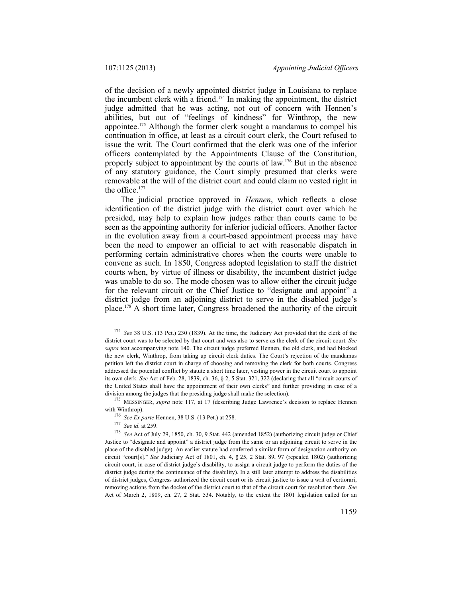of the decision of a newly appointed district judge in Louisiana to replace the incumbent clerk with a friend.174 In making the appointment, the district judge admitted that he was acting, not out of concern with Hennen's abilities, but out of "feelings of kindness" for Winthrop, the new appointee.175 Although the former clerk sought a mandamus to compel his continuation in office, at least as a circuit court clerk, the Court refused to issue the writ. The Court confirmed that the clerk was one of the inferior officers contemplated by the Appointments Clause of the Constitution, properly subject to appointment by the courts of law.176 But in the absence of any statutory guidance, the Court simply presumed that clerks were removable at the will of the district court and could claim no vested right in the office.<sup>177</sup>

The judicial practice approved in *Hennen*, which reflects a close identification of the district judge with the district court over which he presided, may help to explain how judges rather than courts came to be seen as the appointing authority for inferior judicial officers. Another factor in the evolution away from a court-based appointment process may have been the need to empower an official to act with reasonable dispatch in performing certain administrative chores when the courts were unable to convene as such. In 1850, Congress adopted legislation to staff the district courts when, by virtue of illness or disability, the incumbent district judge was unable to do so. The mode chosen was to allow either the circuit judge for the relevant circuit or the Chief Justice to "designate and appoint" a district judge from an adjoining district to serve in the disabled judge's place.178 A short time later, Congress broadened the authority of the circuit

<sup>174</sup> *See* 38 U.S. (13 Pet.) 230 (1839). At the time, the Judiciary Act provided that the clerk of the district court was to be selected by that court and was also to serve as the clerk of the circuit court. *See supra* text accompanying note 140. The circuit judge preferred Hennen, the old clerk, and had blocked the new clerk, Winthrop, from taking up circuit clerk duties. The Court's rejection of the mandamus petition left the district court in charge of choosing and removing the clerk for both courts. Congress addressed the potential conflict by statute a short time later, vesting power in the circuit court to appoint its own clerk. *See* Act of Feb. 28, 1839, ch. 36, § 2, 5 Stat. 321, 322 (declaring that all "circuit courts of the United States shall have the appointment of their own clerks" and further providing in case of a

division among the judges that the presiding judge shall make the selection).<br><sup>175</sup> MESSINGER, *supra* note 117, at 17 (describing Judge Lawrence's decision to replace Hennen<br>with Winthrop).

<sup>&</sup>lt;sup>176</sup> *See Ex parte* Hennen, 38 U.S. (13 Pet.) at 258.<br><sup>177</sup> *See id.* at 259. 178 *See* Act of July 29, 1850, ch. 30, 9 Stat. 442 (amended 1852) (authorizing circuit judge or Chief Justice to "designate and appoint" a district judge from the same or an adjoining circuit to serve in the place of the disabled judge). An earlier statute had conferred a similar form of designation authority on circuit "court[s]." *See* Judiciary Act of 1801, ch. 4, § 25, 2 Stat. 89, 97 (repealed 1802) (authorizing circuit court, in case of district judge's disability, to assign a circuit judge to perform the duties of the district judge during the continuance of the disability). In a still later attempt to address the disabilities of district judges, Congress authorized the circuit court or its circuit justice to issue a writ of certiorari, removing actions from the docket of the district court to that of the circuit court for resolution there. *See* Act of March 2, 1809, ch. 27, 2 Stat. 534. Notably, to the extent the 1801 legislation called for an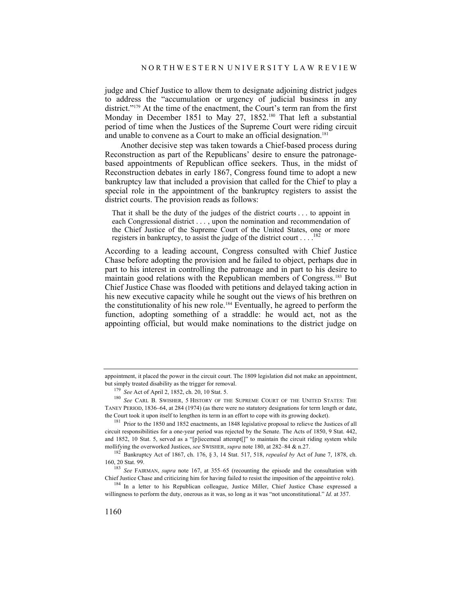judge and Chief Justice to allow them to designate adjoining district judges to address the "accumulation or urgency of judicial business in any district."<sup>179</sup> At the time of the enactment, the Court's term ran from the first Monday in December 1851 to May 27, 1852.<sup>180</sup> That left a substantial period of time when the Justices of the Supreme Court were riding circuit and unable to convene as a Court to make an official designation.<sup>181</sup>

Another decisive step was taken towards a Chief-based process during Reconstruction as part of the Republicans' desire to ensure the patronagebased appointments of Republican office seekers. Thus, in the midst of Reconstruction debates in early 1867, Congress found time to adopt a new bankruptcy law that included a provision that called for the Chief to play a special role in the appointment of the bankruptcy registers to assist the district courts. The provision reads as follows:

That it shall be the duty of the judges of the district courts . . . to appoint in each Congressional district . . . , upon the nomination and recommendation of the Chief Justice of the Supreme Court of the United States, one or more registers in bankruptcy, to assist the judge of the district court  $\dots$ .

According to a leading account, Congress consulted with Chief Justice Chase before adopting the provision and he failed to object, perhaps due in part to his interest in controlling the patronage and in part to his desire to maintain good relations with the Republican members of Congress.183 But Chief Justice Chase was flooded with petitions and delayed taking action in his new executive capacity while he sought out the views of his brethren on the constitutionality of his new role.184 Eventually, he agreed to perform the function, adopting something of a straddle: he would act, not as the appointing official, but would make nominations to the district judge on

appointment, it placed the power in the circuit court. The 1809 legislation did not make an appointment,

but simply treated disability as the trigger for removal. 179 *See* Act of April 2, 1852, ch. 20, 10 Stat. 5. 180 *See* CARL B. SWISHER, 5 HISTORY OF THE SUPREME COURT OF THE UNITED STATES: THE TANEY PERIOD, 1836–64, at 284 (1974) (as there were no statutory designations for term length or date, the Court took it upon itself to lengthen its term in an effort to cope with its growing docket).

<sup>&</sup>lt;sup>181</sup> Prior to the 1850 and 1852 enactments, an 1848 legislative proposal to relieve the Justices of all circuit responsibilities for a one-year period was rejected by the Senate. The Acts of 1850, 9 Stat. 442, and 1852, 10 Stat. 5, served as a "[p]iecemeal attempt[]" to maintain the circuit riding system while mollifying the overworked Justices, *see* SWISHER, *supra* note 180, at 282–84 & n.27.

<sup>182</sup> Bankruptcy Act of 1867, ch. 176, § 3, 14 Stat. 517, 518, *repealed by* Act of June 7, 1878, ch. 160, 20 Stat. 99. 183 *See* FAIRMAN, *supra* note 167, at 355–65 (recounting the episode and the consultation with

Chief Justice Chase and criticizing him for having failed to resist the imposition of the appointive role). 184 In a letter to his Republican colleague, Justice Miller, Chief Justice Chase expressed a

willingness to perform the duty, onerous as it was, so long as it was "not unconstitutional." *Id.* at 357.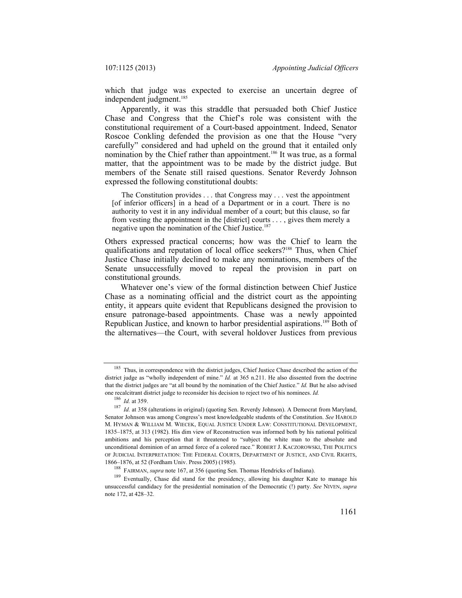which that judge was expected to exercise an uncertain degree of independent judgment.<sup>185</sup>

Apparently, it was this straddle that persuaded both Chief Justice Chase and Congress that the Chief's role was consistent with the constitutional requirement of a Court-based appointment. Indeed, Senator Roscoe Conkling defended the provision as one that the House "very carefully" considered and had upheld on the ground that it entailed only nomination by the Chief rather than appointment.<sup>186</sup> It was true, as a formal matter, that the appointment was to be made by the district judge. But members of the Senate still raised questions. Senator Reverdy Johnson expressed the following constitutional doubts:

 The Constitution provides . . . that Congress may . . . vest the appointment [of inferior officers] in a head of a Department or in a court. There is no authority to vest it in any individual member of a court; but this clause, so far from vesting the appointment in the [district] courts . . . , gives them merely a negative upon the nomination of the Chief Justice.<sup>187</sup>

Others expressed practical concerns; how was the Chief to learn the qualifications and reputation of local office seekers?<sup>188</sup> Thus, when Chief Justice Chase initially declined to make any nominations, members of the Senate unsuccessfully moved to repeal the provision in part on constitutional grounds.

Whatever one's view of the formal distinction between Chief Justice Chase as a nominating official and the district court as the appointing entity, it appears quite evident that Republicans designed the provision to ensure patronage-based appointments. Chase was a newly appointed Republican Justice, and known to harbor presidential aspirations.<sup>189</sup> Both of the alternatives—the Court, with several holdover Justices from previous

<sup>&</sup>lt;sup>185</sup> Thus, in correspondence with the district judges, Chief Justice Chase described the action of the district judge as "wholly independent of mine." *Id.* at 365 n.211. He also dissented from the doctrine that the district judges are "at all bound by the nomination of the Chief Justice." *Id.* But he also advised one recalcitrant district judge to reconsider his decision to reject two of his nominees. *Id.* <sup>186</sup> *Id.* at 359.

<sup>187</sup> *Id.* at 359. 187 *Id.* at 359. 187 *Id.* at 359 (alterations in original) (quoting Sen. Reverdy Johnson). A Democrat from Maryland, Senator Johnson was among Congress's most knowledgeable students of the Constitution. *See* HAROLD M. HYMAN & WILLIAM M. WIECEK, EQUAL JUSTICE UNDER LAW: CONSTITUTIONAL DEVELOPMENT, 1835–1875, at 313 (1982). His dim view of Reconstruction was informed both by his national political ambitions and his perception that it threatened to "subject the white man to the absolute and unconditional dominion of an armed force of a colored race." ROBERT J. KACZOROWSKI, THE POLITICS OF JUDICIAL INTERPRETATION: THE FEDERAL COURTS, DEPARTMENT OF JUSTICE, AND CIVIL RIGHTS, 1866–1876, at 52 (Fordham Univ. Press 2005) (1985).<br><sup>188</sup> FAIRMAN, *supra* note 167, at 356 (quoting Sen. Thomas Hendricks of Indiana).<br><sup>189</sup> Eventually. Chase did stand for the presidency, allowing his daughter Kate to ma

unsuccessful candidacy for the presidential nomination of the Democratic (!) party. *See* NIVEN, *supra*  note 172, at 428–32.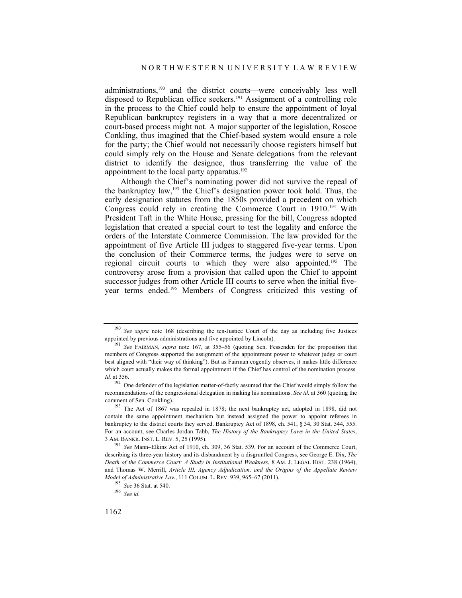administrations,190 and the district courts—were conceivably less well disposed to Republican office seekers.191 Assignment of a controlling role in the process to the Chief could help to ensure the appointment of loyal Republican bankruptcy registers in a way that a more decentralized or court-based process might not. A major supporter of the legislation, Roscoe Conkling, thus imagined that the Chief-based system would ensure a role for the party; the Chief would not necessarily choose registers himself but could simply rely on the House and Senate delegations from the relevant district to identify the designee, thus transferring the value of the appointment to the local party apparatus.<sup>192</sup>

Although the Chief's nominating power did not survive the repeal of the bankruptcy law,193 the Chief's designation power took hold. Thus, the early designation statutes from the 1850s provided a precedent on which Congress could rely in creating the Commerce Court in 1910.<sup>194</sup> With President Taft in the White House, pressing for the bill, Congress adopted legislation that created a special court to test the legality and enforce the orders of the Interstate Commerce Commission. The law provided for the appointment of five Article III judges to staggered five-year terms. Upon the conclusion of their Commerce terms, the judges were to serve on regional circuit courts to which they were also appointed.195 The controversy arose from a provision that called upon the Chief to appoint successor judges from other Article III courts to serve when the initial fiveyear terms ended.196 Members of Congress criticized this vesting of

<sup>&</sup>lt;sup>190</sup> *See supra* note 168 (describing the ten-Justice Court of the day as including five Justices appointed by previous administrations and five appointed by Lincoln).

<sup>&</sup>lt;sup>191</sup> See FAIRMAN, *supra* note 167, at 355–56 (quoting Sen. Fessenden for the proposition that members of Congress supported the assignment of the appointment power to whatever judge or court best aligned with "their way of thinking"). But as Fairman cogently observes, it makes little difference which court actually makes the formal appointment if the Chief has control of the nomination process. *Id.* at 356.

<sup>&</sup>lt;sup>192</sup> One defender of the legislation matter-of-factly assumed that the Chief would simply follow the recommendations of the congressional delegation in making his nominations. *See id.* at 360 (quoting the comment of Sen. Conkling).<br><sup>193</sup> The Act of 1867 was repealed in 1878; the next bankruptcy act, adopted in 1898, did not

contain the same appointment mechanism but instead assigned the power to appoint referees in bankruptcy to the district courts they served. Bankruptcy Act of 1898, ch. 541, § 34, 30 Stat. 544, 555. For an account, see Charles Jordan Tabb, *The History of the Bankruptcy Laws in the United States*, 3 AM. BANKR. INST. L. REV. 5, 25 (1995). 194 *See* Mann–Elkins Act of 1910, ch. 309, 36 Stat. 539. For an account of the Commerce Court,

describing its three-year history and its disbandment by a disgruntled Congress, see George E. Dix, *The Death of the Commerce Court: A Study in Institutional Weakness*, 8 AM. J. LEGAL HIST. 238 (1964), and Thomas W. Merrill, *Article III, Agency Adjudication, and the Origins of the Appellate Review Model of Administrative Law*, 111 COLUM. L. REV. 939, 965–67 (2011). 195 *See* 36 Stat. at 540. 196 *See id.*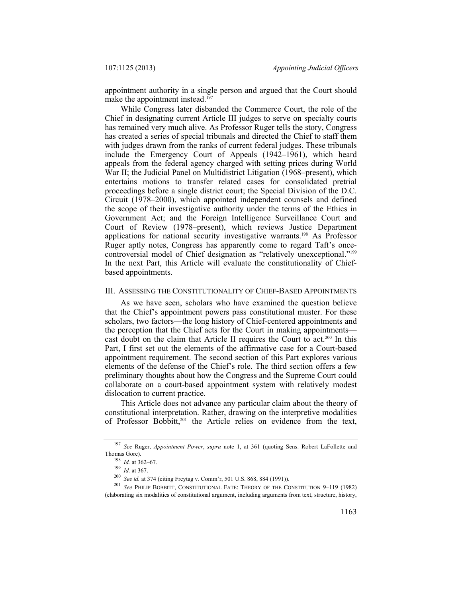appointment authority in a single person and argued that the Court should make the appointment instead.<sup>197</sup>

While Congress later disbanded the Commerce Court, the role of the Chief in designating current Article III judges to serve on specialty courts has remained very much alive. As Professor Ruger tells the story, Congress has created a series of special tribunals and directed the Chief to staff them with judges drawn from the ranks of current federal judges. These tribunals include the Emergency Court of Appeals (1942–1961), which heard appeals from the federal agency charged with setting prices during World War II; the Judicial Panel on Multidistrict Litigation (1968–present), which entertains motions to transfer related cases for consolidated pretrial proceedings before a single district court; the Special Division of the D.C. Circuit (1978–2000), which appointed independent counsels and defined the scope of their investigative authority under the terms of the Ethics in Government Act; and the Foreign Intelligence Surveillance Court and Court of Review (1978–present), which reviews Justice Department applications for national security investigative warrants.198 As Professor Ruger aptly notes, Congress has apparently come to regard Taft's oncecontroversial model of Chief designation as "relatively unexceptional."199 In the next Part, this Article will evaluate the constitutionality of Chiefbased appointments.

#### III. ASSESSING THE CONSTITUTIONALITY OF CHIEF-BASED APPOINTMENTS

As we have seen, scholars who have examined the question believe that the Chief's appointment powers pass constitutional muster. For these scholars, two factors—the long history of Chief-centered appointments and the perception that the Chief acts for the Court in making appointments cast doubt on the claim that Article II requires the Court to act.<sup>200</sup> In this Part, I first set out the elements of the affirmative case for a Court-based appointment requirement. The second section of this Part explores various elements of the defense of the Chief's role. The third section offers a few preliminary thoughts about how the Congress and the Supreme Court could collaborate on a court-based appointment system with relatively modest dislocation to current practice.

This Article does not advance any particular claim about the theory of constitutional interpretation. Rather, drawing on the interpretive modalities of Professor Bobbitt,<sup>201</sup> the Article relies on evidence from the text,

<sup>197</sup> *See* Ruger, *Appointment Power*, *supra* note 1, at 361 (quoting Sens. Robert LaFollette and Thomas Gore).<br>
<sup>198</sup> *Id.* at 362–67.<br>
<sup>199</sup> *Id.* at 367.<br>
<sup>200</sup> *See id.* at 374 (citing Freytag v. Comm'r, 501 U.S. 868, 884 (1991)).<br>
<sup>201</sup> *See PHILIP BOBBITT*, CONSTITUTIONAL FATE: THEORY OF THE CONSTITUTION 9–119 (

<sup>(</sup>elaborating six modalities of constitutional argument, including arguments from text, structure, history,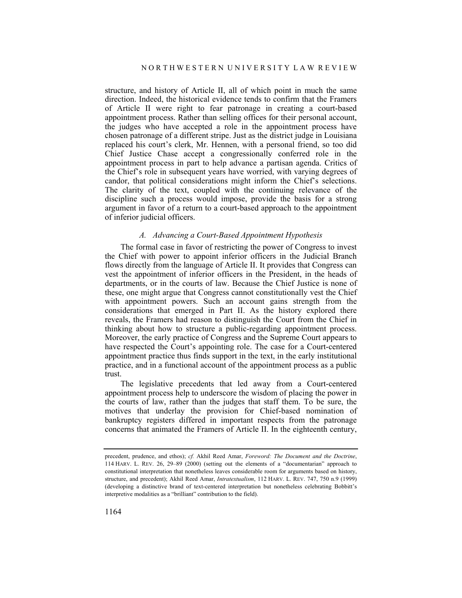structure, and history of Article II, all of which point in much the same direction. Indeed, the historical evidence tends to confirm that the Framers of Article II were right to fear patronage in creating a court-based appointment process. Rather than selling offices for their personal account, the judges who have accepted a role in the appointment process have chosen patronage of a different stripe. Just as the district judge in Louisiana replaced his court's clerk, Mr. Hennen, with a personal friend, so too did Chief Justice Chase accept a congressionally conferred role in the appointment process in part to help advance a partisan agenda. Critics of the Chief's role in subsequent years have worried, with varying degrees of candor, that political considerations might inform the Chief's selections. The clarity of the text, coupled with the continuing relevance of the discipline such a process would impose, provide the basis for a strong argument in favor of a return to a court-based approach to the appointment of inferior judicial officers.

#### *A. Advancing a Court-Based Appointment Hypothesis*

The formal case in favor of restricting the power of Congress to invest the Chief with power to appoint inferior officers in the Judicial Branch flows directly from the language of Article II. It provides that Congress can vest the appointment of inferior officers in the President, in the heads of departments, or in the courts of law. Because the Chief Justice is none of these, one might argue that Congress cannot constitutionally vest the Chief with appointment powers. Such an account gains strength from the considerations that emerged in Part II. As the history explored there reveals, the Framers had reason to distinguish the Court from the Chief in thinking about how to structure a public-regarding appointment process. Moreover, the early practice of Congress and the Supreme Court appears to have respected the Court's appointing role. The case for a Court-centered appointment practice thus finds support in the text, in the early institutional practice, and in a functional account of the appointment process as a public trust.

The legislative precedents that led away from a Court-centered appointment process help to underscore the wisdom of placing the power in the courts of law, rather than the judges that staff them. To be sure, the motives that underlay the provision for Chief-based nomination of bankruptcy registers differed in important respects from the patronage concerns that animated the Framers of Article II. In the eighteenth century,

precedent, prudence, and ethos); *cf.* Akhil Reed Amar, *Foreword: The Document and the Doctrine*, 114 HARV. L. REV. 26, 29–89 (2000) (setting out the elements of a "documentarian" approach to constitutional interpretation that nonetheless leaves considerable room for arguments based on history, structure, and precedent); Akhil Reed Amar, *Intratextualism*, 112 HARV. L. REV. 747, 750 n.9 (1999) (developing a distinctive brand of text-centered interpretation but nonetheless celebrating Bobbitt's interpretive modalities as a "brilliant" contribution to the field).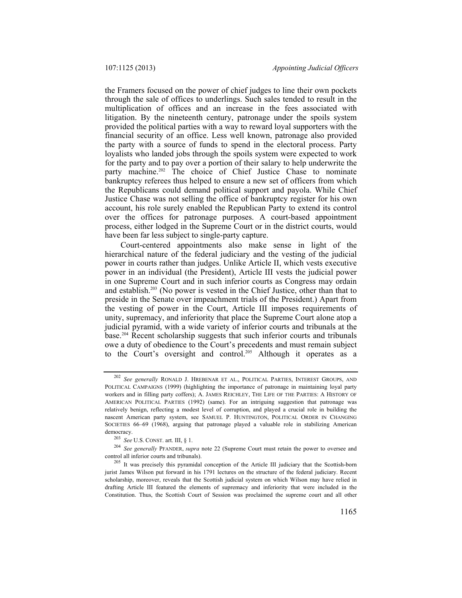the Framers focused on the power of chief judges to line their own pockets through the sale of offices to underlings. Such sales tended to result in the multiplication of offices and an increase in the fees associated with litigation. By the nineteenth century, patronage under the spoils system provided the political parties with a way to reward loyal supporters with the financial security of an office. Less well known, patronage also provided the party with a source of funds to spend in the electoral process. Party loyalists who landed jobs through the spoils system were expected to work for the party and to pay over a portion of their salary to help underwrite the party machine.<sup>202</sup> The choice of Chief Justice Chase to nominate bankruptcy referees thus helped to ensure a new set of officers from which the Republicans could demand political support and payola. While Chief Justice Chase was not selling the office of bankruptcy register for his own account, his role surely enabled the Republican Party to extend its control over the offices for patronage purposes. A court-based appointment process, either lodged in the Supreme Court or in the district courts, would have been far less subject to single-party capture.

Court-centered appointments also make sense in light of the hierarchical nature of the federal judiciary and the vesting of the judicial power in courts rather than judges. Unlike Article II, which vests executive power in an individual (the President), Article III vests the judicial power in one Supreme Court and in such inferior courts as Congress may ordain and establish.203 (No power is vested in the Chief Justice, other than that to preside in the Senate over impeachment trials of the President.) Apart from the vesting of power in the Court, Article III imposes requirements of unity, supremacy, and inferiority that place the Supreme Court alone atop a judicial pyramid, with a wide variety of inferior courts and tribunals at the base.204 Recent scholarship suggests that such inferior courts and tribunals owe a duty of obedience to the Court's precedents and must remain subject to the Court's oversight and control.<sup>205</sup> Although it operates as a

<sup>202</sup> *See generally* RONALD J. HREBENAR ET AL., POLITICAL PARTIES, INTEREST GROUPS, AND POLITICAL CAMPAIGNS (1999) (highlighting the importance of patronage in maintaining loyal party workers and in filling party coffers); A. JAMES REICHLEY, THE LIFE OF THE PARTIES: A HISTORY OF AMERICAN POLITICAL PARTIES (1992) (same). For an intriguing suggestion that patronage was relatively benign, reflecting a modest level of corruption, and played a crucial role in building the nascent American party system, see SAMUEL P. HUNTINGTON, POLITICAL ORDER IN CHANGING SOCIETIES 66–69 (1968), arguing that patronage played a valuable role in stabilizing American

democracy.<br><sup>203</sup> *See* U.S. CONST. art. III, § 1.<br><sup>204</sup> *See generally* PFANDER, *supra* note 22 (Supreme Court must retain the power to oversee and<br>control all inferior courts and tribunals).

<sup>&</sup>lt;sup>205</sup> It was precisely this pyramidal conception of the Article III judiciary that the Scottish-born jurist James Wilson put forward in his 1791 lectures on the structure of the federal judiciary. Recent scholarship, moreover, reveals that the Scottish judicial system on which Wilson may have relied in drafting Article III featured the elements of supremacy and inferiority that were included in the Constitution. Thus, the Scottish Court of Session was proclaimed the supreme court and all other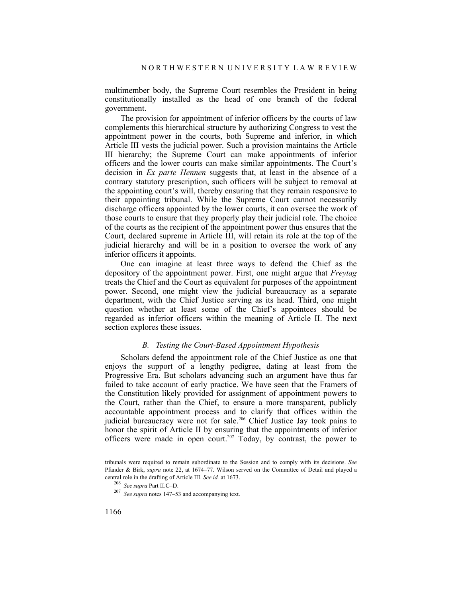multimember body, the Supreme Court resembles the President in being constitutionally installed as the head of one branch of the federal government.

The provision for appointment of inferior officers by the courts of law complements this hierarchical structure by authorizing Congress to vest the appointment power in the courts, both Supreme and inferior, in which Article III vests the judicial power. Such a provision maintains the Article III hierarchy; the Supreme Court can make appointments of inferior officers and the lower courts can make similar appointments. The Court's decision in *Ex parte Hennen* suggests that, at least in the absence of a contrary statutory prescription, such officers will be subject to removal at the appointing court's will, thereby ensuring that they remain responsive to their appointing tribunal. While the Supreme Court cannot necessarily discharge officers appointed by the lower courts, it can oversee the work of those courts to ensure that they properly play their judicial role. The choice of the courts as the recipient of the appointment power thus ensures that the Court, declared supreme in Article III, will retain its role at the top of the judicial hierarchy and will be in a position to oversee the work of any inferior officers it appoints.

One can imagine at least three ways to defend the Chief as the depository of the appointment power. First, one might argue that *Freytag* treats the Chief and the Court as equivalent for purposes of the appointment power. Second, one might view the judicial bureaucracy as a separate department, with the Chief Justice serving as its head. Third, one might question whether at least some of the Chief's appointees should be regarded as inferior officers within the meaning of Article II. The next section explores these issues.

# *B. Testing the Court-Based Appointment Hypothesis*

Scholars defend the appointment role of the Chief Justice as one that enjoys the support of a lengthy pedigree, dating at least from the Progressive Era. But scholars advancing such an argument have thus far failed to take account of early practice. We have seen that the Framers of the Constitution likely provided for assignment of appointment powers to the Court, rather than the Chief, to ensure a more transparent, publicly accountable appointment process and to clarify that offices within the judicial bureaucracy were not for sale.<sup>206</sup> Chief Justice Jay took pains to honor the spirit of Article II by ensuring that the appointments of inferior officers were made in open court.<sup>207</sup> Today, by contrast, the power to

tribunals were required to remain subordinate to the Session and to comply with its decisions. *See* Pfander & Birk, *supra* note 22, at 1674–77. Wilson served on the Committee of Detail and played a central role in the drafting of Article III. *See id.* at 1673. 206 *See supra* Part II.C–D. 207 *See supra* notes 147–53 and accompanying text.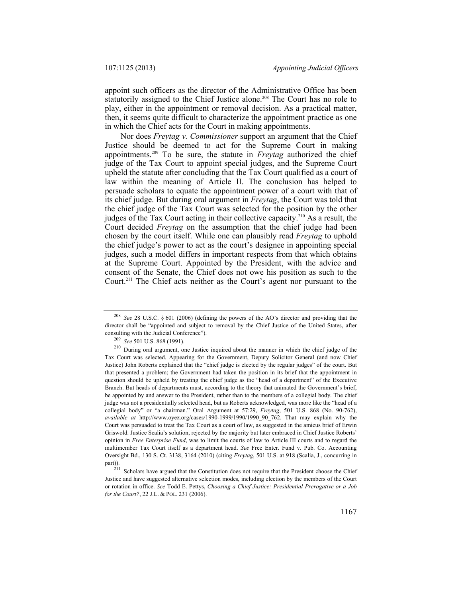appoint such officers as the director of the Administrative Office has been statutorily assigned to the Chief Justice alone.<sup>208</sup> The Court has no role to play, either in the appointment or removal decision. As a practical matter, then, it seems quite difficult to characterize the appointment practice as one in which the Chief acts for the Court in making appointments.

Nor does *Freytag v. Commissioner* support an argument that the Chief Justice should be deemed to act for the Supreme Court in making appointments.209 To be sure, the statute in *Freytag* authorized the chief judge of the Tax Court to appoint special judges, and the Supreme Court upheld the statute after concluding that the Tax Court qualified as a court of law within the meaning of Article II. The conclusion has helped to persuade scholars to equate the appointment power of a court with that of its chief judge. But during oral argument in *Freytag*, the Court was told that the chief judge of the Tax Court was selected for the position by the other judges of the Tax Court acting in their collective capacity.210 As a result, the Court decided *Freytag* on the assumption that the chief judge had been chosen by the court itself. While one can plausibly read *Freytag* to uphold the chief judge's power to act as the court's designee in appointing special judges, such a model differs in important respects from that which obtains at the Supreme Court. Appointed by the President, with the advice and consent of the Senate, the Chief does not owe his position as such to the Court.211 The Chief acts neither as the Court's agent nor pursuant to the

<sup>208</sup> *See* 28 U.S.C. § 601 (2006) (defining the powers of the AO's director and providing that the director shall be "appointed and subject to removal by the Chief Justice of the United States, after

consulting with the Judicial Conference"). 209 *See* 501 U.S. 868 (1991). 210 During oral argument, one Justice inquired about the manner in which the chief judge of the Tax Court was selected. Appearing for the Government, Deputy Solicitor General (and now Chief Justice) John Roberts explained that the "chief judge is elected by the regular judges" of the court. But that presented a problem; the Government had taken the position in its brief that the appointment in question should be upheld by treating the chief judge as the "head of a department" of the Executive Branch. But heads of departments must, according to the theory that animated the Government's brief, be appointed by and answer to the President, rather than to the members of a collegial body. The chief judge was not a presidentially selected head, but as Roberts acknowledged, was more like the "head of a collegial body" or "a chairman." Oral Argument at 57:29, *Freytag*, 501 U.S. 868 (No. 90-762), *available at* http://www.oyez.org/cases/1990-1999/1990/1990\_90\_762. That may explain why the Court was persuaded to treat the Tax Court as a court of law, as suggested in the amicus brief of Erwin Griswold. Justice Scalia's solution, rejected by the majority but later embraced in Chief Justice Roberts' opinion in *Free Enterprise Fund*, was to limit the courts of law to Article III courts and to regard the multimember Tax Court itself as a department head. *See* Free Enter. Fund v. Pub. Co. Accounting Oversight Bd., 130 S. Ct. 3138, 3164 (2010) (citing *Freytag*, 501 U.S. at 918 (Scalia, J., concurring in

 $2^{11}$  Scholars have argued that the Constitution does not require that the President choose the Chief Justice and have suggested alternative selection modes, including election by the members of the Court or rotation in office. *See* Todd E. Pettys, *Choosing a Chief Justice: Presidential Prerogative or a Job for the Court?*, 22 J.L. & POL. 231 (2006).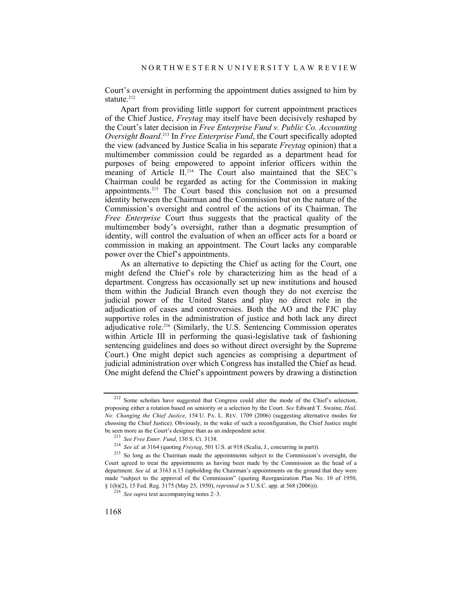Court's oversight in performing the appointment duties assigned to him by statute. $212$ 

Apart from providing little support for current appointment practices of the Chief Justice, *Freytag* may itself have been decisively reshaped by the Court's later decision in *Free Enterprise Fund v. Public Co. Accounting Oversight Board*. 213 In *Free Enterprise Fund*, the Court specifically adopted the view (advanced by Justice Scalia in his separate *Freytag* opinion) that a multimember commission could be regarded as a department head for purposes of being empowered to appoint inferior officers within the meaning of Article II.<sup>214</sup> The Court also maintained that the SEC's Chairman could be regarded as acting for the Commission in making appointments.215 The Court based this conclusion not on a presumed identity between the Chairman and the Commission but on the nature of the Commission's oversight and control of the actions of its Chairman. The *Free Enterprise* Court thus suggests that the practical quality of the multimember body's oversight, rather than a dogmatic presumption of identity, will control the evaluation of when an officer acts for a board or commission in making an appointment. The Court lacks any comparable power over the Chief's appointments.

As an alternative to depicting the Chief as acting for the Court, one might defend the Chief's role by characterizing him as the head of a department. Congress has occasionally set up new institutions and housed them within the Judicial Branch even though they do not exercise the judicial power of the United States and play no direct role in the adjudication of cases and controversies. Both the AO and the FJC play supportive roles in the administration of justice and both lack any direct adjudicative role.216 (Similarly, the U.S. Sentencing Commission operates within Article III in performing the quasi-legislative task of fashioning sentencing guidelines and does so without direct oversight by the Supreme Court.) One might depict such agencies as comprising a department of judicial administration over which Congress has installed the Chief as head. One might defend the Chief's appointment powers by drawing a distinction

<sup>212</sup> Some scholars have suggested that Congress could alter the mode of the Chief's selection, proposing either a rotation based on seniority or a selection by the Court. *See* Edward T. Swaine, *Hail, No: Changing the Chief Justice*, 154 U. PA. L. REV. 1709 (2006) (suggesting alternative modes for choosing the Chief Justice). Obviously, in the wake of such a reconfiguration, the Chief Justice might be seen more as the Court's designee than as an independent actor.<br><sup>213</sup> See Free Enter. Fund, 130 S. Ct. 3138.<br><sup>214</sup> See id. at 3164 (quoting Freytag, 501 U.S. at 918 (Scalia, J., concurring in part)).<br><sup>215</sup> So long as th

Court agreed to treat the appointments as having been made by the Commission as the head of a department. *See id.* at 3163 n.13 (upholding the Chairman's appointments on the ground that they were made "subject to the approval of the Commission" (quoting Reorganization Plan No. 10 of 1950, § 1(b)(2), 15 Fed. Reg. 3175 (May 25, 1950), *reprinted in* 5 U.S.C. app. at 568 (2006))). 216 *See supra* text accompanying notes 2–3.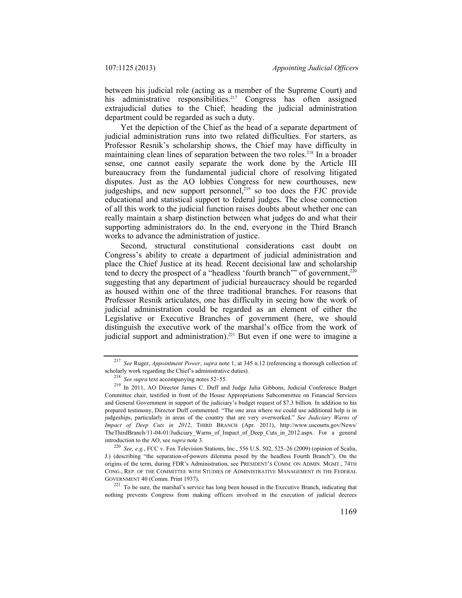between his judicial role (acting as a member of the Supreme Court) and his administrative responsibilities.<sup>217</sup> Congress has often assigned extrajudicial duties to the Chief; heading the judicial administration department could be regarded as such a duty.

Yet the depiction of the Chief as the head of a separate department of judicial administration runs into two related difficulties. For starters, as Professor Resnik's scholarship shows, the Chief may have difficulty in maintaining clean lines of separation between the two roles.<sup>218</sup> In a broader sense, one cannot easily separate the work done by the Article III bureaucracy from the fundamental judicial chore of resolving litigated disputes. Just as the AO lobbies Congress for new courthouses, new judgeships, and new support personnel,<sup>219</sup> so too does the FJC provide educational and statistical support to federal judges. The close connection of all this work to the judicial function raises doubts about whether one can really maintain a sharp distinction between what judges do and what their supporting administrators do. In the end, everyone in the Third Branch works to advance the administration of justice.

Second, structural constitutional considerations cast doubt on Congress's ability to create a department of judicial administration and place the Chief Justice at its head. Recent decisional law and scholarship tend to decry the prospect of a "headless 'fourth branch'" of government,<sup>220</sup> suggesting that any department of judicial bureaucracy should be regarded as housed within one of the three traditional branches. For reasons that Professor Resnik articulates, one has difficulty in seeing how the work of judicial administration could be regarded as an element of either the Legislative or Executive Branches of government (here, we should distinguish the executive work of the marshal's office from the work of judicial support and administration).<sup>221</sup> But even if one were to imagine a

<sup>&</sup>lt;sup>217</sup> *See* Ruger, *Appointment Power*, *supra* note 1, at 345 n.12 (referencing a thorough collection of scholarly work regarding the Chief's administrative duties).

scholarly work regarding the Chief's administrative duties). 218 *See supra* text accompanying notes 52–55. 219 In 2011, AO Director James C. Duff and Judge Julia Gibbons, Judicial Conference Budget Committee chair, testified in front of the House Appropriations Subcommittee on Financial Services and General Government in support of the judiciary's budget request of \$7.3 billion. In addition to his prepared testimony, Director Duff commented: "The one area where we could use additional help is in judgeships, particularly in areas of the country that are very overworked." *See Judiciary Warns of Impact of Deep Cuts in 2012*, THIRD BRANCH (Apr. 2011), http://www.uscourts.gov/News/ TheThirdBranch/11-04-01/Judiciary\_Warns\_of\_Impact\_of\_Deep\_Cuts\_in\_2012.aspx. For a general introduction to the AO, see *supra* note 3.<br><sup>220</sup> *See, e.g.*, FCC v. Fox Television Stations, Inc., 556 U.S. 502, 525–26 (2009) (opinion of Scalia,

J.) (describing "the separation-of-powers dilemma posed by the headless Fourth Branch"). On the origins of the term, during FDR's Administration, see PRESIDENT'S COMM. ON ADMIN. MGMT., 74TH CONG., REP. OF THE COMMITTEE WITH STUDIES OF ADMINISTRATIVE MANAGEMENT IN THE FEDERAL GOVERNMENT 40 (Comm. Print 1937).

 $^{221}$  To be sure, the marshal's service has long been housed in the Executive Branch, indicating that nothing prevents Congress from making officers involved in the execution of judicial decrees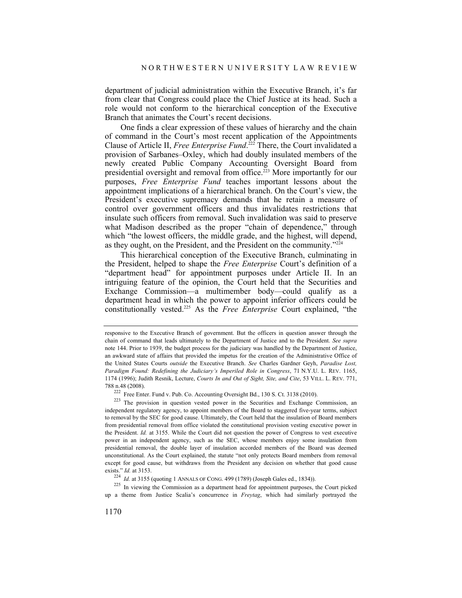department of judicial administration within the Executive Branch, it's far from clear that Congress could place the Chief Justice at its head. Such a role would not conform to the hierarchical conception of the Executive Branch that animates the Court's recent decisions.

One finds a clear expression of these values of hierarchy and the chain of command in the Court's most recent application of the Appointments Clause of Article II, *Free Enterprise Fund*. 222 There, the Court invalidated a provision of Sarbanes–Oxley, which had doubly insulated members of the newly created Public Company Accounting Oversight Board from presidential oversight and removal from office.<sup>223</sup> More importantly for our purposes, *Free Enterprise Fund* teaches important lessons about the appointment implications of a hierarchical branch. On the Court's view, the President's executive supremacy demands that he retain a measure of control over government officers and thus invalidates restrictions that insulate such officers from removal. Such invalidation was said to preserve what Madison described as the proper "chain of dependence," through which "the lowest officers, the middle grade, and the highest, will depend, as they ought, on the President, and the President on the community."224

This hierarchical conception of the Executive Branch, culminating in the President, helped to shape the *Free Enterprise* Court's definition of a "department head" for appointment purposes under Article II. In an intriguing feature of the opinion, the Court held that the Securities and Exchange Commission—a multimember body—could qualify as a department head in which the power to appoint inferior officers could be constitutionally vested.225 As the *Free Enterprise* Court explained, "the

responsive to the Executive Branch of government. But the officers in question answer through the chain of command that leads ultimately to the Department of Justice and to the President. *See supra*  note 144. Prior to 1939, the budget process for the judiciary was handled by the Department of Justice, an awkward state of affairs that provided the impetus for the creation of the Administrative Office of the United States Courts *outside* the Executive Branch. *See* Charles Gardner Geyh, *Paradise Lost, Paradigm Found: Redefining the Judiciary's Imperiled Role in Congress*, 71 N.Y.U. L. REV. 1165, 1174 (1996); Judith Resnik, Lecture, *Courts In and Out of Sight, Site, and Cite*, 53 VILL. L. REV. 771,

<sup>&</sup>lt;sup>222</sup> Free Enter. Fund v. Pub. Co. Accounting Oversight Bd., 130 S. Ct. 3138 (2010).<br><sup>223</sup> The provision in question vested power in the Securities and Exchange Commission, an independent regulatory agency, to appoint members of the Board to staggered five-year terms, subject to removal by the SEC for good cause. Ultimately, the Court held that the insulation of Board members from presidential removal from office violated the constitutional provision vesting executive power in the President. *Id.* at 3155. While the Court did not question the power of Congress to vest executive power in an independent agency, such as the SEC, whose members enjoy some insulation from presidential removal, the double layer of insulation accorded members of the Board was deemed unconstitutional. As the Court explained, the statute "not only protects Board members from removal except for good cause, but withdraws from the President any decision on whether that good cause exists." *Id.* at 3153.<br><sup>224</sup> *Id.* at 3155 (quoting 1 ANNALS OF CONG. 499 (1789) (Joseph Gales ed., 1834)).<br><sup>225</sup> In viewing the Commission as a department head for appointment purposes, the Court picked

up a theme from Justice Scalia's concurrence in *Freytag*, which had similarly portrayed the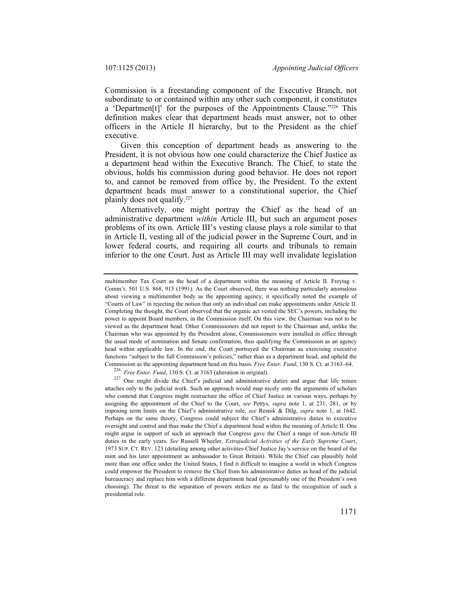Commission is a freestanding component of the Executive Branch, not subordinate to or contained within any other such component, it constitutes a 'Departmen[t]' for the purposes of the Appointments Clause."226 This definition makes clear that department heads must answer, not to other officers in the Article II hierarchy, but to the President as the chief executive.

Given this conception of department heads as answering to the President, it is not obvious how one could characterize the Chief Justice as a department head within the Executive Branch. The Chief, to state the obvious, holds his commission during good behavior. He does not report to, and cannot be removed from office by, the President. To the extent department heads must answer to a constitutional superior, the Chief plainly does not qualify.<sup>227</sup>

Alternatively, one might portray the Chief as the head of an administrative department *within* Article III, but such an argument poses problems of its own. Article III's vesting clause plays a role similar to that in Article II, vesting all of the judicial power in the Supreme Court, and in lower federal courts, and requiring all courts and tribunals to remain inferior to the one Court. Just as Article III may well invalidate legislation

multimember Tax Court as the head of a department within the meaning of Article II. Freytag v. Comm'r, 501 U.S. 868, 915 (1991). As the Court observed, there was nothing particularly anomalous about viewing a multimember body as the appointing agency; it specifically noted the example of "Courts of Law" in rejecting the notion that only an individual can make appointments under Article II. Completing the thought, the Court observed that the organic act vested the SEC's powers, including the power to appoint Board members, in the Commission itself. On this view, the Chairman was not to be viewed as the department head. Other Commissioners did not report to the Chairman and, unlike the Chairman who was appointed by the President alone, Commissioners were installed in office through the usual mode of nomination and Senate confirmation, thus qualifying the Commission as an agency head within applicable law. In the end, the Court portrayed the Chairman as exercising executive functions "subject to the full Commission's policies," rather than as a department head, and upheld the Commission as the appointing department head on this basis. *Free Enter. Fund*, 130 S. Ct. at 3163–64.<br><sup>226</sup> *Free Enter. Fund*, 130 S. Ct. at 3163 (alteration in original).<br><sup>227</sup> One might divide the Chief's judicial and

attaches only to the judicial work. Such an approach would map nicely onto the arguments of scholars who contend that Congress might restructure the office of Chief Justice in various ways, perhaps by assigning the appointment of the Chief to the Court, *see* Pettys, *supra* note 1, at 231, 281, or by imposing term limits on the Chief's administrative role, *see* Resnik & Dilg, *supra* note 1, at 1642. Perhaps on the same theory, Congress could subject the Chief's administrative duties to executive oversight and control and thus make the Chief a department head within the meaning of Article II. One might argue in support of such an approach that Congress gave the Chief a range of non-Article III duties in the early years. *See* Russell Wheeler, *Extrajudicial Activities of the Early Supreme Court*, 1973 SUP. CT. REV. 123 (detailing among other activities Chief Justice Jay's service on the board of the mint and his later appointment as ambassador to Great Britain). While the Chief can plausibly hold more than one office under the United States, I find it difficult to imagine a world in which Congress could empower the President to remove the Chief from his administrative duties as head of the judicial bureaucracy and replace him with a different department head (presumably one of the President's own choosing). The threat to the separation of powers strikes me as fatal to the recognition of such a presidential role.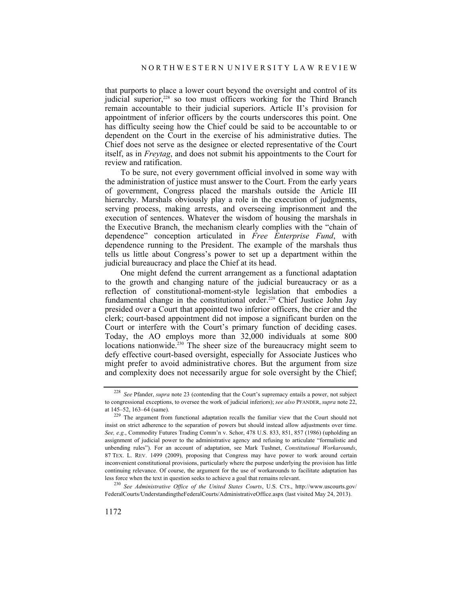that purports to place a lower court beyond the oversight and control of its judicial superior,<sup>228</sup> so too must officers working for the Third Branch remain accountable to their judicial superiors. Article II's provision for appointment of inferior officers by the courts underscores this point. One has difficulty seeing how the Chief could be said to be accountable to or dependent on the Court in the exercise of his administrative duties. The Chief does not serve as the designee or elected representative of the Court itself, as in *Freytag*, and does not submit his appointments to the Court for review and ratification.

To be sure, not every government official involved in some way with the administration of justice must answer to the Court. From the early years of government, Congress placed the marshals outside the Article III hierarchy. Marshals obviously play a role in the execution of judgments, serving process, making arrests, and overseeing imprisonment and the execution of sentences. Whatever the wisdom of housing the marshals in the Executive Branch, the mechanism clearly complies with the "chain of dependence" conception articulated in *Free Enterprise Fund*, with dependence running to the President. The example of the marshals thus tells us little about Congress's power to set up a department within the judicial bureaucracy and place the Chief at its head.

One might defend the current arrangement as a functional adaptation to the growth and changing nature of the judicial bureaucracy or as a reflection of constitutional-moment-style legislation that embodies a fundamental change in the constitutional order.<sup>229</sup> Chief Justice John Jay presided over a Court that appointed two inferior officers, the crier and the clerk; court-based appointment did not impose a significant burden on the Court or interfere with the Court's primary function of deciding cases. Today, the AO employs more than 32,000 individuals at some 800 locations nationwide.<sup>230</sup> The sheer size of the bureaucracy might seem to defy effective court-based oversight, especially for Associate Justices who might prefer to avoid administrative chores. But the argument from size and complexity does not necessarily argue for sole oversight by the Chief;

<sup>228</sup> *See* Pfander, *supra* note 23 (contending that the Court's supremacy entails a power, not subject to congressional exceptions, to oversee the work of judicial inferiors); *see also* PFANDER, *supra* note 22, at 145–52, 163–64 (same).

<sup>&</sup>lt;sup>229</sup> The argument from functional adaptation recalls the familiar view that the Court should not insist on strict adherence to the separation of powers but should instead allow adjustments over time. *See, e.g.*, Commodity Futures Trading Comm'n v. Schor, 478 U.S. 833, 851, 857 (1986) (upholding an assignment of judicial power to the administrative agency and refusing to articulate "formalistic and unbending rules"). For an account of adaptation, see Mark Tushnet, *Constitutional Workarounds*, 87 TEX. L. REV. 1499 (2009), proposing that Congress may have power to work around certain inconvenient constitutional provisions, particularly where the purpose underlying the provision has little continuing relevance. Of course, the argument for the use of workarounds to facilitate adaptation has

less force when the text in question seeks to achieve a goal that remains relevant. 230 *See Administrative Office of the United States Courts*, U.S. CTS., http://www.uscourts.gov/ FederalCourts/UnderstandingtheFederalCourts/AdministrativeOffice.aspx (last visited May 24, 2013).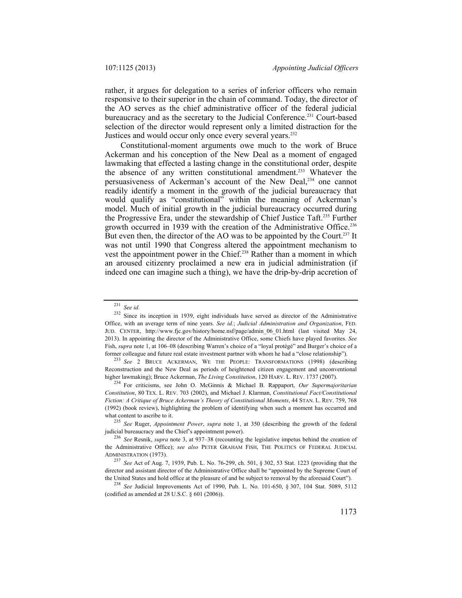rather, it argues for delegation to a series of inferior officers who remain responsive to their superior in the chain of command. Today, the director of the AO serves as the chief administrative officer of the federal judicial bureaucracy and as the secretary to the Judicial Conference.231 Court-based selection of the director would represent only a limited distraction for the Justices and would occur only once every several years.<sup>232</sup>

Constitutional-moment arguments owe much to the work of Bruce Ackerman and his conception of the New Deal as a moment of engaged lawmaking that effected a lasting change in the constitutional order, despite the absence of any written constitutional amendment.<sup>233</sup> Whatever the persuasiveness of Ackerman's account of the New Deal,<sup>234</sup> one cannot readily identify a moment in the growth of the judicial bureaucracy that would qualify as "constitutional" within the meaning of Ackerman's model. Much of initial growth in the judicial bureaucracy occurred during the Progressive Era, under the stewardship of Chief Justice Taft.235 Further growth occurred in 1939 with the creation of the Administrative Office.<sup>236</sup> But even then, the director of the AO was to be appointed by the Court.<sup>237</sup> It was not until 1990 that Congress altered the appointment mechanism to vest the appointment power in the Chief.<sup>238</sup> Rather than a moment in which an aroused citizenry proclaimed a new era in judicial administration (if indeed one can imagine such a thing), we have the drip-by-drip accretion of

<sup>231</sup> *See id.*

<sup>&</sup>lt;sup>232</sup> Since its inception in 1939, eight individuals have served as director of the Administrative Office, with an average term of nine years. *See id.*; *Judicial Administration and Organization*, FED. JUD. CENTER, http://www.fjc.gov/history/home.nsf/page/admin\_06\_01.html (last visited May 24, 2013). In appointing the director of the Administrative Office, some Chiefs have played favorites. *See* Fish, *supra* note 1, at 106–08 (describing Warren's choice of a "loyal protégé" and Burger's choice of a former colleague and future real estate investment partner with whom he had a "close relationship"). 233 *See* 2 BRUCE ACKERMAN, WE THE PEOPLE: TRANSFORMATIONS (1998) (describing

Reconstruction and the New Deal as periods of heightened citizen engagement and unconventional higher lawmaking); Bruce Ackerman, *The Living Constitution*, 120 HARV. L. REV. 1737 (2007). 234 For criticisms, see John O. McGinnis & Michael B. Rappaport, *Our Supermajoritarian* 

*Constitution*, 80 TEX. L. REV. 703 (2002), and Michael J. Klarman, *Constitutional Fact/Constitutional Fiction: A Critique of Bruce Ackerman's Theory of Constitutional Moments*, 44 STAN. L. REV. 759, 768 (1992) (book review), highlighting the problem of identifying when such a moment has occurred and what content to ascribe to it.

<sup>&</sup>lt;sup>235</sup> *See* Ruger, *Appointment Power*, *supra* note 1, at 350 (describing the growth of the federal judicial bureaucracy and the Chief's appointment power).

<sup>&</sup>lt;sup>236</sup> See Resnik, *supra* note 3, at 937–38 (recounting the legislative impetus behind the creation of the Administrative Office); *see also* PETER GRAHAM FISH, THE POLITICS OF FEDERAL JUDICIAL ADMINISTRATION (1973).

<sup>237</sup> *See* Act of Aug. 7, 1939, Pub. L. No. 76-299, ch. 501, § 302, 53 Stat. 1223 (providing that the director and assistant director of the Administrative Office shall be "appointed by the Supreme Court of

the United States and hold office at the pleasure of and be subject to removal by the aforesaid Court"). 238 *See* Judicial Improvements Act of 1990, Pub. L. No. 101-650, § 307, 104 Stat. 5089, 5112 (codified as amended at 28 U.S.C. § 601 (2006)).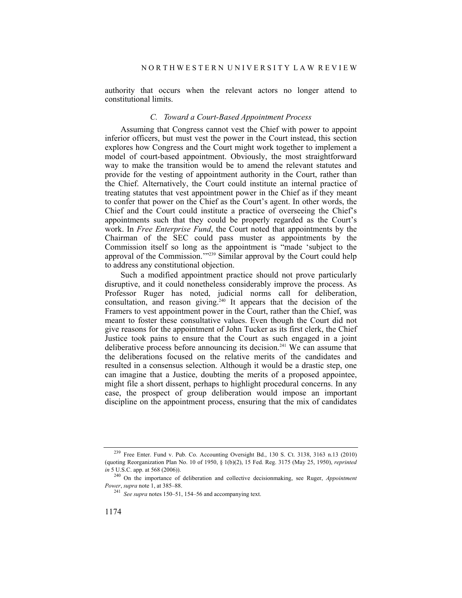authority that occurs when the relevant actors no longer attend to constitutional limits.

# *C. Toward a Court-Based Appointment Process*

Assuming that Congress cannot vest the Chief with power to appoint inferior officers, but must vest the power in the Court instead, this section explores how Congress and the Court might work together to implement a model of court-based appointment. Obviously, the most straightforward way to make the transition would be to amend the relevant statutes and provide for the vesting of appointment authority in the Court, rather than the Chief. Alternatively, the Court could institute an internal practice of treating statutes that vest appointment power in the Chief as if they meant to confer that power on the Chief as the Court's agent. In other words, the Chief and the Court could institute a practice of overseeing the Chief's appointments such that they could be properly regarded as the Court's work. In *Free Enterprise Fund*, the Court noted that appointments by the Chairman of the SEC could pass muster as appointments by the Commission itself so long as the appointment is "made 'subject to the approval of the Commission.'"239 Similar approval by the Court could help to address any constitutional objection.

Such a modified appointment practice should not prove particularly disruptive, and it could nonetheless considerably improve the process. As Professor Ruger has noted, judicial norms call for deliberation. consultation, and reason giving.<sup>240</sup> It appears that the decision of the Framers to vest appointment power in the Court, rather than the Chief, was meant to foster these consultative values. Even though the Court did not give reasons for the appointment of John Tucker as its first clerk, the Chief Justice took pains to ensure that the Court as such engaged in a joint deliberative process before announcing its decision.<sup>241</sup> We can assume that the deliberations focused on the relative merits of the candidates and resulted in a consensus selection. Although it would be a drastic step, one can imagine that a Justice, doubting the merits of a proposed appointee, might file a short dissent, perhaps to highlight procedural concerns. In any case, the prospect of group deliberation would impose an important discipline on the appointment process, ensuring that the mix of candidates

<sup>239</sup> Free Enter. Fund v. Pub. Co. Accounting Oversight Bd., 130 S. Ct. 3138, 3163 n.13 (2010) (quoting Reorganization Plan No. 10 of 1950, § 1(b)(2), 15 Fed. Reg. 3175 (May 25, 1950), *reprinted in* 5 U.S.C. app. at 568 (2006)).

<sup>&</sup>lt;sup>240</sup> On the importance of deliberation and collective decisionmaking, see Ruger, *Appointment Power*, *supra* note 1, at 385–88.

<sup>&</sup>lt;sup>241</sup> *See supra* notes 150–51, 154–56 and accompanying text.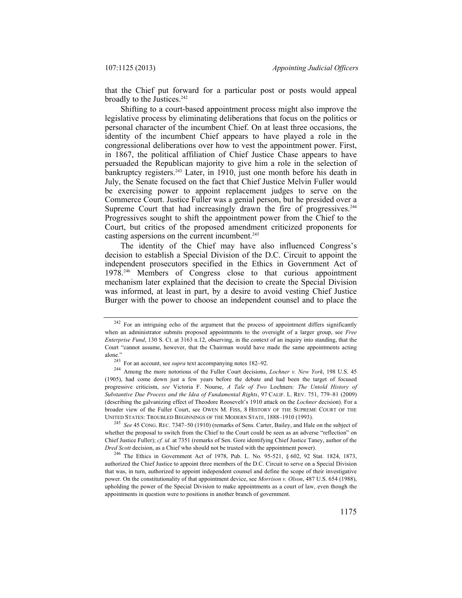that the Chief put forward for a particular post or posts would appeal broadly to the Justices.<sup>242</sup>

Shifting to a court-based appointment process might also improve the legislative process by eliminating deliberations that focus on the politics or personal character of the incumbent Chief. On at least three occasions, the identity of the incumbent Chief appears to have played a role in the congressional deliberations over how to vest the appointment power. First, in 1867, the political affiliation of Chief Justice Chase appears to have persuaded the Republican majority to give him a role in the selection of bankruptcy registers.<sup>243</sup> Later, in 1910, just one month before his death in July, the Senate focused on the fact that Chief Justice Melvin Fuller would be exercising power to appoint replacement judges to serve on the Commerce Court. Justice Fuller was a genial person, but he presided over a Supreme Court that had increasingly drawn the fire of progressives.<sup>244</sup> Progressives sought to shift the appointment power from the Chief to the Court, but critics of the proposed amendment criticized proponents for casting aspersions on the current incumbent.<sup>245</sup>

The identity of the Chief may have also influenced Congress's decision to establish a Special Division of the D.C. Circuit to appoint the independent prosecutors specified in the Ethics in Government Act of 1978.246 Members of Congress close to that curious appointment mechanism later explained that the decision to create the Special Division was informed, at least in part, by a desire to avoid vesting Chief Justice Burger with the power to choose an independent counsel and to place the

<sup>245</sup> *See* 45 CONG. REC. 7347–50 (1910) (remarks of Sens. Carter, Bailey, and Hale on the subject of whether the proposal to switch from the Chief to the Court could be seen as an adverse "reflection" on Chief Justice Fuller); *cf. id.* at 7351 (remarks of Sen. Gore identifying Chief Justice Taney, author of the *Dred Scott* decision, as a Chief who should not be trusted with the appointment power).

 $242$  For an intriguing echo of the argument that the process of appointment differs significantly when an administrator submits proposed appointments to the oversight of a larger group, see *Free Enterprise Fund*, 130 S. Ct. at 3163 n.12, observing, in the context of an inquiry into standing, that the Court "cannot assume, however, that the Chairman would have made the same appointments acting alone." 243 For an account, see *supra* text accompanying notes 182–92. 244 Among the more notorious of the Fuller Court decisions, *Lochner v. New York*, 198 U.S. 45

<sup>(1905),</sup> had come down just a few years before the debate and had been the target of focused progressive criticism, *see* Victoria F. Nourse, *A Tale of Two* Lochners*: The Untold History of Substantive Due Process and the Idea of Fundamental Rights*, 97 CALIF. L. REV. 751, 779–81 (2009) (describing the galvanizing effect of Theodore Roosevelt's 1910 attack on the *Lochner* decision). For a broader view of the Fuller Court, see OWEN M. FISS, 8 HISTORY OF THE SUPREME COURT OF THE UNITED STATES: TROUBLED BEGINNINGS OF THE MODERN STATE, 1888–1910 (1993).

<sup>&</sup>lt;sup>246</sup> The Ethics in Government Act of 1978, Pub. L. No. 95-521,  $\S 602$ , 92 Stat. 1824, 1873, authorized the Chief Justice to appoint three members of the D.C. Circuit to serve on a Special Division that was, in turn, authorized to appoint independent counsel and define the scope of their investigative power. On the constitutionality of that appointment device, see *Morrison v. Olson*, 487 U.S. 654 (1988), upholding the power of the Special Division to make appointments as a court of law, even though the appointments in question were to positions in another branch of government.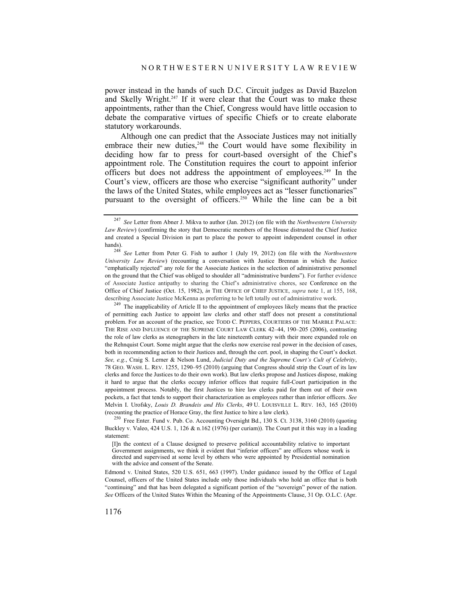power instead in the hands of such D.C. Circuit judges as David Bazelon and Skelly Wright.<sup>247</sup> If it were clear that the Court was to make these appointments, rather than the Chief, Congress would have little occasion to debate the comparative virtues of specific Chiefs or to create elaborate statutory workarounds.

Although one can predict that the Associate Justices may not initially embrace their new duties,<sup>248</sup> the Court would have some flexibility in deciding how far to press for court-based oversight of the Chief's appointment role. The Constitution requires the court to appoint inferior officers but does not address the appointment of employees.<sup>249</sup> In the Court's view, officers are those who exercise "significant authority" under the laws of the United States, while employees act as "lesser functionaries" pursuant to the oversight of officers.<sup>250</sup> While the line can be a bit

of permitting each Justice to appoint law clerks and other staff does not present a constitutional problem. For an account of the practice, see TODD C. PEPPERS, COURTIERS OF THE MARBLE PALACE: THE RISE AND INFLUENCE OF THE SUPREME COURT LAW CLERK 42–44, 190–205 (2006), contrasting the role of law clerks as stenographers in the late nineteenth century with their more expanded role on the Rehnquist Court. Some might argue that the clerks now exercise real power in the decision of cases, both in recommending action to their Justices and, through the cert. pool, in shaping the Court's docket. *See, e.g.*, Craig S. Lerner & Nelson Lund, *Judicial Duty and the Supreme Court's Cult of Celebrity*, 78 GEO. WASH. L. REV. 1255, 1290–95 (2010) (arguing that Congress should strip the Court of its law clerks and force the Justices to do their own work). But law clerks propose and Justices dispose, making it hard to argue that the clerks occupy inferior offices that require full-Court participation in the appointment process. Notably, the first Justices to hire law clerks paid for them out of their own pockets, a fact that tends to support their characterization as employees rather than inferior officers. *See* Melvin I. Urofsky, *Louis D. Brandeis and His Clerks*, 49 U. LOUISVILLE L. REV. 163, 165 (2010) (recounting the practice of Horace Gray, the first Justice to hire a law clerk). 250 Free Enter. Fund v. Pub. Co. Accounting Oversight Bd., 130 S. Ct. 3138, 3160 (2010) (quoting

Buckley v. Valeo, 424 U.S. 1, 126 & n.162 (1976) (per curiam)). The Court put it this way in a leading statement:

[I]n the context of a Clause designed to preserve political accountability relative to important Government assignments, we think it evident that "inferior officers" are officers whose work is directed and supervised at some level by others who were appointed by Presidential nomination with the advice and consent of the Senate.

Edmond v. United States, 520 U.S. 651, 663 (1997). Under guidance issued by the Office of Legal Counsel, officers of the United States include only those individuals who hold an office that is both "continuing" and that has been delegated a significant portion of the "sovereign" power of the nation. *See* Officers of the United States Within the Meaning of the Appointments Clause, 31 Op. O.L.C. (Apr.

<sup>247</sup> *See* Letter from Abner J. Mikva to author (Jan. 2012) (on file with the *Northwestern University Law Review*) (confirming the story that Democratic members of the House distrusted the Chief Justice and created a Special Division in part to place the power to appoint independent counsel in other hands).

<sup>248</sup> *See* Letter from Peter G. Fish to author 1 (July 19, 2012) (on file with the *Northwestern University Law Review*) (recounting a conversation with Justice Brennan in which the Justice "emphatically rejected" any role for the Associate Justices in the selection of administrative personnel on the ground that the Chief was obliged to shoulder all "administrative burdens"). For further evidence of Associate Justice antipathy to sharing the Chief's administrative chores, see Conference on the Office of Chief Justice (Oct. 15, 1982), *in* THE OFFICE OF CHIEF JUSTICE, *supra* note 1, at 155, 168, describing Associate Justice McKenna as preferring to be left totally out of administrative work.<br><sup>249</sup> The inapplicability of Article II to the appointment of employees likely means that the practice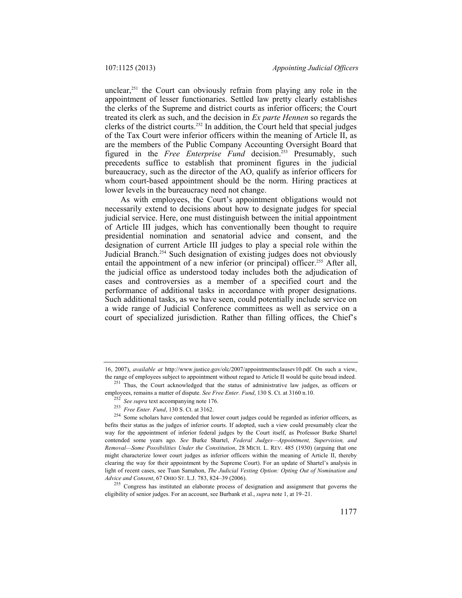unclear, $251$  the Court can obviously refrain from playing any role in the appointment of lesser functionaries. Settled law pretty clearly establishes the clerks of the Supreme and district courts as inferior officers; the Court treated its clerk as such, and the decision in *Ex parte Hennen* so regards the clerks of the district courts.252 In addition, the Court held that special judges of the Tax Court were inferior officers within the meaning of Article II, as are the members of the Public Company Accounting Oversight Board that figured in the *Free Enterprise Fund* decision.<sup>253</sup> Presumably, such precedents suffice to establish that prominent figures in the judicial bureaucracy, such as the director of the AO, qualify as inferior officers for whom court-based appointment should be the norm. Hiring practices at lower levels in the bureaucracy need not change.

As with employees, the Court's appointment obligations would not necessarily extend to decisions about how to designate judges for special judicial service. Here, one must distinguish between the initial appointment of Article III judges, which has conventionally been thought to require presidential nomination and senatorial advice and consent, and the designation of current Article III judges to play a special role within the Judicial Branch.<sup>254</sup> Such designation of existing judges does not obviously entail the appointment of a new inferior (or principal) officer.<sup>255</sup> After all, the judicial office as understood today includes both the adjudication of cases and controversies as a member of a specified court and the performance of additional tasks in accordance with proper designations. Such additional tasks, as we have seen, could potentially include service on a wide range of Judicial Conference committees as well as service on a court of specialized jurisdiction. Rather than filling offices, the Chief's

<sup>16, 2007),</sup> *available at* http://www.justice.gov/olc/2007/appointmentsclausev10.pdf. On such a view, the range of employees subject to appointment without regard to Article II would be quite broad indeed.<br><sup>251</sup> Thus, the Court acknowledged that the status of administrative law judges, as officers or

employees, remains a matter of dispute. *See Free Enter. Fund*, 130 S. Ct. at 3160 n.10.<br><sup>252</sup> *See supra* text accompanying note 176.<br><sup>253</sup> *Free Enter. Fund*, 130 S. Ct. at 3162.

<sup>&</sup>lt;sup>254</sup> Some scholars have contended that lower court judges could be regarded as inferior officers, as befits their status as the judges of inferior courts. If adopted, such a view could presumably clear the way for the appointment of inferior federal judges by the Court itself, as Professor Burke Shartel contended some years ago. *See* Burke Shartel, *Federal Judges—Appointment, Supervision, and Removal—Some Possibilities Under the Constitution*, 28 MICH. L. REV. 485 (1930) (arguing that one might characterize lower court judges as inferior officers within the meaning of Article II, thereby clearing the way for their appointment by the Supreme Court). For an update of Shartel's analysis in light of recent cases, see Tuan Samahon, *The Judicial Vesting Option: Opting Out of Nomination and* 

*Advice and Consent*, 67 OHIO ST. L.J. 783, 824–39 (2006). 255 Congress has instituted an elaborate process of designation and assignment that governs the eligibility of senior judges. For an account, see Burbank et al., *supra* note 1, at 19–21.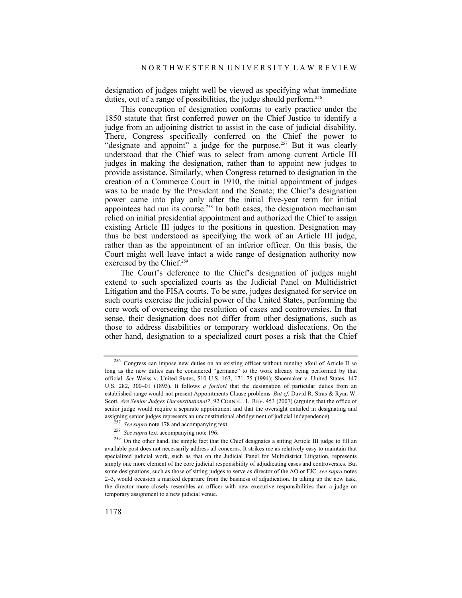designation of judges might well be viewed as specifying what immediate duties, out of a range of possibilities, the judge should perform.<sup>256</sup>

This conception of designation conforms to early practice under the 1850 statute that first conferred power on the Chief Justice to identify a judge from an adjoining district to assist in the case of judicial disability. There, Congress specifically conferred on the Chief the power to "designate and appoint" a judge for the purpose.<sup>257</sup> But it was clearly understood that the Chief was to select from among current Article III judges in making the designation, rather than to appoint new judges to provide assistance. Similarly, when Congress returned to designation in the creation of a Commerce Court in 1910, the initial appointment of judges was to be made by the President and the Senate; the Chief's designation power came into play only after the initial five-year term for initial appointees had run its course.<sup>258</sup> In both cases, the designation mechanism relied on initial presidential appointment and authorized the Chief to assign existing Article III judges to the positions in question. Designation may thus be best understood as specifying the work of an Article III judge, rather than as the appointment of an inferior officer. On this basis, the Court might well leave intact a wide range of designation authority now exercised by the Chief.<sup>259</sup>

The Court's deference to the Chief's designation of judges might extend to such specialized courts as the Judicial Panel on Multidistrict Litigation and the FISA courts. To be sure, judges designated for service on such courts exercise the judicial power of the United States, performing the core work of overseeing the resolution of cases and controversies. In that sense, their designation does not differ from other designations, such as those to address disabilities or temporary workload dislocations. On the other hand, designation to a specialized court poses a risk that the Chief

<sup>256</sup> Congress can impose new duties on an existing officer without running afoul of Article II so long as the new duties can be considered "germane" to the work already being performed by that official. *See* Weiss v. United States, 510 U.S. 163, 171–75 (1994); Shoemaker v. United States, 147 U.S. 282, 300–01 (1893). It follows *a fortiori* that the designation of particular duties from an established range would not present Appointments Clause problems. *But cf.* David R. Stras & Ryan W. Scott, *Are Senior Judges Unconstitutional?*, 92 CORNELL L. REV. 453 (2007) (arguing that the office of senior judge would require a separate appointment and that the oversight entailed in designating and assigning senior judges represents an unconstitutional abridgement of judicial independence). 257 *See supra* note 178 and accompanying text.

<sup>258</sup> *See supra* text accompanying note 196.

<sup>&</sup>lt;sup>259</sup> On the other hand, the simple fact that the Chief designates a sitting Article III judge to fill an available post does not necessarily address all concerns. It strikes me as relatively easy to maintain that specialized judicial work, such as that on the Judicial Panel for Multidistrict Litigation, represents simply one more element of the core judicial responsibility of adjudicating cases and controversies. But some designations, such as those of sitting judges to serve as director of the AO or FJC, *see supra* notes 2–3, would occasion a marked departure from the business of adjudication. In taking up the new task, the director more closely resembles an officer with new executive responsibilities than a judge on temporary assignment to a new judicial venue.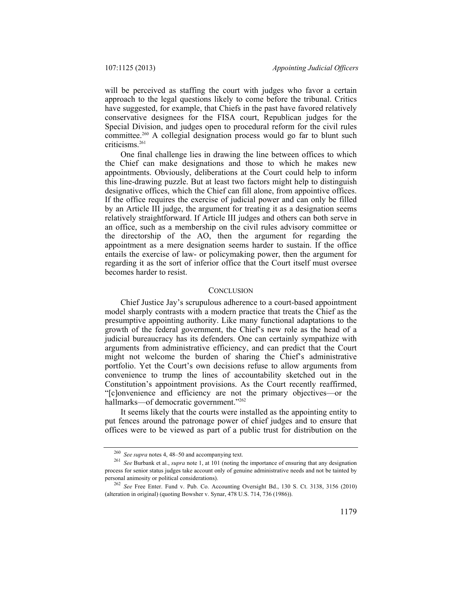will be perceived as staffing the court with judges who favor a certain approach to the legal questions likely to come before the tribunal. Critics have suggested, for example, that Chiefs in the past have favored relatively conservative designees for the FISA court, Republican judges for the Special Division, and judges open to procedural reform for the civil rules committee.260 A collegial designation process would go far to blunt such criticisms.261

One final challenge lies in drawing the line between offices to which the Chief can make designations and those to which he makes new appointments. Obviously, deliberations at the Court could help to inform this line-drawing puzzle. But at least two factors might help to distinguish designative offices, which the Chief can fill alone, from appointive offices. If the office requires the exercise of judicial power and can only be filled by an Article III judge, the argument for treating it as a designation seems relatively straightforward. If Article III judges and others can both serve in an office, such as a membership on the civil rules advisory committee or the directorship of the AO, then the argument for regarding the appointment as a mere designation seems harder to sustain. If the office entails the exercise of law- or policymaking power, then the argument for regarding it as the sort of inferior office that the Court itself must oversee becomes harder to resist.

#### **CONCLUSION**

Chief Justice Jay's scrupulous adherence to a court-based appointment model sharply contrasts with a modern practice that treats the Chief as the presumptive appointing authority. Like many functional adaptations to the growth of the federal government, the Chief's new role as the head of a judicial bureaucracy has its defenders. One can certainly sympathize with arguments from administrative efficiency, and can predict that the Court might not welcome the burden of sharing the Chief's administrative portfolio. Yet the Court's own decisions refuse to allow arguments from convenience to trump the lines of accountability sketched out in the Constitution's appointment provisions. As the Court recently reaffirmed, "[c]onvenience and efficiency are not the primary objectives—or the hallmarks-of democratic government."<sup>262</sup>

It seems likely that the courts were installed as the appointing entity to put fences around the patronage power of chief judges and to ensure that offices were to be viewed as part of a public trust for distribution on the

<sup>260</sup> *See supra* notes 4, 48–50 and accompanying text.

<sup>261</sup> *See* Burbank et al., *supra* note 1, at 101 (noting the importance of ensuring that any designation process for senior status judges take account only of genuine administrative needs and not be tainted by personal animosity or political considerations).

<sup>262</sup> *See* Free Enter. Fund v. Pub. Co. Accounting Oversight Bd., 130 S. Ct. 3138, 3156 (2010) (alteration in original) (quoting Bowsher v. Synar, 478 U.S. 714, 736 (1986)).